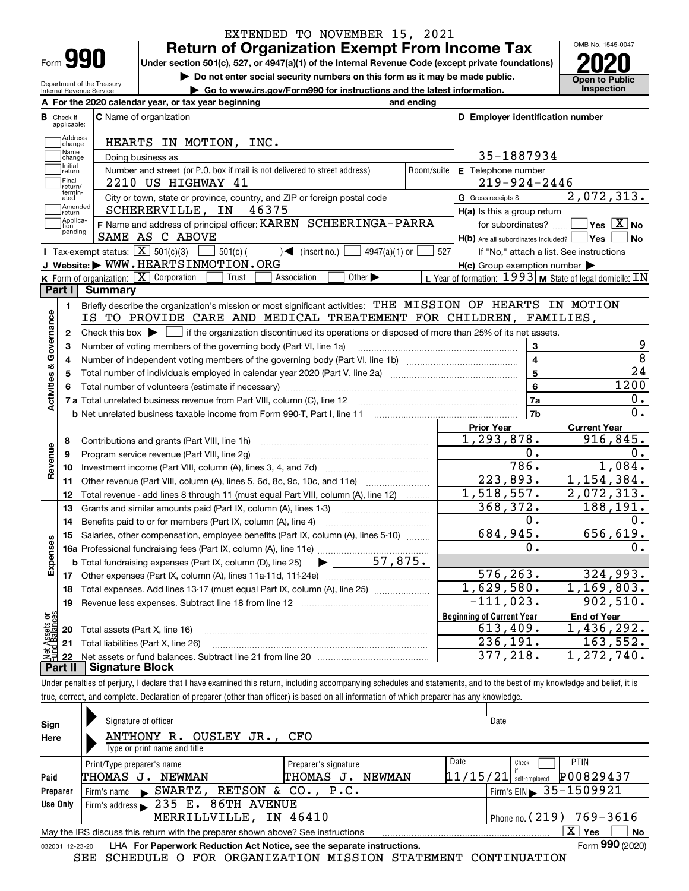| Form |  |
|------|--|

Department of the Treasury Internal Revenue Service

#### **Return of Organization Exempt From Income Tax** EXTENDED TO NOVEMBER 15, 2021

**Under section 501(c), 527, or 4947(a)(1) of the Internal Revenue Code (except private foundations) 2020**

**| Do not enter social security numbers on this form as it may be made public.**

**| Go to www.irs.gov/Form990 for instructions and the latest information. Inspection**

OMB No. 1545-0047 **Open to Public** 

|                         |                         | A For the 2020 calendar year, or tax year beginning                                                                                                 | and ending |                                                     |                                                           |
|-------------------------|-------------------------|-----------------------------------------------------------------------------------------------------------------------------------------------------|------------|-----------------------------------------------------|-----------------------------------------------------------|
| В                       | Check if<br>applicable: | <b>C</b> Name of organization                                                                                                                       |            | D Employer identification number                    |                                                           |
|                         | Address<br>change       | HEARTS IN MOTION, INC.                                                                                                                              |            |                                                     |                                                           |
|                         | Name<br>change          | Doing business as                                                                                                                                   |            | 35-1887934                                          |                                                           |
|                         | Initial<br>return       | Number and street (or P.O. box if mail is not delivered to street address)                                                                          | Room/suite | E Telephone number                                  |                                                           |
|                         | Final<br>return/        | 2210 US HIGHWAY 41                                                                                                                                  |            | $219 - 924 - 2446$                                  |                                                           |
|                         | termin-<br>ated         | City or town, state or province, country, and ZIP or foreign postal code                                                                            |            | G Gross receipts \$                                 | 2,072,313.                                                |
|                         | Amended<br>return       | 46375<br>SCHERERVILLE, IN                                                                                                                           |            | $H(a)$ is this a group return                       |                                                           |
|                         | Applica-<br>tion        | F Name and address of principal officer: KAREN SCHEERINGA-PARRA                                                                                     |            | for subordinates?                                   | $\Box$ Yes $[\overline{\mathrm{X}}]$ No                   |
|                         | pending                 | SAME AS C ABOVE                                                                                                                                     |            | H(b) Are all subordinates included?   Yes [         | ∣No                                                       |
|                         |                         | Tax-exempt status: $\boxed{\mathbf{X}}$ 501(c)(3)<br>$501(c)$ (<br>$\mathcal{A}$ (insert no.)<br>$4947(a)(1)$ or                                    | 527        |                                                     | If "No," attach a list. See instructions                  |
|                         |                         | J Website: WWW.HEARTSINMOTION.ORG                                                                                                                   |            | $H(c)$ Group exemption number $\blacktriangleright$ |                                                           |
|                         |                         | K Form of organization: X Corporation<br>Other $\blacktriangleright$<br>Trust<br>Association                                                        |            |                                                     | L Year of formation: $1993$ M State of legal domicile: IN |
|                         | Part I                  | Summary                                                                                                                                             |            |                                                     |                                                           |
|                         | 1.                      | Briefly describe the organization's mission or most significant activities: THE MISSION OF HEARTS IN MOTION                                         |            |                                                     |                                                           |
|                         |                         | IS TO PROVIDE CARE AND MEDICAL TREATEMENT FOR CHILDREN, FAMILIES,                                                                                   |            |                                                     |                                                           |
|                         | 2                       | Check this box $\blacktriangleright$ $\blacksquare$ if the organization discontinued its operations or disposed of more than 25% of its net assets. |            |                                                     |                                                           |
| Activities & Governance | 3                       | Number of voting members of the governing body (Part VI, line 1a)                                                                                   |            | 3                                                   | 9                                                         |
|                         | 4                       |                                                                                                                                                     |            | $\overline{\mathbf{4}}$                             | $\overline{8}$                                            |
|                         | 5                       | Total number of individuals employed in calendar year 2020 (Part V, line 2a) manufacture controller to intervent                                    |            | 5                                                   | 24                                                        |
|                         | 6                       |                                                                                                                                                     |            | 6                                                   | 1200                                                      |
|                         |                         |                                                                                                                                                     |            | 7a                                                  | 0.                                                        |
|                         |                         |                                                                                                                                                     |            | 7b                                                  | 0.                                                        |
|                         |                         |                                                                                                                                                     |            | <b>Prior Year</b>                                   | <b>Current Year</b>                                       |
|                         | 8                       | Contributions and grants (Part VIII, line 1h)                                                                                                       |            | 1,293,878.                                          | 916,845.                                                  |
| Revenue                 | 9                       | Program service revenue (Part VIII, line 2g)                                                                                                        |            | 0.                                                  | 0.                                                        |
|                         | 10                      |                                                                                                                                                     |            | 786.                                                | 1,084.                                                    |
|                         | 11                      | Other revenue (Part VIII, column (A), lines 5, 6d, 8c, 9c, 10c, and 11e)                                                                            |            | 223,893.                                            | 1,154,384.                                                |
|                         | 12                      | Total revenue - add lines 8 through 11 (must equal Part VIII, column (A), line 12)                                                                  |            | 1,518,557.                                          | 2,072,313.                                                |
|                         | 13                      | Grants and similar amounts paid (Part IX, column (A), lines 1-3)                                                                                    |            | 368,372.                                            | 188,191.                                                  |
|                         | 14                      | Benefits paid to or for members (Part IX, column (A), line 4)                                                                                       |            | $0$ .                                               | 0.                                                        |
|                         | 15                      | Salaries, other compensation, employee benefits (Part IX, column (A), lines 5-10)                                                                   |            | 684,945.                                            | 656,619.                                                  |
| Expenses                |                         |                                                                                                                                                     |            | 0.                                                  | 0.                                                        |
|                         |                         | 57,875.<br><b>b</b> Total fundraising expenses (Part IX, column (D), line 25)<br>$\blacktriangleright$ and $\blacktriangleright$                    |            |                                                     |                                                           |
|                         |                         |                                                                                                                                                     |            | 576, 263.                                           | 324,993.                                                  |
|                         | 18                      | Total expenses. Add lines 13-17 (must equal Part IX, column (A), line 25)                                                                           |            | 1,629,580.                                          | 1, 169, 803.                                              |
|                         |                         |                                                                                                                                                     |            | $-111,023.$                                         | 902,510.                                                  |
|                         | 19                      |                                                                                                                                                     |            |                                                     |                                                           |
|                         |                         |                                                                                                                                                     |            | <b>Beginning of Current Year</b>                    | <b>End of Year</b>                                        |
| ăğ<br>ssets             |                         | <b>20</b> Total assets (Part X, line 16)                                                                                                            |            | 613,409.                                            |                                                           |
|                         |                         | 21 Total liabilities (Part X, line 26)                                                                                                              |            | 236,191.<br>377,218.                                | 1,436,292.<br>163,552.<br>1,272,740.                      |

Under penalties of perjury, I declare that I have examined this return, including accompanying schedules and statements, and to the best of my knowledge and belief, it is true, correct, and complete. Declaration of preparer (other than officer) is based on all information of which preparer has any knowledge.

| Sign            | Signature of officer                                                                                                 |                        | Date                     |                                              |  |  |  |  |
|-----------------|----------------------------------------------------------------------------------------------------------------------|------------------------|--------------------------|----------------------------------------------|--|--|--|--|
| Here            | ANTHONY R. OUSLEY JR., CFO                                                                                           |                        |                          |                                              |  |  |  |  |
|                 | Type or print name and title                                                                                         |                        |                          |                                              |  |  |  |  |
|                 | Print/Type preparer's name                                                                                           | Preparer's signature   | Date                     | <b>PTIN</b><br>Check                         |  |  |  |  |
| Paid            | THOMAS J.<br><b>NEWMAN</b>                                                                                           | THOMAS<br>NEWMAN<br>J. | $11/15/21$ self-employed | P00829437                                    |  |  |  |  |
| Preparer        | Firm's name $\bullet$ SWARTZ,                                                                                        | RETSON & CO., P.C.     |                          | $\frac{1}{2}$ Firm's EIN $\geq 35 - 1509921$ |  |  |  |  |
| Use Only        | Firm's address $\blacktriangleright$ 235 E. 86TH AVENUE                                                              |                        |                          |                                              |  |  |  |  |
|                 | MERRILLVILLE, IN 46410                                                                                               |                        |                          | Phone no. (219) 769-3616                     |  |  |  |  |
|                 | $\overline{\mathrm{X}}$ Yes<br>No<br>May the IRS discuss this return with the preparer shown above? See instructions |                        |                          |                                              |  |  |  |  |
| 032001 12-23-20 | LHA For Paperwork Reduction Act Notice, see the separate instructions.                                               |                        |                          | Form 990 (2020)                              |  |  |  |  |

SEE SCHEDULE O FOR ORGANIZATION MISSION STATEMENT CONTINUATION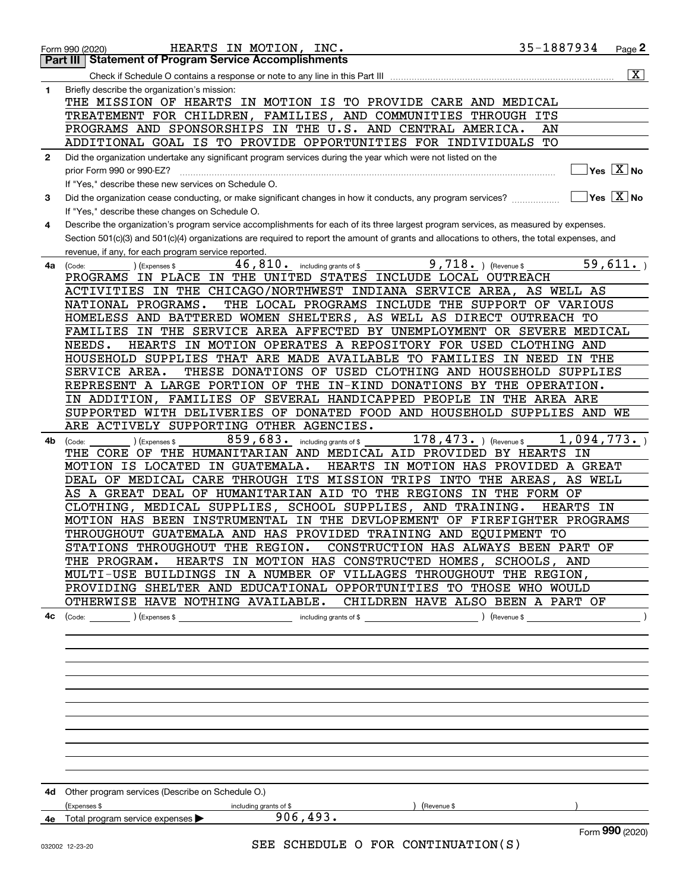|              | 35-1887934<br>HEARTS IN MOTION, INC.<br>Form 990 (2020)                                                                                      |            | Page 2                  |
|--------------|----------------------------------------------------------------------------------------------------------------------------------------------|------------|-------------------------|
| Part III     | <b>Statement of Program Service Accomplishments</b>                                                                                          |            |                         |
|              |                                                                                                                                              |            | $\overline{\mathbf{x}}$ |
| 1            | Briefly describe the organization's mission:<br>THE MISSION OF HEARTS IN MOTION IS TO PROVIDE CARE AND MEDICAL                               |            |                         |
|              | TREATEMENT FOR CHILDREN, FAMILIES, AND COMMUNITIES THROUGH ITS                                                                               |            |                         |
|              | PROGRAMS AND SPONSORSHIPS IN THE U.S. AND CENTRAL AMERICA.<br>AN                                                                             |            |                         |
|              | ADDITIONAL GOAL IS TO PROVIDE OPPORTUNITIES FOR INDIVIDUALS<br>TО                                                                            |            |                         |
| $\mathbf{2}$ | Did the organization undertake any significant program services during the year which were not listed on the                                 |            |                         |
|              | prior Form 990 or 990-EZ?                                                                                                                    |            | $Yes$ $X$ No            |
|              | If "Yes," describe these new services on Schedule O.                                                                                         |            |                         |
| 3            | Did the organization cease conducting, or make significant changes in how it conducts, any program services?                                 |            | $ Yes  \times  No $     |
|              | If "Yes," describe these changes on Schedule O.                                                                                              |            |                         |
| 4            | Describe the organization's program service accomplishments for each of its three largest program services, as measured by expenses.         |            |                         |
|              | Section 501(c)(3) and 501(c)(4) organizations are required to report the amount of grants and allocations to others, the total expenses, and |            |                         |
|              | revenue, if any, for each program service reported.                                                                                          |            |                         |
| 4a           | $9,718.$ (Revenue \$<br>46,810.<br>including grants of \$<br>(Code:<br>(Expenses \$                                                          |            | 59,611.                 |
|              | IN PLACE IN THE UNITED STATES INCLUDE LOCAL OUTREACH<br>PROGRAMS                                                                             |            |                         |
|              | ACTIVITIES IN THE CHICAGO/NORTHWEST INDIANA SERVICE AREA, AS WELL AS                                                                         |            |                         |
|              | THE LOCAL PROGRAMS INCLUDE THE SUPPORT OF VARIOUS<br>NATIONAL PROGRAMS.                                                                      |            |                         |
|              | HOMELESS AND BATTERED WOMEN SHELTERS, AS WELL AS DIRECT OUTREACH TO                                                                          |            |                         |
|              | FAMILIES IN THE SERVICE AREA AFFECTED BY UNEMPLOYMENT OR SEVERE MEDICAL                                                                      |            |                         |
|              | HEARTS IN MOTION OPERATES A REPOSITORY FOR USED CLOTHING AND<br>NEEDS.                                                                       |            |                         |
|              | HOUSEHOLD SUPPLIES THAT ARE MADE AVAILABLE TO FAMILIES IN NEED                                                                               | IN THE     |                         |
|              | THESE DONATIONS OF USED CLOTHING AND HOUSEHOLD SUPPLIES<br>SERVICE AREA.                                                                     |            |                         |
|              | REPRESENT A LARGE PORTION OF THE IN-KIND DONATIONS BY THE OPERATION.                                                                         |            |                         |
|              | IN ADDITION, FAMILIES OF SEVERAL HANDICAPPED PEOPLE IN THE AREA ARE                                                                          |            |                         |
|              | SUPPORTED WITH DELIVERIES OF DONATED FOOD AND HOUSEHOLD SUPPLIES AND WE                                                                      |            |                         |
|              | ARE ACTIVELY SUPPORTING OTHER AGENCIES.                                                                                                      |            |                         |
| 4b           | 859,683.<br>$178,473.$ ) (Revenue \$<br>including grants of \$<br>(Expenses \$<br>(Code:                                                     | 1,094,773. |                         |
|              | CORE OF THE HUMANITARIAN AND MEDICAL AID PROVIDED BY HEARTS IN<br>THE                                                                        |            |                         |
|              | MOTION IS LOCATED IN GUATEMALA.<br>HEARTS IN MOTION HAS PROVIDED A GREAT                                                                     |            |                         |
|              | DEAL OF MEDICAL CARE THROUGH ITS MISSION TRIPS INTO THE AREAS,                                                                               | AS WELL    |                         |
|              | AS A GREAT DEAL OF HUMANITARIAN AID TO THE REGIONS IN THE FORM OF                                                                            |            |                         |
|              | CLOTHING, MEDICAL SUPPLIES, SCHOOL SUPPLIES, AND TRAINING.                                                                                   | HEARTS IN  |                         |
|              | MOTION HAS BEEN INSTRUMENTAL IN THE DEVLOPEMENT OF FIREFIGHTER PROGRAMS                                                                      |            |                         |
|              | THROUGHOUT GUATEMALA AND HAS PROVIDED TRAINING AND EQUIPMENT TO                                                                              |            |                         |
|              | STATIONS THROUGHOUT THE REGION.  CONSTRUCTION HAS ALWAYS BEEN PART OF                                                                        |            |                         |
|              | HEARTS IN MOTION HAS CONSTRUCTED HOMES, SCHOOLS, AND<br>THE PROGRAM.                                                                         |            |                         |
|              | MULTI-USE BUILDINGS IN A NUMBER OF VILLAGES THROUGHOUT THE REGION,                                                                           |            |                         |
|              | PROVIDING SHELTER AND EDUCATIONAL OPPORTUNITIES TO THOSE WHO WOULD                                                                           |            |                         |
|              | OTHERWISE HAVE NOTHING AVAILABLE. CHILDREN HAVE ALSO BEEN A PART OF                                                                          |            |                         |
| 4с           |                                                                                                                                              |            |                         |
|              |                                                                                                                                              |            |                         |
|              |                                                                                                                                              |            |                         |
|              |                                                                                                                                              |            |                         |
|              |                                                                                                                                              |            |                         |
|              |                                                                                                                                              |            |                         |
|              |                                                                                                                                              |            |                         |
|              |                                                                                                                                              |            |                         |
|              |                                                                                                                                              |            |                         |
|              |                                                                                                                                              |            |                         |
|              |                                                                                                                                              |            |                         |
|              |                                                                                                                                              |            |                         |
|              |                                                                                                                                              |            |                         |
|              | <b>4d</b> Other program services (Describe on Schedule O.)                                                                                   |            |                         |
|              | (Expenses \$<br>) (Revenue \$<br>including grants of \$<br>906, 493.<br>4e Total program service expenses $\blacktriangleright$              |            |                         |
|              |                                                                                                                                              |            | Form 990 (2020)         |
|              | SEE SCHEDULE O FOR CONTINUATION(S)<br>032002 12-23-20                                                                                        |            |                         |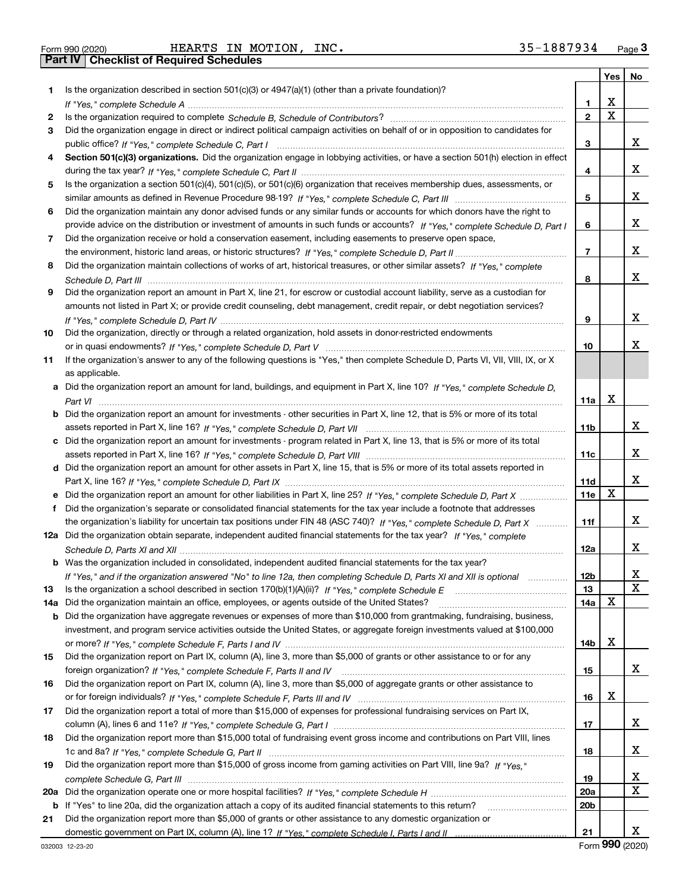|  | Form 990 (2020) |
|--|-----------------|

|     |                                                                                                                                                                                                                                                   |                 | <b>Yes</b> | No |
|-----|---------------------------------------------------------------------------------------------------------------------------------------------------------------------------------------------------------------------------------------------------|-----------------|------------|----|
| 1.  | Is the organization described in section $501(c)(3)$ or $4947(a)(1)$ (other than a private foundation)?                                                                                                                                           |                 |            |    |
|     |                                                                                                                                                                                                                                                   | 1               | х          |    |
| 2   |                                                                                                                                                                                                                                                   | $\mathbf{2}$    | X          |    |
| 3   | Did the organization engage in direct or indirect political campaign activities on behalf of or in opposition to candidates for                                                                                                                   |                 |            |    |
|     |                                                                                                                                                                                                                                                   | 3               |            | x  |
| 4   | Section 501(c)(3) organizations. Did the organization engage in lobbying activities, or have a section 501(h) election in effect                                                                                                                  |                 |            |    |
|     |                                                                                                                                                                                                                                                   | 4               |            | x  |
| 5   | Is the organization a section 501(c)(4), 501(c)(5), or 501(c)(6) organization that receives membership dues, assessments, or                                                                                                                      |                 |            |    |
|     |                                                                                                                                                                                                                                                   | 5               |            | x  |
| 6   | Did the organization maintain any donor advised funds or any similar funds or accounts for which donors have the right to                                                                                                                         |                 |            |    |
|     | provide advice on the distribution or investment of amounts in such funds or accounts? If "Yes," complete Schedule D, Part I                                                                                                                      | 6               |            | x  |
| 7.  | Did the organization receive or hold a conservation easement, including easements to preserve open space,                                                                                                                                         |                 |            |    |
|     |                                                                                                                                                                                                                                                   | $\overline{7}$  |            | x  |
| 8   | Did the organization maintain collections of works of art, historical treasures, or other similar assets? If "Yes," complete                                                                                                                      |                 |            |    |
|     |                                                                                                                                                                                                                                                   | 8               |            | x  |
| 9   | Did the organization report an amount in Part X, line 21, for escrow or custodial account liability, serve as a custodian for                                                                                                                     |                 |            |    |
|     | amounts not listed in Part X; or provide credit counseling, debt management, credit repair, or debt negotiation services?                                                                                                                         |                 |            |    |
|     |                                                                                                                                                                                                                                                   | 9               |            | x  |
| 10  | Did the organization, directly or through a related organization, hold assets in donor-restricted endowments                                                                                                                                      |                 |            |    |
|     |                                                                                                                                                                                                                                                   | 10              |            | х  |
| 11  | If the organization's answer to any of the following questions is "Yes," then complete Schedule D, Parts VI, VII, VIII, IX, or X                                                                                                                  |                 |            |    |
|     | as applicable.                                                                                                                                                                                                                                    |                 |            |    |
|     | a Did the organization report an amount for land, buildings, and equipment in Part X, line 10? If "Yes." complete Schedule D.                                                                                                                     |                 |            |    |
|     |                                                                                                                                                                                                                                                   | 11a             | x          |    |
|     | <b>b</b> Did the organization report an amount for investments - other securities in Part X, line 12, that is 5% or more of its total                                                                                                             |                 |            |    |
|     |                                                                                                                                                                                                                                                   | 11 <sub>b</sub> |            | x  |
|     | c Did the organization report an amount for investments - program related in Part X, line 13, that is 5% or more of its total                                                                                                                     |                 |            | x  |
|     |                                                                                                                                                                                                                                                   | 11c             |            |    |
|     | d Did the organization report an amount for other assets in Part X, line 15, that is 5% or more of its total assets reported in                                                                                                                   |                 |            | x  |
|     |                                                                                                                                                                                                                                                   | 11d             | X          |    |
|     |                                                                                                                                                                                                                                                   | 11e             |            |    |
| f   | Did the organization's separate or consolidated financial statements for the tax year include a footnote that addresses                                                                                                                           |                 |            | x  |
|     | the organization's liability for uncertain tax positions under FIN 48 (ASC 740)? If "Yes," complete Schedule D, Part X<br>12a Did the organization obtain separate, independent audited financial statements for the tax year? If "Yes," complete | 11f             |            |    |
|     |                                                                                                                                                                                                                                                   | 12a             |            | x  |
|     |                                                                                                                                                                                                                                                   |                 |            |    |
|     | <b>b</b> Was the organization included in consolidated, independent audited financial statements for the tax year?                                                                                                                                | 12 <sub>b</sub> |            | х  |
| 13  | If "Yes," and if the organization answered "No" to line 12a, then completing Schedule D, Parts XI and XII is optional<br>Is the organization a school described in section $170(b)(1)(A)(ii)?$ If "Yes," complete Schedule E                      | 13              |            | X  |
| 14a | Did the organization maintain an office, employees, or agents outside of the United States?                                                                                                                                                       | 14a             | X          |    |
|     | <b>b</b> Did the organization have aggregate revenues or expenses of more than \$10,000 from grantmaking, fundraising, business,                                                                                                                  |                 |            |    |
|     | investment, and program service activities outside the United States, or aggregate foreign investments valued at \$100,000                                                                                                                        |                 |            |    |
|     |                                                                                                                                                                                                                                                   | 14b             | х          |    |
| 15  | Did the organization report on Part IX, column (A), line 3, more than \$5,000 of grants or other assistance to or for any                                                                                                                         |                 |            |    |
|     |                                                                                                                                                                                                                                                   | 15              |            | X  |
| 16  | Did the organization report on Part IX, column (A), line 3, more than \$5,000 of aggregate grants or other assistance to                                                                                                                          |                 |            |    |
|     |                                                                                                                                                                                                                                                   | 16              | х          |    |
| 17  | Did the organization report a total of more than \$15,000 of expenses for professional fundraising services on Part IX,                                                                                                                           |                 |            |    |
|     |                                                                                                                                                                                                                                                   | 17              |            | x  |
| 18  | Did the organization report more than \$15,000 total of fundraising event gross income and contributions on Part VIII, lines                                                                                                                      |                 |            |    |
|     |                                                                                                                                                                                                                                                   | 18              |            | X. |
| 19  | Did the organization report more than \$15,000 of gross income from gaming activities on Part VIII, line 9a? If "Yes."                                                                                                                            |                 |            |    |
|     | complete Schedule G, Part III                                                                                                                                                                                                                     | 19              |            | x  |
| 20a |                                                                                                                                                                                                                                                   | 20a             |            | X  |
| b   | If "Yes" to line 20a, did the organization attach a copy of its audited financial statements to this return?                                                                                                                                      | 20 <sub>b</sub> |            |    |
| 21  | Did the organization report more than \$5,000 of grants or other assistance to any domestic organization or                                                                                                                                       |                 |            |    |
|     |                                                                                                                                                                                                                                                   | 21              |            | X. |

Form (2020) **990**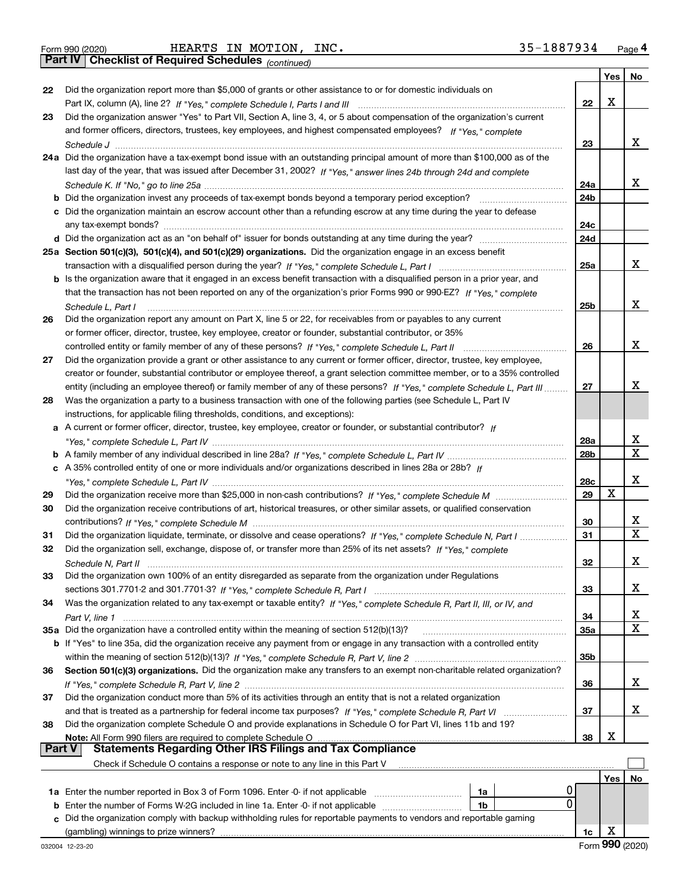|  | Form 990 (2020) |
|--|-----------------|
|  |                 |

*(continued)*

|               |                                                                                                                                                                                                                                |                 | Yes | No |
|---------------|--------------------------------------------------------------------------------------------------------------------------------------------------------------------------------------------------------------------------------|-----------------|-----|----|
| 22            | Did the organization report more than \$5,000 of grants or other assistance to or for domestic individuals on                                                                                                                  |                 |     |    |
|               |                                                                                                                                                                                                                                | 22              | х   |    |
| 23            | Did the organization answer "Yes" to Part VII, Section A, line 3, 4, or 5 about compensation of the organization's current                                                                                                     |                 |     |    |
|               | and former officers, directors, trustees, key employees, and highest compensated employees? If "Yes." complete                                                                                                                 |                 |     |    |
|               |                                                                                                                                                                                                                                | 23              |     | x  |
|               | 24a Did the organization have a tax-exempt bond issue with an outstanding principal amount of more than \$100,000 as of the                                                                                                    |                 |     |    |
|               | last day of the year, that was issued after December 31, 2002? If "Yes," answer lines 24b through 24d and complete                                                                                                             |                 |     |    |
|               |                                                                                                                                                                                                                                | 24a             |     | x  |
|               | <b>b</b> Did the organization invest any proceeds of tax-exempt bonds beyond a temporary period exception?                                                                                                                     | 24 <sub>b</sub> |     |    |
|               | c Did the organization maintain an escrow account other than a refunding escrow at any time during the year to defease                                                                                                         |                 |     |    |
|               | any tax-exempt bonds?                                                                                                                                                                                                          | 24c             |     |    |
|               |                                                                                                                                                                                                                                | 24d             |     |    |
|               | 25a Section 501(c)(3), 501(c)(4), and 501(c)(29) organizations. Did the organization engage in an excess benefit                                                                                                               |                 |     |    |
|               |                                                                                                                                                                                                                                | 25a             |     | x  |
|               | b Is the organization aware that it engaged in an excess benefit transaction with a disqualified person in a prior year, and                                                                                                   |                 |     |    |
|               | that the transaction has not been reported on any of the organization's prior Forms 990 or 990-EZ? If "Yes," complete                                                                                                          |                 |     |    |
|               | Schedule L, Part I                                                                                                                                                                                                             | 25 <sub>b</sub> |     | х  |
| 26            | Did the organization report any amount on Part X, line 5 or 22, for receivables from or payables to any current                                                                                                                |                 |     |    |
|               | or former officer, director, trustee, key employee, creator or founder, substantial contributor, or 35%                                                                                                                        |                 |     |    |
|               | controlled entity or family member of any of these persons? If "Yes," complete Schedule L, Part II                                                                                                                             | 26              |     | х  |
| 27            | Did the organization provide a grant or other assistance to any current or former officer, director, trustee, key employee,                                                                                                    |                 |     |    |
|               | creator or founder, substantial contributor or employee thereof, a grant selection committee member, or to a 35% controlled                                                                                                    |                 |     |    |
|               | entity (including an employee thereof) or family member of any of these persons? If "Yes," complete Schedule L, Part III                                                                                                       | 27              |     | х  |
| 28            | Was the organization a party to a business transaction with one of the following parties (see Schedule L, Part IV                                                                                                              |                 |     |    |
|               | instructions, for applicable filing thresholds, conditions, and exceptions):                                                                                                                                                   |                 |     |    |
|               | a A current or former officer, director, trustee, key employee, creator or founder, or substantial contributor? If                                                                                                             |                 |     |    |
|               |                                                                                                                                                                                                                                | 28a             |     | х  |
|               |                                                                                                                                                                                                                                | 28b             |     | X  |
|               | c A 35% controlled entity of one or more individuals and/or organizations described in lines 28a or 28b? If                                                                                                                    |                 |     |    |
|               |                                                                                                                                                                                                                                | 28c             |     | х  |
| 29            |                                                                                                                                                                                                                                | 29              | X   |    |
| 30            | Did the organization receive contributions of art, historical treasures, or other similar assets, or qualified conservation                                                                                                    |                 |     |    |
|               |                                                                                                                                                                                                                                | 30              |     | х  |
| 31            | Did the organization liquidate, terminate, or dissolve and cease operations? If "Yes," complete Schedule N, Part I                                                                                                             | 31              |     | X  |
| 32            | Did the organization sell, exchange, dispose of, or transfer more than 25% of its net assets? If "Yes," complete                                                                                                               |                 |     |    |
|               |                                                                                                                                                                                                                                | 32              |     | х  |
| 33            | Did the organization own 100% of an entity disregarded as separate from the organization under Regulations                                                                                                                     |                 |     |    |
|               |                                                                                                                                                                                                                                | 33              |     | x  |
| 34            | Was the organization related to any tax-exempt or taxable entity? If "Yes," complete Schedule R, Part II, III, or IV, and                                                                                                      |                 |     |    |
|               |                                                                                                                                                                                                                                | 34              |     | x  |
|               | 35a Did the organization have a controlled entity within the meaning of section 512(b)(13)?                                                                                                                                    | 35a             |     | x  |
|               | b If "Yes" to line 35a, did the organization receive any payment from or engage in any transaction with a controlled entity                                                                                                    |                 |     |    |
|               |                                                                                                                                                                                                                                | 35b             |     |    |
| 36            | Section 501(c)(3) organizations. Did the organization make any transfers to an exempt non-charitable related organization?                                                                                                     |                 |     | x  |
|               | Did the organization conduct more than 5% of its activities through an entity that is not a related organization                                                                                                               | 36              |     |    |
| 37            |                                                                                                                                                                                                                                |                 |     | x  |
| 38            | and that is treated as a partnership for federal income tax purposes? If "Yes," complete Schedule R, Part VI<br>Did the organization complete Schedule O and provide explanations in Schedule O for Part VI, lines 11b and 19? | 37              |     |    |
|               | Note: All Form 990 filers are required to complete Schedule O                                                                                                                                                                  | 38              | х   |    |
| <b>Part V</b> | <b>Statements Regarding Other IRS Filings and Tax Compliance</b>                                                                                                                                                               |                 |     |    |
|               | Check if Schedule O contains a response or note to any line in this Part V                                                                                                                                                     |                 |     |    |
|               |                                                                                                                                                                                                                                |                 | Yes | No |
|               | 1a Enter the number reported in Box 3 of Form 1096. Enter -0- if not applicable<br>1a                                                                                                                                          |                 |     |    |
| b             | 0<br>Enter the number of Forms W-2G included in line 1a. Enter -0- if not applicable<br>1b                                                                                                                                     |                 |     |    |
|               | Did the organization comply with backup withholding rules for reportable payments to vendors and reportable gaming                                                                                                             |                 |     |    |
|               |                                                                                                                                                                                                                                | 1c              | х   |    |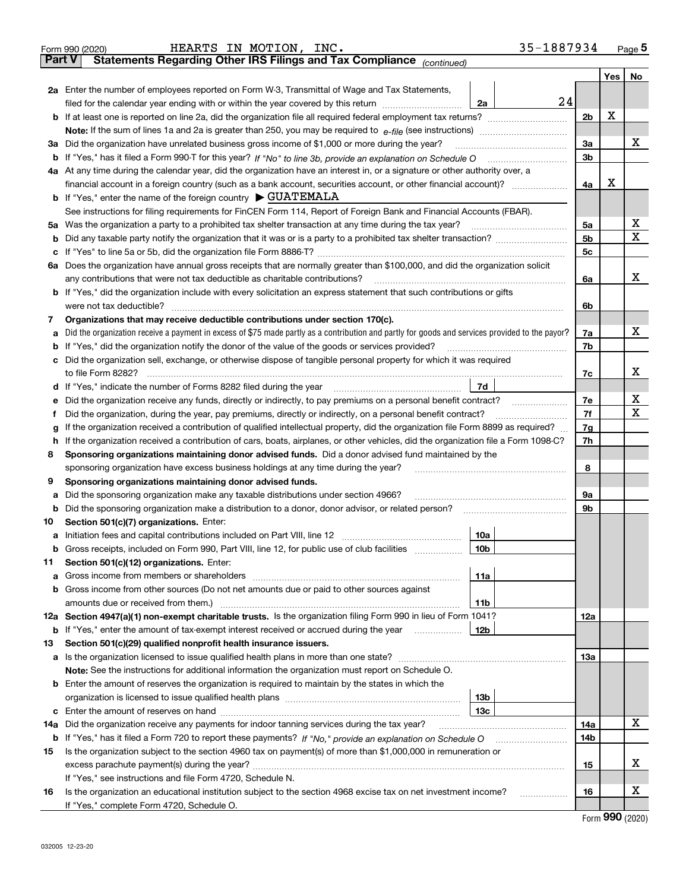|               | 35-1887934<br>HEARTS IN MOTION, INC.<br>Form 990 (2020)                                                                                         |                |         | Page 5 |
|---------------|-------------------------------------------------------------------------------------------------------------------------------------------------|----------------|---------|--------|
| <b>Part V</b> | Statements Regarding Other IRS Filings and Tax Compliance (continued)                                                                           |                |         |        |
|               |                                                                                                                                                 |                | Yes $ $ | No     |
|               | <b>2a</b> Enter the number of employees reported on Form W-3, Transmittal of Wage and Tax Statements,                                           |                |         |        |
|               | 24<br>filed for the calendar year ending with or within the year covered by this return<br>2a                                                   |                |         |        |
| b             | If at least one is reported on line 2a, did the organization file all required federal employment tax returns?                                  | 2 <sub>b</sub> | X       |        |
|               | <b>Note:</b> If the sum of lines 1a and 2a is greater than 250, you may be required to $e$ -file (see instructions) <i>manimummmmmm</i>         |                |         |        |
|               | 3a Did the organization have unrelated business gross income of \$1,000 or more during the year?                                                | 3a             |         | x      |
|               | b If "Yes," has it filed a Form 990-T for this year? If "No" to line 3b, provide an explanation on Schedule O                                   | 3 <sub>b</sub> |         |        |
|               | 4a At any time during the calendar year, did the organization have an interest in, or a signature or other authority over, a                    |                |         |        |
|               |                                                                                                                                                 | 4a             | X       |        |
|               | <b>b</b> If "Yes," enter the name of the foreign country $\triangleright$ GUATEMALA                                                             |                |         |        |
|               | See instructions for filing requirements for FinCEN Form 114, Report of Foreign Bank and Financial Accounts (FBAR).                             |                |         |        |
|               | 5a Was the organization a party to a prohibited tax shelter transaction at any time during the tax year?                                        | 5a             |         | х      |
| b             |                                                                                                                                                 | 5 <sub>b</sub> |         | X      |
| с             |                                                                                                                                                 | 5c             |         |        |
|               | 6a Does the organization have annual gross receipts that are normally greater than \$100,000, and did the organization solicit                  |                |         |        |
|               | any contributions that were not tax deductible as charitable contributions?                                                                     | 6a             |         | x      |
|               | <b>b</b> If "Yes," did the organization include with every solicitation an express statement that such contributions or gifts                   |                |         |        |
|               | were not tax deductible?                                                                                                                        | 6b             |         |        |
| 7             | Organizations that may receive deductible contributions under section 170(c).                                                                   |                |         |        |
| a             | Did the organization receive a payment in excess of \$75 made partly as a contribution and partly for goods and services provided to the payor? | 7a             |         | x      |
| b             | If "Yes," did the organization notify the donor of the value of the goods or services provided?                                                 | 7b             |         |        |
| c             | Did the organization sell, exchange, or otherwise dispose of tangible personal property for which it was required                               |                |         |        |
|               | to file Form 8282?                                                                                                                              | 7c             |         | x      |
| d             | 7d                                                                                                                                              |                |         |        |
| е             | Did the organization receive any funds, directly or indirectly, to pay premiums on a personal benefit contract?                                 | 7e             |         | х      |
| Ť.            | Did the organization, during the year, pay premiums, directly or indirectly, on a personal benefit contract?                                    | 7f             |         | х      |
| g             | If the organization received a contribution of qualified intellectual property, did the organization file Form 8899 as required?                | 7g             |         |        |
| h             | If the organization received a contribution of cars, boats, airplanes, or other vehicles, did the organization file a Form 1098-C?              | 7h             |         |        |
| 8             | Sponsoring organizations maintaining donor advised funds. Did a donor advised fund maintained by the                                            |                |         |        |
|               | sponsoring organization have excess business holdings at any time during the year?                                                              | 8              |         |        |
| 9             | Sponsoring organizations maintaining donor advised funds.                                                                                       |                |         |        |
| а             | Did the sponsoring organization make any taxable distributions under section 4966?                                                              | 9а             |         |        |
| b             | Did the sponsoring organization make a distribution to a donor, donor advisor, or related person?                                               | 9b             |         |        |
| 10            | Section 501(c)(7) organizations. Enter:                                                                                                         |                |         |        |
| a             | 10a                                                                                                                                             |                |         |        |
| b             | Gross receipts, included on Form 990, Part VIII, line 12, for public use of club facilities<br>10b                                              |                |         |        |
| 11            | Section 501(c)(12) organizations. Enter:                                                                                                        |                |         |        |
| а             | 11a                                                                                                                                             |                |         |        |
| b             | Gross income from other sources (Do not net amounts due or paid to other sources against                                                        |                |         |        |
|               | amounts due or received from them.)<br>11b                                                                                                      |                |         |        |
|               | 12a Section 4947(a)(1) non-exempt charitable trusts. Is the organization filing Form 990 in lieu of Form 1041?                                  | 12a            |         |        |
| b             | If "Yes," enter the amount of tax-exempt interest received or accrued during the year<br>12b                                                    |                |         |        |
| 13            | Section 501(c)(29) qualified nonprofit health insurance issuers.                                                                                |                |         |        |
|               | a Is the organization licensed to issue qualified health plans in more than one state?                                                          | 13а            |         |        |
|               | <b>Note:</b> See the instructions for additional information the organization must report on Schedule O.                                        |                |         |        |
|               | <b>b</b> Enter the amount of reserves the organization is required to maintain by the states in which the                                       |                |         |        |
|               | 13b                                                                                                                                             |                |         |        |
| c             | 13с                                                                                                                                             |                |         |        |
| 14a           | Did the organization receive any payments for indoor tanning services during the tax year?                                                      | 14a            |         | x      |
| b             |                                                                                                                                                 | 14b            |         |        |
| 15            | Is the organization subject to the section 4960 tax on payment(s) of more than \$1,000,000 in remuneration or                                   |                |         |        |
|               |                                                                                                                                                 | 15             |         | х      |
|               | If "Yes," see instructions and file Form 4720, Schedule N.                                                                                      |                |         |        |
| 16            | Is the organization an educational institution subject to the section 4968 excise tax on net investment income?<br>.                            | 16             |         | х      |
|               | If "Yes," complete Form 4720, Schedule O.                                                                                                       |                |         |        |

Form (2020) **990**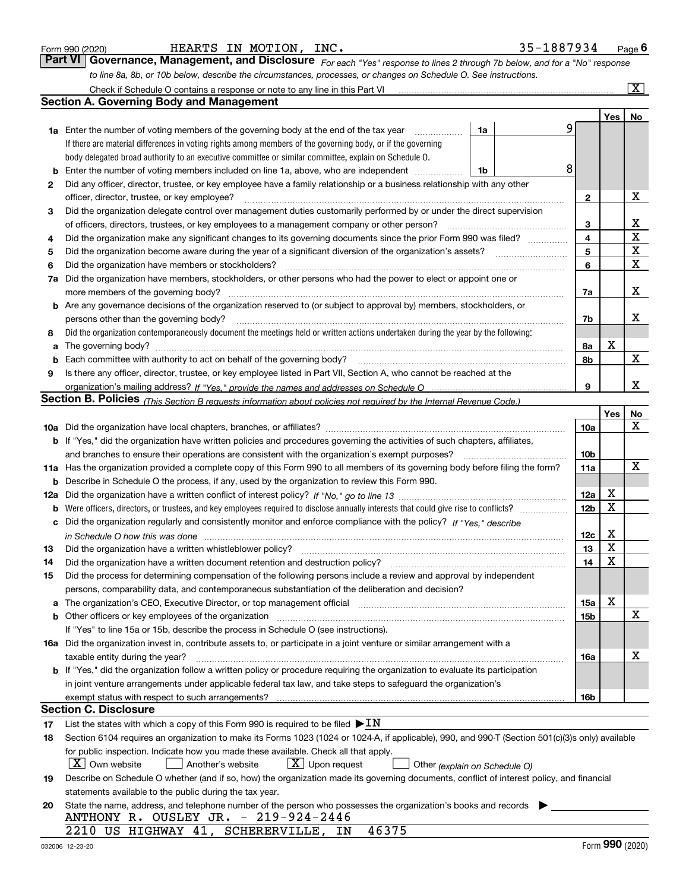|  | Form 990 (2020) |
|--|-----------------|
|  |                 |

| Form 990 (2020) | MOTION,<br>HEARTS<br>IN | INC. | 35-1887934 | Page |
|-----------------|-------------------------|------|------------|------|
|-----------------|-------------------------|------|------------|------|

| Form 990 (2020) |  | HEARTS IN MOTION, INC. | 35-1887934                                                                                                                         | Page $6$ |
|-----------------|--|------------------------|------------------------------------------------------------------------------------------------------------------------------------|----------|
|                 |  |                        | <b>Part VI</b> Governance, Management, and Disclosure For each "Yes" response to lines 2 through 7b below, and for a "No" response |          |
|                 |  |                        | to line 8a, 8b, or 10b below, describe the circumstances, processes, or changes on Schedule O. See instructions.                   |          |

|     | Check if Schedule O contains a response or note to any line in this Part VI                                                                                           |    |   |                         |             | $\overline{\mathbf{x}}$ |
|-----|-----------------------------------------------------------------------------------------------------------------------------------------------------------------------|----|---|-------------------------|-------------|-------------------------|
|     | <b>Section A. Governing Body and Management</b>                                                                                                                       |    |   |                         |             |                         |
|     |                                                                                                                                                                       |    |   |                         | Yes         | No                      |
|     | <b>1a</b> Enter the number of voting members of the governing body at the end of the tax year                                                                         | 1a | 9 |                         |             |                         |
|     | If there are material differences in voting rights among members of the governing body, or if the governing                                                           |    |   |                         |             |                         |
|     | body delegated broad authority to an executive committee or similar committee, explain on Schedule O.                                                                 |    |   |                         |             |                         |
| b   | Enter the number of voting members included on line 1a, above, who are independent                                                                                    | 1b | 8 |                         |             |                         |
| 2   | Did any officer, director, trustee, or key employee have a family relationship or a business relationship with any other                                              |    |   |                         |             |                         |
|     | officer, director, trustee, or key employee?                                                                                                                          |    |   | $\mathbf{2}$            |             | X                       |
| 3   | Did the organization delegate control over management duties customarily performed by or under the direct supervision                                                 |    |   |                         |             |                         |
|     | of officers, directors, trustees, or key employees to a management company or other person?                                                                           |    |   | 3                       |             | х                       |
| 4   | Did the organization make any significant changes to its governing documents since the prior Form 990 was filed?                                                      |    |   | $\overline{\mathbf{4}}$ |             | $\mathbf X$             |
| 5   | Did the organization become aware during the year of a significant diversion of the organization's assets? ____________________________                               |    |   | 5                       |             | X                       |
| 6   | Did the organization have members or stockholders?                                                                                                                    |    |   | 6                       |             | X                       |
| 7a  | Did the organization have members, stockholders, or other persons who had the power to elect or appoint one or                                                        |    |   |                         |             |                         |
|     | more members of the governing body?                                                                                                                                   |    |   | 7a                      |             | X                       |
| b   | Are any governance decisions of the organization reserved to (or subject to approval by) members, stockholders, or                                                    |    |   |                         |             |                         |
|     | persons other than the governing body?                                                                                                                                |    |   | 7b                      |             | x                       |
| 8   | Did the organization contemporaneously document the meetings held or written actions undertaken during the year by the following:                                     |    |   |                         |             |                         |
| a   |                                                                                                                                                                       |    |   | 8а                      | X           |                         |
| b   | Each committee with authority to act on behalf of the governing body?                                                                                                 |    |   | 8b                      |             | X                       |
| 9   | Is there any officer, director, trustee, or key employee listed in Part VII, Section A, who cannot be reached at the                                                  |    |   |                         |             |                         |
|     |                                                                                                                                                                       |    |   | 9                       |             | x                       |
|     | Section B. Policies <sub>(This Section B requests information about policies not required by the Internal Revenue Code.)</sub>                                        |    |   |                         |             |                         |
|     |                                                                                                                                                                       |    |   |                         | Yes         | <u>No</u>               |
|     |                                                                                                                                                                       |    |   | 10a                     |             | X                       |
|     | <b>b</b> If "Yes," did the organization have written policies and procedures governing the activities of such chapters, affiliates,                                   |    |   |                         |             |                         |
|     | and branches to ensure their operations are consistent with the organization's exempt purposes?                                                                       |    |   | 10 <sub>b</sub>         |             |                         |
| 11a | Has the organization provided a complete copy of this Form 990 to all members of its governing body before filing the form?                                           |    |   | 11a                     |             | $\mathbf X$             |
| b   | Describe in Schedule O the process, if any, used by the organization to review this Form 990.                                                                         |    |   |                         |             |                         |
| 12a |                                                                                                                                                                       |    |   | 12a                     | х           |                         |
| b   | Were officers, directors, or trustees, and key employees required to disclose annually interests that could give rise to conflicts?                                   |    |   | 12 <sub>b</sub>         | X           |                         |
| c   | Did the organization regularly and consistently monitor and enforce compliance with the policy? If "Yes." describe                                                    |    |   |                         |             |                         |
|     |                                                                                                                                                                       |    |   | 12c                     | X           |                         |
| 13  | Did the organization have a written whistleblower policy?                                                                                                             |    |   | 13                      | $\mathbf X$ |                         |
| 14  | Did the organization have a written document retention and destruction policy?                                                                                        |    |   | 14                      | $\mathbf X$ |                         |
| 15  | Did the process for determining compensation of the following persons include a review and approval by independent                                                    |    |   |                         |             |                         |
|     | persons, comparability data, and contemporaneous substantiation of the deliberation and decision?                                                                     |    |   |                         |             |                         |
| а   | The organization's CEO, Executive Director, or top management official manufactured content of the organization's CEO, Executive Director, or top management official |    |   | 15a                     | X           |                         |
| b   | Other officers or key employees of the organization                                                                                                                   |    |   | 15b                     |             | X                       |
|     | If "Yes" to line 15a or 15b, describe the process in Schedule O (see instructions).                                                                                   |    |   |                         |             |                         |
|     | 16a Did the organization invest in, contribute assets to, or participate in a joint venture or similar arrangement with a                                             |    |   |                         |             | х                       |
|     | taxable entity during the year?                                                                                                                                       |    |   | 16a                     |             |                         |
|     | b If "Yes," did the organization follow a written policy or procedure requiring the organization to evaluate its participation                                        |    |   |                         |             |                         |
|     | in joint venture arrangements under applicable federal tax law, and take steps to safeguard the organization's                                                        |    |   | 16b                     |             |                         |
|     | exempt status with respect to such arrangements?<br><b>Section C. Disclosure</b>                                                                                      |    |   |                         |             |                         |
| 17  | List the states with which a copy of this Form 990 is required to be filed $\blacktriangleright$ IN                                                                   |    |   |                         |             |                         |
| 18  | Section 6104 requires an organization to make its Forms 1023 (1024 or 1024-A, if applicable), 990, and 990-T (Section 501(c)(3)s only) available                      |    |   |                         |             |                         |
|     | for public inspection. Indicate how you made these available. Check all that apply.                                                                                   |    |   |                         |             |                         |
|     | $X$ Own website<br>$X$ Upon request<br>Another's website<br>Other (explain on Schedule O)                                                                             |    |   |                         |             |                         |
| 19  | Describe on Schedule O whether (and if so, how) the organization made its governing documents, conflict of interest policy, and financial                             |    |   |                         |             |                         |
|     | statements available to the public during the tax year.                                                                                                               |    |   |                         |             |                         |
| 20  | State the name, address, and telephone number of the person who possesses the organization's books and records                                                        |    |   |                         |             |                         |
|     | ANTHONY R. OUSLEY JR. - 219-924-2446                                                                                                                                  |    |   |                         |             |                         |
|     | 46375<br>2210 US HIGHWAY 41, SCHERERVILLE, IN                                                                                                                         |    |   |                         |             |                         |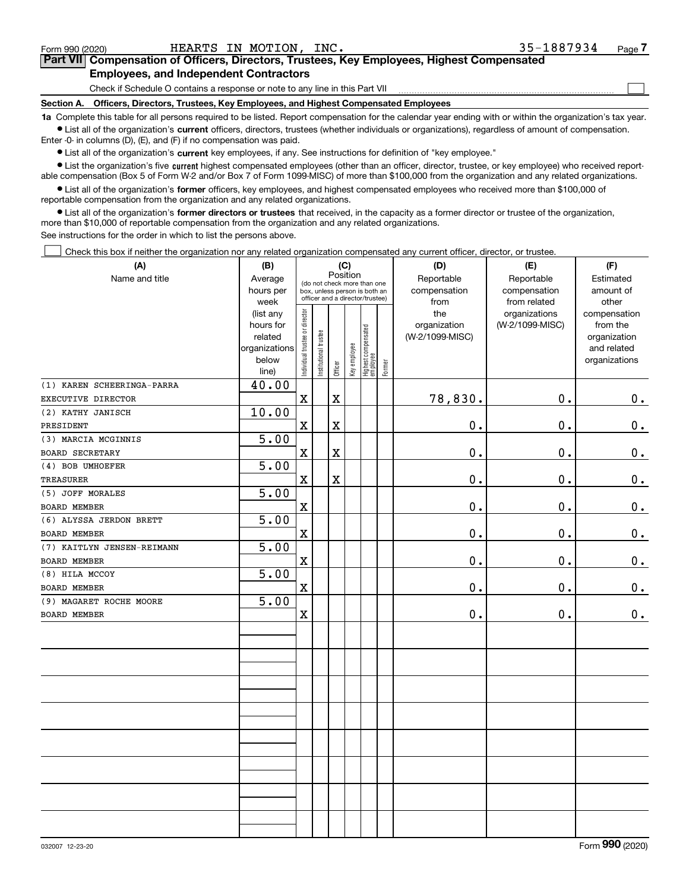| 032007 12-23-20 |  |
|-----------------|--|
|                 |  |

BOARD MEMBER

0.

**1a**  Complete this table for all persons required to be listed. Report compensation for the calendar year ending with or within the organization's tax year. **•** List all of the organization's current officers, directors, trustees (whether individuals or organizations), regardless of amount of compensation. Enter -0- in columns (D), (E), and (F) if no compensation was paid.  $\bullet$  List all of the organization's  $\,$ current key employees, if any. See instructions for definition of "key employee." **•** List the organization's five current highest compensated employees (other than an officer, director, trustee, or key employee) who received reportable compensation (Box 5 of Form W-2 and/or Box 7 of Form 1099-MISC) of more than \$100,000 from the organization and any related organizations. **•** List all of the organization's former officers, key employees, and highest compensated employees who received more than \$100,000 of reportable compensation from the organization and any related organizations. **former directors or trustees**  ¥ List all of the organization's that received, in the capacity as a former director or trustee of the organization, more than \$10,000 of reportable compensation from the organization and any related organizations. See instructions for the order in which to list the persons above.  $\mathcal{L}^{\text{max}}$ Check this box if neither the organization nor any related organization compensated any current officer, director, or trustee. **(A) (B) (C) (D) (E) (F)** PositionName and title **Average** ReportableReportableEstimated(do not check more than one box, unless person is both an hours per compensationcompensationamount of officer and a director/trustee) week from from related otherdirector (list any Individual trustee or director theorganizations compensationhours for organization (W-2/1099-MISC)from the Highest compensated trustee or o compensated nstitutional trustee Institutional trustee (W-2/1099-MISC)relatedorganization organizations Key employee and related ndividual t employee beloworganizations ighest Former Officer line)(1) KAREN SCHEERINGA-PARRA 40.00  $0_{.}$ X X 78,830. 0. EXECUTIVE DIRECTOR (2) KATHY JANISCH 10.00 X X 0. 0.  $\mathbf 0$  . PRESIDENT (3) MARCIA MCGINNIS 5.00 X X  $\mathbf 0$  . 0. 0. BOARD SECRETARY 5.00 (4) BOB UMHOEFER X X TREASURER0. 0. 0. (5) JOFF MORALES 5.00 BOARD MEMBER X 0. 0. 0. 5.00 (6) ALYSSA JERDON BRETT BOARD MEMBER X 0. 0. 0. (7) KAITLYN JENSEN-REIMANN 5.00 BOARD MEMBER X  $\mathbf 0$  . 0. 0. 5.00 (8) HILA MCCOY X 0. 0. 0. BOARD MEMBER 5.00 (9) MAGARET ROCHE MOORE

X

0.

0.

Check if Schedule O contains a response or note to any line in this Part VII

**Section A. Officers, Directors, Trustees, Key Employees, and Highest Compensated Employees**

Form 990 (2020) HEARTS IN MOTION,INC. 35-1887934 Page **7Part VII Compensation of Officers, Directors, Trustees, Key Employees, Highest Compensated Employees, and Independent Contractors**

 $\mathcal{L}^{\text{max}}$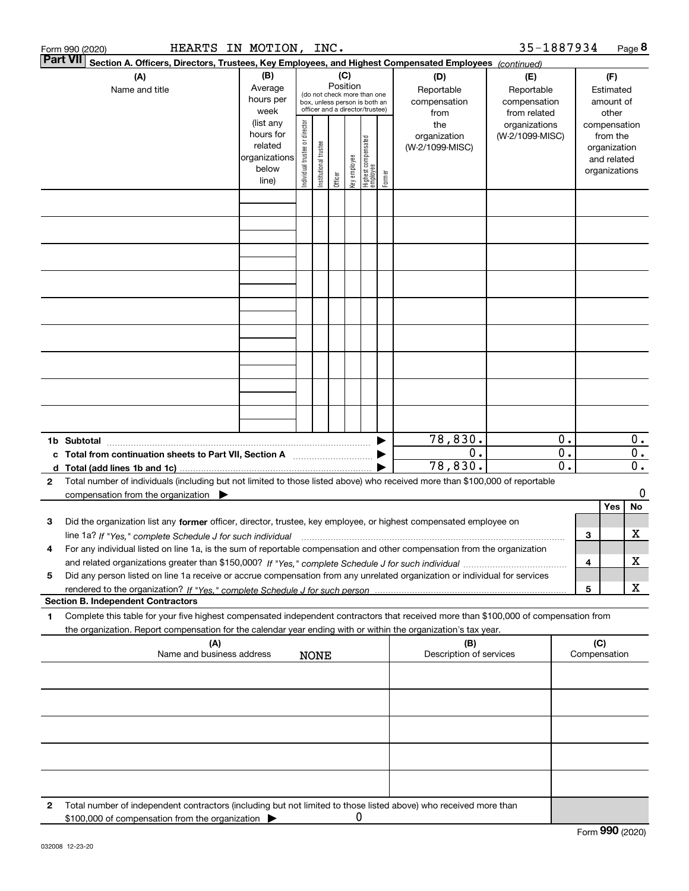|   | HEARTS IN MOTION, INC.<br>Form 990 (2020)                                                                                                                                                                                                              |                                                                      |                                |                       |                 |              |                                                                                                 |        |                                           | 35-1887934                                        |                                                          |     |                                                                          | Page 8                               |
|---|--------------------------------------------------------------------------------------------------------------------------------------------------------------------------------------------------------------------------------------------------------|----------------------------------------------------------------------|--------------------------------|-----------------------|-----------------|--------------|-------------------------------------------------------------------------------------------------|--------|-------------------------------------------|---------------------------------------------------|----------------------------------------------------------|-----|--------------------------------------------------------------------------|--------------------------------------|
|   | <b>Part VII</b><br>Section A. Officers, Directors, Trustees, Key Employees, and Highest Compensated Employees (continued)                                                                                                                              |                                                                      |                                |                       |                 |              |                                                                                                 |        |                                           |                                                   |                                                          |     |                                                                          |                                      |
|   | (A)<br>Name and title                                                                                                                                                                                                                                  | (B)<br>Average<br>hours per<br>week                                  |                                |                       | (C)<br>Position |              | (do not check more than one<br>box, unless person is both an<br>officer and a director/trustee) |        | (D)<br>Reportable<br>compensation<br>from | (E)<br>Reportable<br>compensation<br>from related |                                                          |     | (F)<br>Estimated<br>amount of<br>other                                   |                                      |
|   |                                                                                                                                                                                                                                                        | (list any<br>hours for<br>related<br>organizations<br>below<br>line) | Individual trustee or director | Institutional trustee | Officer         | key employee | Highest compensated<br>employee                                                                 | Former | the<br>organization<br>(W-2/1099-MISC)    | organizations<br>(W-2/1099-MISC)                  |                                                          |     | compensation<br>from the<br>organization<br>and related<br>organizations |                                      |
|   |                                                                                                                                                                                                                                                        |                                                                      |                                |                       |                 |              |                                                                                                 |        |                                           |                                                   |                                                          |     |                                                                          |                                      |
|   |                                                                                                                                                                                                                                                        |                                                                      |                                |                       |                 |              |                                                                                                 |        |                                           |                                                   |                                                          |     |                                                                          |                                      |
|   |                                                                                                                                                                                                                                                        |                                                                      |                                |                       |                 |              |                                                                                                 |        |                                           |                                                   |                                                          |     |                                                                          |                                      |
|   |                                                                                                                                                                                                                                                        |                                                                      |                                |                       |                 |              |                                                                                                 |        |                                           |                                                   |                                                          |     |                                                                          |                                      |
|   |                                                                                                                                                                                                                                                        |                                                                      |                                |                       |                 |              |                                                                                                 |        |                                           |                                                   |                                                          |     |                                                                          |                                      |
|   |                                                                                                                                                                                                                                                        |                                                                      |                                |                       |                 |              |                                                                                                 |        |                                           |                                                   |                                                          |     |                                                                          |                                      |
|   |                                                                                                                                                                                                                                                        |                                                                      |                                |                       |                 |              |                                                                                                 |        |                                           |                                                   |                                                          |     |                                                                          |                                      |
|   |                                                                                                                                                                                                                                                        |                                                                      |                                |                       |                 |              |                                                                                                 |        |                                           |                                                   |                                                          |     |                                                                          |                                      |
|   |                                                                                                                                                                                                                                                        |                                                                      |                                |                       |                 |              |                                                                                                 |        |                                           |                                                   |                                                          |     |                                                                          |                                      |
|   | 1b Subtotal                                                                                                                                                                                                                                            |                                                                      |                                |                       |                 |              |                                                                                                 |        | 78,830.                                   |                                                   | 0.                                                       |     |                                                                          | $0$ .                                |
|   |                                                                                                                                                                                                                                                        |                                                                      |                                |                       |                 |              |                                                                                                 |        | $\overline{0}$ .<br>78,830.               |                                                   | $\overline{\mathbf{0}}$ .<br>$\overline{\mathfrak{o}}$ . |     |                                                                          | $\overline{0}$ .<br>$\overline{0}$ . |
| 2 | Total number of individuals (including but not limited to those listed above) who received more than \$100,000 of reportable                                                                                                                           |                                                                      |                                |                       |                 |              |                                                                                                 |        |                                           |                                                   |                                                          |     |                                                                          |                                      |
|   | compensation from the organization $\blacktriangleright$                                                                                                                                                                                               |                                                                      |                                |                       |                 |              |                                                                                                 |        |                                           |                                                   |                                                          |     | <b>Yes</b>                                                               | 0<br>No                              |
| 3 | Did the organization list any former officer, director, trustee, key employee, or highest compensated employee on                                                                                                                                      |                                                                      |                                |                       |                 |              |                                                                                                 |        |                                           |                                                   |                                                          |     |                                                                          |                                      |
|   | line 1a? If "Yes," complete Schedule J for such individual manufactured contained and the Ves," complete Schedule J for such individual                                                                                                                |                                                                      |                                |                       |                 |              |                                                                                                 |        |                                           |                                                   |                                                          | 3   |                                                                          | х                                    |
| 4 | For any individual listed on line 1a, is the sum of reportable compensation and other compensation from the organization                                                                                                                               |                                                                      |                                |                       |                 |              |                                                                                                 |        |                                           |                                                   |                                                          | 4   |                                                                          | х                                    |
| 5 | Did any person listed on line 1a receive or accrue compensation from any unrelated organization or individual for services                                                                                                                             |                                                                      |                                |                       |                 |              |                                                                                                 |        |                                           |                                                   |                                                          | 5   |                                                                          | X                                    |
|   | <b>Section B. Independent Contractors</b>                                                                                                                                                                                                              |                                                                      |                                |                       |                 |              |                                                                                                 |        |                                           |                                                   |                                                          |     |                                                                          |                                      |
| 1 | Complete this table for your five highest compensated independent contractors that received more than \$100,000 of compensation from<br>the organization. Report compensation for the calendar year ending with or within the organization's tax year. |                                                                      |                                |                       |                 |              |                                                                                                 |        |                                           |                                                   |                                                          |     |                                                                          |                                      |
|   | (A)<br>Name and business address                                                                                                                                                                                                                       |                                                                      |                                | <b>NONE</b>           |                 |              |                                                                                                 |        | (B)<br>Description of services            |                                                   |                                                          | (C) | Compensation                                                             |                                      |
|   |                                                                                                                                                                                                                                                        |                                                                      |                                |                       |                 |              |                                                                                                 |        |                                           |                                                   |                                                          |     |                                                                          |                                      |
|   |                                                                                                                                                                                                                                                        |                                                                      |                                |                       |                 |              |                                                                                                 |        |                                           |                                                   |                                                          |     |                                                                          |                                      |
|   |                                                                                                                                                                                                                                                        |                                                                      |                                |                       |                 |              |                                                                                                 |        |                                           |                                                   |                                                          |     |                                                                          |                                      |
|   |                                                                                                                                                                                                                                                        |                                                                      |                                |                       |                 |              |                                                                                                 |        |                                           |                                                   |                                                          |     |                                                                          |                                      |
|   |                                                                                                                                                                                                                                                        |                                                                      |                                |                       |                 |              |                                                                                                 |        |                                           |                                                   |                                                          |     |                                                                          |                                      |
| 2 | Total number of independent contractors (including but not limited to those listed above) who received more than<br>\$100,000 of compensation from the organization                                                                                    |                                                                      |                                |                       |                 | 0            |                                                                                                 |        |                                           |                                                   |                                                          |     |                                                                          |                                      |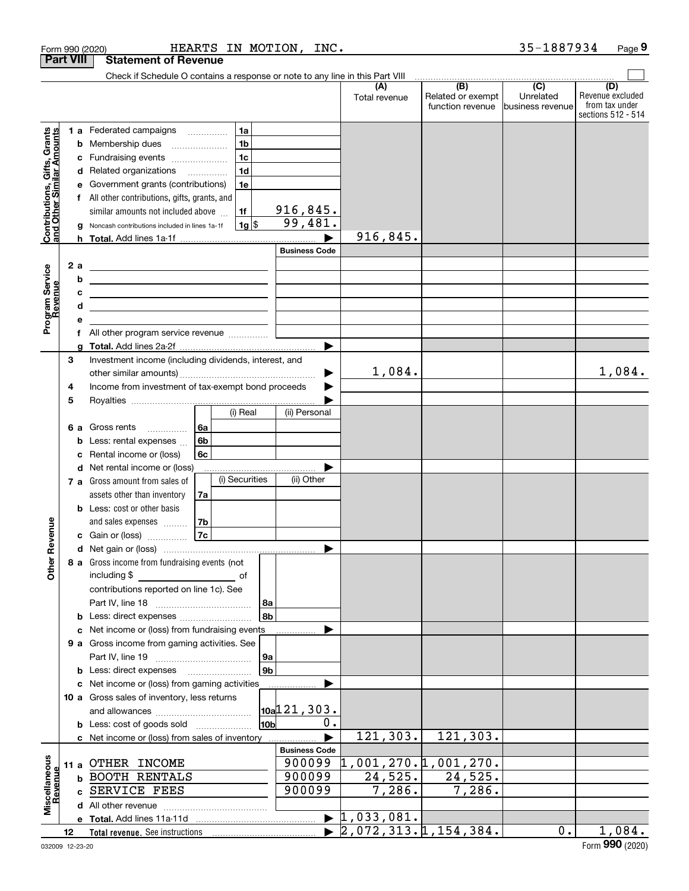|                                                           |    |      | Form 990 (2020)                                                               |      |                |                 | HEARTS IN MOTION, INC. |                                                                |                                              | 35-1887934                                       | Page 9                                                          |
|-----------------------------------------------------------|----|------|-------------------------------------------------------------------------------|------|----------------|-----------------|------------------------|----------------------------------------------------------------|----------------------------------------------|--------------------------------------------------|-----------------------------------------------------------------|
| <b>Part VIII</b>                                          |    |      | <b>Statement of Revenue</b>                                                   |      |                |                 |                        |                                                                |                                              |                                                  |                                                                 |
|                                                           |    |      | Check if Schedule O contains a response or note to any line in this Part VIII |      |                |                 |                        |                                                                |                                              |                                                  |                                                                 |
|                                                           |    |      |                                                                               |      |                |                 |                        | (A)<br>Total revenue                                           | (B)<br>Related or exempt<br>function revenue | $\overline{C}$<br>Unrelated<br>lbusiness revenue | (D)<br>Revenue excluded<br>from tax under<br>sections 512 - 514 |
|                                                           |    |      | 1 a Federated campaigns                                                       |      | 1a             |                 |                        |                                                                |                                              |                                                  |                                                                 |
| Contributions, Gifts, Grants<br>and Other Similar Amounts |    | b    | Membership dues                                                               |      | 1 <sub>b</sub> |                 |                        |                                                                |                                              |                                                  |                                                                 |
|                                                           |    |      | Fundraising events                                                            |      | 1 <sub>c</sub> |                 |                        |                                                                |                                              |                                                  |                                                                 |
|                                                           |    |      | d Related organizations                                                       |      | 1 <sub>d</sub> |                 |                        |                                                                |                                              |                                                  |                                                                 |
|                                                           |    | е    | Government grants (contributions)                                             |      | 1e             |                 |                        |                                                                |                                              |                                                  |                                                                 |
|                                                           |    |      | f All other contributions, gifts, grants, and                                 |      |                |                 |                        |                                                                |                                              |                                                  |                                                                 |
|                                                           |    |      | similar amounts not included above                                            |      | 1f             |                 | 916,845.               |                                                                |                                              |                                                  |                                                                 |
|                                                           |    |      | Noncash contributions included in lines 1a-1f                                 |      | 1g             |                 | 99,481.                |                                                                |                                              |                                                  |                                                                 |
|                                                           |    |      |                                                                               |      |                |                 |                        | 916,845.                                                       |                                              |                                                  |                                                                 |
|                                                           |    |      |                                                                               |      |                |                 | <b>Business Code</b>   |                                                                |                                              |                                                  |                                                                 |
|                                                           |    | 2a   | <u> 1989 - Johann Barn, amerikansk politiker (d. 1989)</u>                    |      |                |                 |                        |                                                                |                                              |                                                  |                                                                 |
| Program Service<br>Revenue                                |    | b    | <u> 1980 - Johann Barn, mars an t-Amerikaansk politiker (</u>                 |      |                |                 |                        |                                                                |                                              |                                                  |                                                                 |
|                                                           |    | c    |                                                                               |      |                |                 |                        |                                                                |                                              |                                                  |                                                                 |
|                                                           |    | d    |                                                                               |      |                |                 |                        |                                                                |                                              |                                                  |                                                                 |
|                                                           |    | е    |                                                                               |      |                |                 |                        |                                                                |                                              |                                                  |                                                                 |
|                                                           |    | f    | All other program service revenue <i></i>                                     |      |                |                 |                        |                                                                |                                              |                                                  |                                                                 |
|                                                           |    | a    |                                                                               |      |                |                 | $\blacktriangleright$  |                                                                |                                              |                                                  |                                                                 |
|                                                           | 3  |      | Investment income (including dividends, interest, and                         |      |                |                 |                        |                                                                |                                              |                                                  |                                                                 |
|                                                           |    |      |                                                                               |      |                |                 | ▶                      | 1,084.                                                         |                                              |                                                  | 1,084.                                                          |
|                                                           | 4  |      | Income from investment of tax-exempt bond proceeds                            |      |                |                 | ▶                      |                                                                |                                              |                                                  |                                                                 |
|                                                           | 5  |      |                                                                               |      | (i) Real       |                 | (ii) Personal          |                                                                |                                              |                                                  |                                                                 |
|                                                           |    |      |                                                                               |      |                |                 |                        |                                                                |                                              |                                                  |                                                                 |
|                                                           |    |      | 6 a Gross rents<br>.                                                          | l 6a |                |                 |                        |                                                                |                                              |                                                  |                                                                 |
|                                                           |    | b    | Less: rental expenses                                                         | 6b   |                |                 |                        |                                                                |                                              |                                                  |                                                                 |
|                                                           |    | c    | Rental income or (loss)<br>d Net rental income or (loss)                      | 6с   |                |                 |                        |                                                                |                                              |                                                  |                                                                 |
|                                                           |    |      | 7 a Gross amount from sales of                                                |      | (i) Securities |                 | (ii) Other             |                                                                |                                              |                                                  |                                                                 |
|                                                           |    |      | assets other than inventory                                                   | 7a   |                |                 |                        |                                                                |                                              |                                                  |                                                                 |
|                                                           |    |      | <b>b</b> Less: cost or other basis                                            |      |                |                 |                        |                                                                |                                              |                                                  |                                                                 |
|                                                           |    |      | and sales expenses                                                            | 7b   |                |                 |                        |                                                                |                                              |                                                  |                                                                 |
| venue                                                     |    |      | c Gain or (loss)                                                              | 7c   |                |                 |                        |                                                                |                                              |                                                  |                                                                 |
|                                                           |    |      |                                                                               |      |                |                 |                        |                                                                |                                              |                                                  |                                                                 |
| Other Re                                                  |    |      | 8 a Gross income from fundraising events (not                                 |      |                |                 |                        |                                                                |                                              |                                                  |                                                                 |
|                                                           |    |      | including \$<br><u>of</u> of                                                  |      |                |                 |                        |                                                                |                                              |                                                  |                                                                 |
|                                                           |    |      | contributions reported on line 1c). See                                       |      |                |                 |                        |                                                                |                                              |                                                  |                                                                 |
|                                                           |    |      |                                                                               |      |                | 8a              |                        |                                                                |                                              |                                                  |                                                                 |
|                                                           |    |      |                                                                               |      |                | 8b              |                        |                                                                |                                              |                                                  |                                                                 |
|                                                           |    |      | Net income or (loss) from fundraising events                                  |      |                |                 |                        |                                                                |                                              |                                                  |                                                                 |
|                                                           |    |      | 9 a Gross income from gaming activities. See                                  |      |                |                 |                        |                                                                |                                              |                                                  |                                                                 |
|                                                           |    |      |                                                                               |      |                | 9a              |                        |                                                                |                                              |                                                  |                                                                 |
|                                                           |    |      |                                                                               |      |                | 9b              |                        |                                                                |                                              |                                                  |                                                                 |
|                                                           |    |      | c Net income or (loss) from gaming activities                                 |      |                |                 | ▶                      |                                                                |                                              |                                                  |                                                                 |
|                                                           |    |      | 10 a Gross sales of inventory, less returns                                   |      |                |                 |                        |                                                                |                                              |                                                  |                                                                 |
|                                                           |    |      |                                                                               |      |                |                 | 10a121,303.            |                                                                |                                              |                                                  |                                                                 |
|                                                           |    |      | <b>b</b> Less: cost of goods sold                                             |      |                | 10 <sub>b</sub> | 0.                     |                                                                |                                              |                                                  |                                                                 |
|                                                           |    |      | c Net income or (loss) from sales of inventory                                |      |                |                 |                        | 121,303.                                                       | 121,303.                                     |                                                  |                                                                 |
|                                                           |    |      |                                                                               |      |                |                 | <b>Business Code</b>   |                                                                |                                              |                                                  |                                                                 |
|                                                           |    | 11 a | OTHER INCOME                                                                  |      |                |                 |                        | $900099$ $\updownarrow$ , 001, 270. $\updownarrow$ , 001, 270. |                                              |                                                  |                                                                 |
|                                                           |    | b    | <b>BOOTH RENTALS</b>                                                          |      |                |                 | 900099                 | 24,525.                                                        | 24,525.                                      |                                                  |                                                                 |
| Miscellaneous<br>Revenue                                  |    | C.   | SERVICE FEES                                                                  |      |                |                 | 900099                 | 7,286.                                                         | 7,286.                                       |                                                  |                                                                 |
|                                                           |    |      |                                                                               |      |                |                 |                        |                                                                |                                              |                                                  |                                                                 |
|                                                           |    |      |                                                                               |      |                |                 |                        | $\blacktriangleright$ 1,033,081.                               |                                              |                                                  |                                                                 |
|                                                           | 12 |      |                                                                               |      |                |                 |                        | $\blacktriangleright$ 2,072,313.1,154,384.                     |                                              | $0$ .                                            | 1,084.                                                          |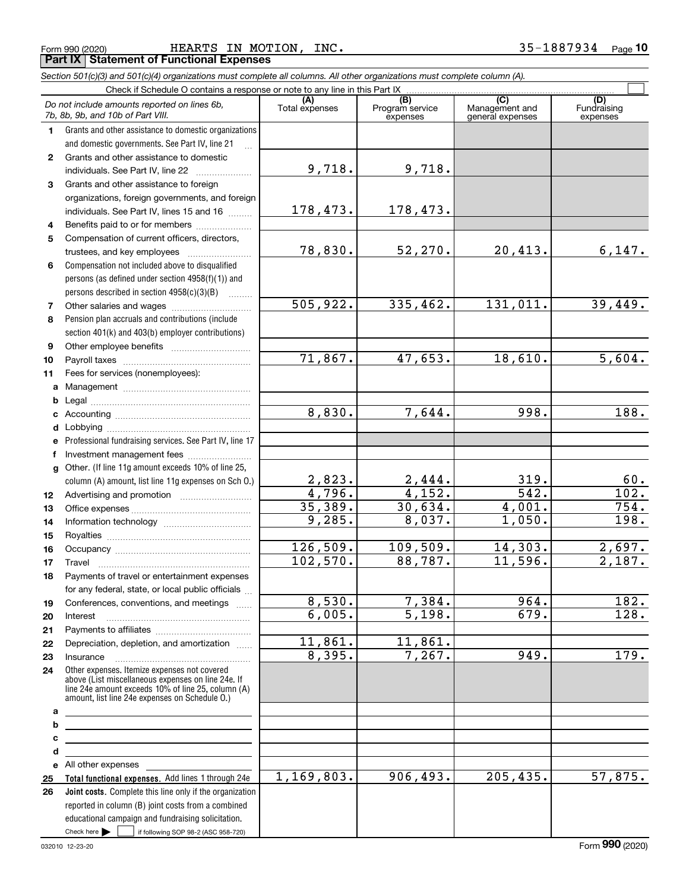Form 990 (2020) HEARTS IN MOTION, INC. 35-1887934 Page **Part IX Statement of Functional Expenses**

|              | Section 501(c)(3) and 501(c)(4) organizations must complete all columns. All other organizations must complete column (A).                                                                                 |                |                             |                                    |                         |
|--------------|------------------------------------------------------------------------------------------------------------------------------------------------------------------------------------------------------------|----------------|-----------------------------|------------------------------------|-------------------------|
|              | Check if Schedule O contains a response or note to any line in this Part IX                                                                                                                                | (A)            | (B)                         | $\overline{C}$                     | (D)                     |
|              | Do not include amounts reported on lines 6b,<br>7b, 8b, 9b, and 10b of Part VIII.                                                                                                                          | Total expenses | Program service<br>expenses | Management and<br>general expenses | Fundraising<br>expenses |
| 1.           | Grants and other assistance to domestic organizations                                                                                                                                                      |                |                             |                                    |                         |
|              | and domestic governments. See Part IV, line 21                                                                                                                                                             |                |                             |                                    |                         |
| $\mathbf{2}$ | Grants and other assistance to domestic                                                                                                                                                                    |                |                             |                                    |                         |
|              | individuals. See Part IV, line 22                                                                                                                                                                          | 9,718.         | 9,718.                      |                                    |                         |
| 3            | Grants and other assistance to foreign                                                                                                                                                                     |                |                             |                                    |                         |
|              | organizations, foreign governments, and foreign                                                                                                                                                            |                |                             |                                    |                         |
|              | individuals. See Part IV, lines 15 and 16                                                                                                                                                                  | 178,473.       | 178,473.                    |                                    |                         |
| 4            | Benefits paid to or for members                                                                                                                                                                            |                |                             |                                    |                         |
| 5            | Compensation of current officers, directors,                                                                                                                                                               |                |                             |                                    |                         |
|              |                                                                                                                                                                                                            | 78,830.        | 52, 270.                    | 20,413.                            | 6,147.                  |
| 6            | Compensation not included above to disqualified                                                                                                                                                            |                |                             |                                    |                         |
|              | persons (as defined under section 4958(f)(1)) and                                                                                                                                                          |                |                             |                                    |                         |
|              | persons described in section 4958(c)(3)(B)                                                                                                                                                                 |                |                             |                                    |                         |
| 7            |                                                                                                                                                                                                            | 505,922.       | 335,462.                    | 131,011.                           | 39,449.                 |
| 8            | Pension plan accruals and contributions (include                                                                                                                                                           |                |                             |                                    |                         |
|              | section 401(k) and 403(b) employer contributions)                                                                                                                                                          |                |                             |                                    |                         |
| 9            |                                                                                                                                                                                                            |                |                             |                                    |                         |
| 10           |                                                                                                                                                                                                            | 71,867.        | 47,653.                     | 18,610.                            | 5,604.                  |
| 11           | Fees for services (nonemployees):                                                                                                                                                                          |                |                             |                                    |                         |
| a            |                                                                                                                                                                                                            |                |                             |                                    |                         |
| b            |                                                                                                                                                                                                            |                |                             |                                    |                         |
| c            |                                                                                                                                                                                                            | 8,830.         | 7,644.                      | 998.                               | 188.                    |
|              |                                                                                                                                                                                                            |                |                             |                                    |                         |
|              | e Professional fundraising services. See Part IV, line 17                                                                                                                                                  |                |                             |                                    |                         |
| f            | Investment management fees                                                                                                                                                                                 |                |                             |                                    |                         |
|              | g Other. (If line 11g amount exceeds 10% of line 25,                                                                                                                                                       |                |                             |                                    |                         |
|              | column (A) amount, list line 11g expenses on Sch O.)                                                                                                                                                       | 2,823.         | 2,444.                      | 319.                               | 60.                     |
| 12           |                                                                                                                                                                                                            | 4,796.         | 4,152.                      | 542.                               | $\overline{102.}$       |
| 13           |                                                                                                                                                                                                            | 35,389.        | 30,634.                     | 4,001.                             | 754.                    |
| 14           |                                                                                                                                                                                                            | 9,285.         | 8,037.                      | 1,050.                             | 198.                    |
| 15           |                                                                                                                                                                                                            |                |                             |                                    |                         |
| 16           |                                                                                                                                                                                                            | 126,509.       | 109,509.                    | 14,303.                            | 2,697.                  |
| 17           |                                                                                                                                                                                                            | 102,570.       | 88,787.                     | 11,596.                            | 2,187.                  |
| 18           | Payments of travel or entertainment expenses                                                                                                                                                               |                |                             |                                    |                         |
|              | for any federal, state, or local public officials                                                                                                                                                          |                |                             |                                    |                         |
| 19           | Conferences, conventions, and meetings                                                                                                                                                                     | 8,530.         | 7,384.                      | 964.                               | 182.                    |
| 20           | Interest                                                                                                                                                                                                   | 6,005.         | 5,198.                      | 679.                               | 128.                    |
| 21           |                                                                                                                                                                                                            |                |                             |                                    |                         |
| 22           | Depreciation, depletion, and amortization                                                                                                                                                                  | 11,861.        | 11,861.                     |                                    |                         |
| 23           | Insurance                                                                                                                                                                                                  | 8,395.         | 7,267.                      | 949.                               | 179.                    |
| 24           | Other expenses. Itemize expenses not covered<br>above (List miscellaneous expenses on line 24e. If<br>line 24e amount exceeds 10% of line 25, column (A)<br>amount, list line 24e expenses on Schedule 0.) |                |                             |                                    |                         |
| a            | <u> 1989 - Johann Barbara, martxa alemaniar arg</u>                                                                                                                                                        |                |                             |                                    |                         |
| b            | <u> 1989 - Johann Stein, marwolaethau a bhann an t-Amhain an t-Amhain an t-Amhain an t-Amhain an t-Amhain an t-A</u>                                                                                       |                |                             |                                    |                         |
| с            | the contract of the contract of the contract of the contract of the contract of                                                                                                                            |                |                             |                                    |                         |
| d            | <u> 1989 - Johann Stein, mars an de Brazilian (b. 1989)</u>                                                                                                                                                |                |                             |                                    |                         |
|              | e All other expenses                                                                                                                                                                                       |                |                             |                                    |                         |
| 25           | Total functional expenses. Add lines 1 through 24e                                                                                                                                                         | 1,169,803.     | 906, 493.                   | 205, 435.                          | 57,875.                 |
| 26           | Joint costs. Complete this line only if the organization                                                                                                                                                   |                |                             |                                    |                         |
|              | reported in column (B) joint costs from a combined                                                                                                                                                         |                |                             |                                    |                         |
|              | educational campaign and fundraising solicitation.                                                                                                                                                         |                |                             |                                    |                         |
|              | Check here $\blacktriangleright$<br>if following SOP 98-2 (ASC 958-720)                                                                                                                                    |                |                             |                                    |                         |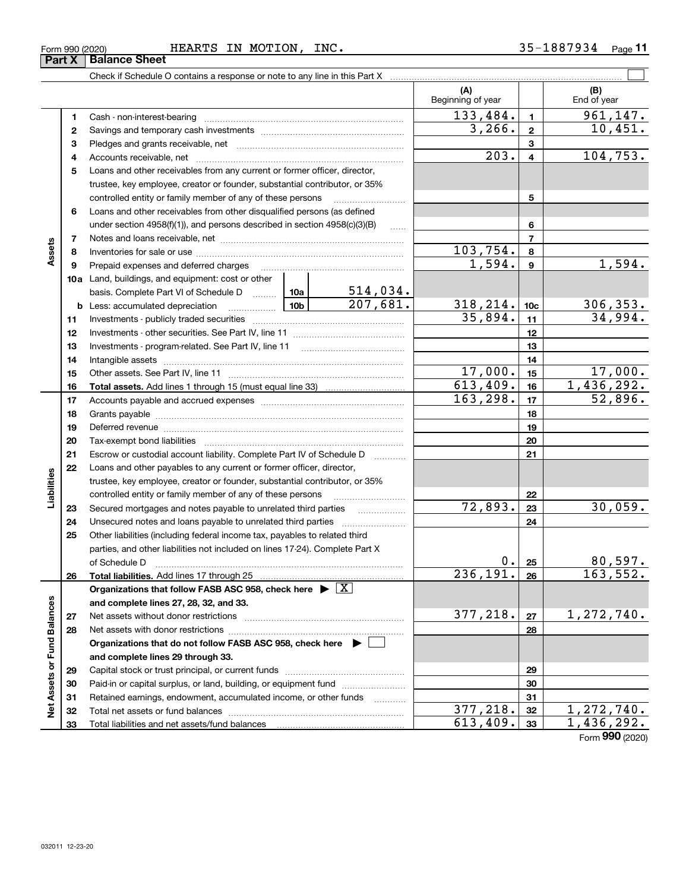| Form 990 (2020) | <b>HEARTS</b> | MOTION<br>ΙN | INC. | .887934<br>$25 -$<br>ر. ر | Page |
|-----------------|---------------|--------------|------|---------------------------|------|
|-----------------|---------------|--------------|------|---------------------------|------|

|                             |    | Check if Schedule O contains a response or note to any line in this Part X                                                                                                                                                     |                             |                          |                         |                    |
|-----------------------------|----|--------------------------------------------------------------------------------------------------------------------------------------------------------------------------------------------------------------------------------|-----------------------------|--------------------------|-------------------------|--------------------|
|                             |    |                                                                                                                                                                                                                                |                             | (A)<br>Beginning of year |                         | (B)<br>End of year |
|                             | 1  |                                                                                                                                                                                                                                |                             | 133,484.                 | $\mathbf{1}$            | 961,147.           |
|                             | 2  |                                                                                                                                                                                                                                |                             | 3,266.                   | $\mathbf{2}$            | 10,451.            |
|                             | з  |                                                                                                                                                                                                                                |                             |                          | 3                       |                    |
|                             | 4  |                                                                                                                                                                                                                                |                             | $\overline{203}$ .       | $\overline{\mathbf{4}}$ | 104, 753.          |
|                             | 5  | Loans and other receivables from any current or former officer, director,                                                                                                                                                      |                             |                          |                         |                    |
|                             |    | trustee, key employee, creator or founder, substantial contributor, or 35%                                                                                                                                                     |                             |                          |                         |                    |
|                             |    | controlled entity or family member of any of these persons                                                                                                                                                                     |                             |                          | 5                       |                    |
|                             | 6  | Loans and other receivables from other disqualified persons (as defined                                                                                                                                                        |                             |                          |                         |                    |
|                             |    | under section $4958(f)(1)$ , and persons described in section $4958(c)(3)(B)$                                                                                                                                                  | 1.1.1.1                     |                          | 6                       |                    |
|                             | 7  |                                                                                                                                                                                                                                |                             |                          | $\overline{7}$          |                    |
| Assets                      | 8  |                                                                                                                                                                                                                                |                             | 103,754.                 | 8                       |                    |
|                             | 9  | Prepaid expenses and deferred charges                                                                                                                                                                                          |                             | 1,594.                   | 9                       | 1,594.             |
|                             |    | 10a Land, buildings, and equipment: cost or other                                                                                                                                                                              |                             |                          |                         |                    |
|                             |    | basis. Complete Part VI of Schedule D  10a                                                                                                                                                                                     | $\frac{514,034.}{207,681.}$ |                          |                         |                    |
|                             | b  | $\begin{array}{ c c c c c }\n\hline\n\textbf{10b}\n\end{array}$<br>Less: accumulated depreciation                                                                                                                              |                             | 318, 214.                | 10 <sub>c</sub>         | 306, 353.          |
|                             | 11 |                                                                                                                                                                                                                                |                             | 35,894.                  | 11                      | 34,994.            |
|                             | 12 |                                                                                                                                                                                                                                |                             |                          | 12                      |                    |
|                             | 13 |                                                                                                                                                                                                                                |                             |                          | 13                      |                    |
|                             | 14 |                                                                                                                                                                                                                                |                             |                          | 14                      |                    |
|                             | 15 |                                                                                                                                                                                                                                |                             | 17,000.                  | 15                      | 17,000.            |
|                             | 16 |                                                                                                                                                                                                                                |                             | 613,409.                 | 16                      | 1,436,292.         |
|                             | 17 |                                                                                                                                                                                                                                |                             | 163, 298.                | 17                      | 52,896.            |
|                             | 18 |                                                                                                                                                                                                                                |                             |                          | 18                      |                    |
|                             | 19 | Deferred revenue manual contracts and contracts are contracted and contract and contract are contracted and contract are contracted and contract are contracted and contract are contracted and contract are contracted and co |                             |                          | 19                      |                    |
|                             | 20 |                                                                                                                                                                                                                                |                             |                          | 20                      |                    |
|                             | 21 | Escrow or custodial account liability. Complete Part IV of Schedule D                                                                                                                                                          | 1.1.1.1.1.1.1.1.1.1         |                          | 21                      |                    |
|                             | 22 | Loans and other payables to any current or former officer, director,                                                                                                                                                           |                             |                          |                         |                    |
| Liabilities                 |    | trustee, key employee, creator or founder, substantial contributor, or 35%                                                                                                                                                     |                             |                          |                         |                    |
|                             |    | controlled entity or family member of any of these persons                                                                                                                                                                     |                             |                          | 22                      |                    |
|                             | 23 |                                                                                                                                                                                                                                |                             | 72,893.                  | 23                      | 30,059.            |
|                             | 24 | Unsecured notes and loans payable to unrelated third parties                                                                                                                                                                   |                             |                          | 24                      |                    |
|                             | 25 | Other liabilities (including federal income tax, payables to related third                                                                                                                                                     |                             |                          |                         |                    |
|                             |    | parties, and other liabilities not included on lines 17-24). Complete Part X                                                                                                                                                   |                             |                          |                         |                    |
|                             |    | of Schedule D                                                                                                                                                                                                                  |                             | 0.1                      | 25                      | 80,597.            |
|                             | 26 | Total liabilities. Add lines 17 through 25                                                                                                                                                                                     |                             | 236, 191.                | 26                      | 163,552.           |
|                             |    | Organizations that follow FASB ASC 958, check here $\blacktriangleright \boxed{X}$                                                                                                                                             |                             |                          |                         |                    |
|                             |    | and complete lines 27, 28, 32, and 33.                                                                                                                                                                                         |                             |                          |                         |                    |
|                             | 27 | Net assets without donor restrictions                                                                                                                                                                                          |                             | 377,218.                 | 27                      | 1,272,740.         |
|                             | 28 | Net assets with donor restrictions                                                                                                                                                                                             |                             |                          | 28                      |                    |
|                             |    | Organizations that do not follow FASB ASC 958, check here $\blacktriangleright$                                                                                                                                                |                             |                          |                         |                    |
| Net Assets or Fund Balances |    | and complete lines 29 through 33.                                                                                                                                                                                              |                             |                          |                         |                    |
|                             | 29 |                                                                                                                                                                                                                                |                             |                          | 29                      |                    |
|                             | 30 | Paid-in or capital surplus, or land, building, or equipment fund                                                                                                                                                               |                             |                          | 30                      |                    |
|                             | 31 | Retained earnings, endowment, accumulated income, or other funds                                                                                                                                                               | .                           |                          | 31                      |                    |
|                             | 32 | Total net assets or fund balances                                                                                                                                                                                              |                             | 377,218.                 | 32                      | 1,272,740.         |
|                             | 33 | Total liabilities and net assets/fund balances                                                                                                                                                                                 |                             | 613,409.                 | 33                      | 1,436,292.         |

Form (2020) **990**

## **Part X Balance Sheet**

|  | Form 990 (2020) |
|--|-----------------|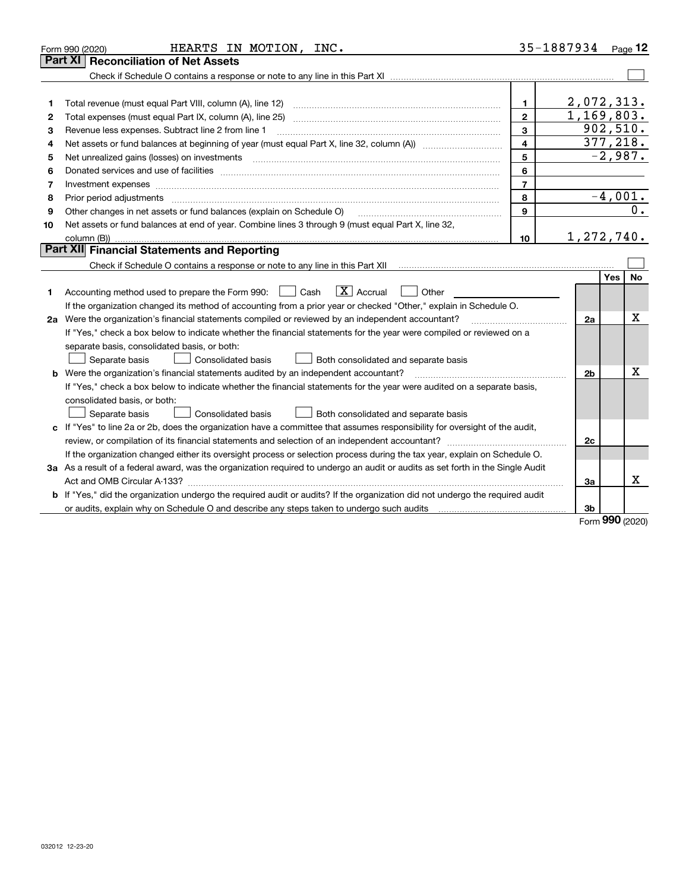|    | HEARTS IN MOTION, INC.<br>Form 990 (2020)                                                                                       |                         | 35-1887934 Page 12 |                  |
|----|---------------------------------------------------------------------------------------------------------------------------------|-------------------------|--------------------|------------------|
|    | <b>Reconciliation of Net Assets</b><br>Part XI                                                                                  |                         |                    |                  |
|    |                                                                                                                                 |                         |                    |                  |
|    |                                                                                                                                 |                         |                    |                  |
| 1  | Total revenue (must equal Part VIII, column (A), line 12)                                                                       | 1.                      |                    | 2,072,313.       |
| 2  |                                                                                                                                 | $\mathbf{2}$            |                    | 1,169,803.       |
| з  | Revenue less expenses. Subtract line 2 from line 1                                                                              | 3                       |                    | 902, 510.        |
| 4  |                                                                                                                                 | $\overline{\mathbf{4}}$ |                    | 377,218.         |
| 5  |                                                                                                                                 | 5                       |                    | $-2,987.$        |
| 6  |                                                                                                                                 | 6                       |                    |                  |
| 7  | Investment expenses www.communication.com/www.communication.com/www.communication.com/www.com                                   | $\overline{7}$          |                    |                  |
| 8  | Prior period adjustments                                                                                                        | 8                       |                    | $-4,001.$        |
| 9  | Other changes in net assets or fund balances (explain on Schedule O)                                                            | 9                       |                    | 0.               |
| 10 | Net assets or fund balances at end of year. Combine lines 3 through 9 (must equal Part X, line 32,                              |                         |                    |                  |
|    |                                                                                                                                 | 10                      |                    | 1,272,740.       |
|    | Part XII Financial Statements and Reporting                                                                                     |                         |                    |                  |
|    |                                                                                                                                 |                         |                    |                  |
|    |                                                                                                                                 |                         |                    | <b>Yes</b><br>No |
| 1  | $\boxed{\mathbf{X}}$ Accrual<br>Accounting method used to prepare the Form 990: <u>June</u> Cash<br>Other                       |                         |                    |                  |
|    | If the organization changed its method of accounting from a prior year or checked "Other," explain in Schedule O.               |                         |                    |                  |
|    | 2a Were the organization's financial statements compiled or reviewed by an independent accountant?                              |                         | 2a                 | х                |
|    | If "Yes," check a box below to indicate whether the financial statements for the year were compiled or reviewed on a            |                         |                    |                  |
|    | separate basis, consolidated basis, or both:                                                                                    |                         |                    |                  |
|    | Separate basis<br>Consolidated basis<br>Both consolidated and separate basis                                                    |                         |                    |                  |
|    | <b>b</b> Were the organization's financial statements audited by an independent accountant?                                     |                         | 2 <sub>b</sub>     | x                |
|    | If "Yes," check a box below to indicate whether the financial statements for the year were audited on a separate basis,         |                         |                    |                  |
|    | consolidated basis, or both:                                                                                                    |                         |                    |                  |
|    | Separate basis<br>Consolidated basis<br>Both consolidated and separate basis                                                    |                         |                    |                  |
|    | c If "Yes" to line 2a or 2b, does the organization have a committee that assumes responsibility for oversight of the audit,     |                         |                    |                  |
|    |                                                                                                                                 |                         | 2c                 |                  |
|    | If the organization changed either its oversight process or selection process during the tax year, explain on Schedule O.       |                         |                    |                  |
|    | 3a As a result of a federal award, was the organization required to undergo an audit or audits as set forth in the Single Audit |                         |                    |                  |
|    |                                                                                                                                 |                         | За                 | x                |
|    | b If "Yes," did the organization undergo the required audit or audits? If the organization did not undergo the required audit   |                         |                    |                  |
|    |                                                                                                                                 |                         | 3b                 |                  |

Form (2020) **990**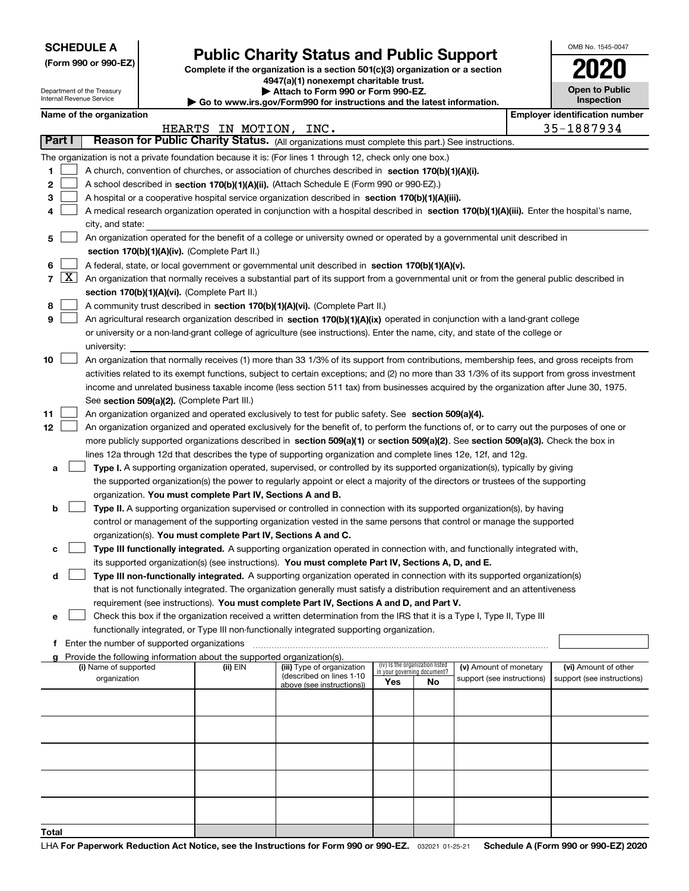|  | <b>SCHEDULE A</b> |
|--|-------------------|
|--|-------------------|

Department of the Treasury Internal Revenue Service

|  |  |  | (Form 990 or 990-EZ) |
|--|--|--|----------------------|
|--|--|--|----------------------|

## **Public Charity Status and Public Support**

**Complete if the organization is a section 501(c)(3) organization or a section 4947(a)(1) nonexempt charitable trust. | Attach to Form 990 or Form 990-EZ.** 

| <b>P</b> AUGUI IV I VIIII 330 VI I VIIII 330-LL.                         |  |
|--------------------------------------------------------------------------|--|
| ► Go to www.irs.gov/Form990 for instructions and the latest information. |  |
|                                                                          |  |

|  | <b>Open to Public</b><br><b>Inspection</b> |  |
|--|--------------------------------------------|--|
|  |                                            |  |

OMB No. 1545-0047

**2020**

| Name of the organization<br><b>Employer identification number</b>                                                                                                                  |                                                                                                  |                            |     |                                 |                            |  |                            |  |  |  |  |
|------------------------------------------------------------------------------------------------------------------------------------------------------------------------------------|--------------------------------------------------------------------------------------------------|----------------------------|-----|---------------------------------|----------------------------|--|----------------------------|--|--|--|--|
| 35-1887934<br>HEARTS IN MOTION, INC.                                                                                                                                               |                                                                                                  |                            |     |                                 |                            |  |                            |  |  |  |  |
| Part I                                                                                                                                                                             | Reason for Public Charity Status. (All organizations must complete this part.) See instructions. |                            |     |                                 |                            |  |                            |  |  |  |  |
| The organization is not a private foundation because it is: (For lines 1 through 12, check only one box.)                                                                          |                                                                                                  |                            |     |                                 |                            |  |                            |  |  |  |  |
| 1<br>A church, convention of churches, or association of churches described in section 170(b)(1)(A)(i).                                                                            |                                                                                                  |                            |     |                                 |                            |  |                            |  |  |  |  |
| 2<br>A school described in section 170(b)(1)(A)(ii). (Attach Schedule E (Form 990 or 990-EZ).)                                                                                     |                                                                                                  |                            |     |                                 |                            |  |                            |  |  |  |  |
| 3<br>A hospital or a cooperative hospital service organization described in section 170(b)(1)(A)(iii).                                                                             |                                                                                                  |                            |     |                                 |                            |  |                            |  |  |  |  |
| A medical research organization operated in conjunction with a hospital described in section 170(b)(1)(A)(iii). Enter the hospital's name,<br>4                                    |                                                                                                  |                            |     |                                 |                            |  |                            |  |  |  |  |
| city, and state:                                                                                                                                                                   |                                                                                                  |                            |     |                                 |                            |  |                            |  |  |  |  |
| An organization operated for the benefit of a college or university owned or operated by a governmental unit described in<br>5                                                     |                                                                                                  |                            |     |                                 |                            |  |                            |  |  |  |  |
| section 170(b)(1)(A)(iv). (Complete Part II.)                                                                                                                                      |                                                                                                  |                            |     |                                 |                            |  |                            |  |  |  |  |
| 6<br>A federal, state, or local government or governmental unit described in section 170(b)(1)(A)(v).                                                                              |                                                                                                  |                            |     |                                 |                            |  |                            |  |  |  |  |
| $\lfloor x \rfloor$<br>$\overline{7}$<br>An organization that normally receives a substantial part of its support from a governmental unit or from the general public described in |                                                                                                  |                            |     |                                 |                            |  |                            |  |  |  |  |
| section 170(b)(1)(A)(vi). (Complete Part II.)                                                                                                                                      |                                                                                                  |                            |     |                                 |                            |  |                            |  |  |  |  |
| 8<br>A community trust described in section 170(b)(1)(A)(vi). (Complete Part II.)                                                                                                  |                                                                                                  |                            |     |                                 |                            |  |                            |  |  |  |  |
| 9<br>An agricultural research organization described in section 170(b)(1)(A)(ix) operated in conjunction with a land-grant college                                                 |                                                                                                  |                            |     |                                 |                            |  |                            |  |  |  |  |
| or university or a non-land-grant college of agriculture (see instructions). Enter the name, city, and state of the college or                                                     |                                                                                                  |                            |     |                                 |                            |  |                            |  |  |  |  |
| university:                                                                                                                                                                        |                                                                                                  |                            |     |                                 |                            |  |                            |  |  |  |  |
| An organization that normally receives (1) more than 33 1/3% of its support from contributions, membership fees, and gross receipts from<br>10                                     |                                                                                                  |                            |     |                                 |                            |  |                            |  |  |  |  |
| activities related to its exempt functions, subject to certain exceptions; and (2) no more than 33 1/3% of its support from gross investment                                       |                                                                                                  |                            |     |                                 |                            |  |                            |  |  |  |  |
| income and unrelated business taxable income (less section 511 tax) from businesses acquired by the organization after June 30, 1975.                                              |                                                                                                  |                            |     |                                 |                            |  |                            |  |  |  |  |
| See section 509(a)(2). (Complete Part III.)                                                                                                                                        |                                                                                                  |                            |     |                                 |                            |  |                            |  |  |  |  |
| An organization organized and operated exclusively to test for public safety. See section 509(a)(4).<br>11                                                                         |                                                                                                  |                            |     |                                 |                            |  |                            |  |  |  |  |
| 12<br>An organization organized and operated exclusively for the benefit of, to perform the functions of, or to carry out the purposes of one or                                   |                                                                                                  |                            |     |                                 |                            |  |                            |  |  |  |  |
| more publicly supported organizations described in section 509(a)(1) or section 509(a)(2). See section 509(a)(3). Check the box in                                                 |                                                                                                  |                            |     |                                 |                            |  |                            |  |  |  |  |
| lines 12a through 12d that describes the type of supporting organization and complete lines 12e, 12f, and 12g.                                                                     |                                                                                                  |                            |     |                                 |                            |  |                            |  |  |  |  |
| Type I. A supporting organization operated, supervised, or controlled by its supported organization(s), typically by giving<br>a                                                   |                                                                                                  |                            |     |                                 |                            |  |                            |  |  |  |  |
| the supported organization(s) the power to regularly appoint or elect a majority of the directors or trustees of the supporting                                                    |                                                                                                  |                            |     |                                 |                            |  |                            |  |  |  |  |
| organization. You must complete Part IV, Sections A and B.                                                                                                                         |                                                                                                  |                            |     |                                 |                            |  |                            |  |  |  |  |
| Type II. A supporting organization supervised or controlled in connection with its supported organization(s), by having<br>b                                                       |                                                                                                  |                            |     |                                 |                            |  |                            |  |  |  |  |
| control or management of the supporting organization vested in the same persons that control or manage the supported                                                               |                                                                                                  |                            |     |                                 |                            |  |                            |  |  |  |  |
| organization(s). You must complete Part IV, Sections A and C.                                                                                                                      |                                                                                                  |                            |     |                                 |                            |  |                            |  |  |  |  |
| Type III functionally integrated. A supporting organization operated in connection with, and functionally integrated with,<br>с                                                    |                                                                                                  |                            |     |                                 |                            |  |                            |  |  |  |  |
| its supported organization(s) (see instructions). You must complete Part IV, Sections A, D, and E.                                                                                 |                                                                                                  |                            |     |                                 |                            |  |                            |  |  |  |  |
| Type III non-functionally integrated. A supporting organization operated in connection with its supported organization(s)<br>d                                                     |                                                                                                  |                            |     |                                 |                            |  |                            |  |  |  |  |
| that is not functionally integrated. The organization generally must satisfy a distribution requirement and an attentiveness                                                       |                                                                                                  |                            |     |                                 |                            |  |                            |  |  |  |  |
| requirement (see instructions). You must complete Part IV, Sections A and D, and Part V.                                                                                           |                                                                                                  |                            |     |                                 |                            |  |                            |  |  |  |  |
| Check this box if the organization received a written determination from the IRS that it is a Type I, Type II, Type III<br>е                                                       |                                                                                                  |                            |     |                                 |                            |  |                            |  |  |  |  |
| functionally integrated, or Type III non-functionally integrated supporting organization.                                                                                          |                                                                                                  |                            |     |                                 |                            |  |                            |  |  |  |  |
| Enter the number of supported organizations<br>f                                                                                                                                   |                                                                                                  |                            |     |                                 |                            |  |                            |  |  |  |  |
| Provide the following information about the supported organization(s).<br>(i) Name of supported                                                                                    | (ii) EIN                                                                                         | (iii) Type of organization |     | (iv) Is the organization listed | (v) Amount of monetary     |  | (vi) Amount of other       |  |  |  |  |
| organization                                                                                                                                                                       |                                                                                                  | (described on lines 1-10   |     | in your governing document?     | support (see instructions) |  | support (see instructions) |  |  |  |  |
|                                                                                                                                                                                    |                                                                                                  | above (see instructions))  | Yes | No                              |                            |  |                            |  |  |  |  |
|                                                                                                                                                                                    |                                                                                                  |                            |     |                                 |                            |  |                            |  |  |  |  |
|                                                                                                                                                                                    |                                                                                                  |                            |     |                                 |                            |  |                            |  |  |  |  |
|                                                                                                                                                                                    |                                                                                                  |                            |     |                                 |                            |  |                            |  |  |  |  |
|                                                                                                                                                                                    |                                                                                                  |                            |     |                                 |                            |  |                            |  |  |  |  |
|                                                                                                                                                                                    |                                                                                                  |                            |     |                                 |                            |  |                            |  |  |  |  |
|                                                                                                                                                                                    |                                                                                                  |                            |     |                                 |                            |  |                            |  |  |  |  |
|                                                                                                                                                                                    |                                                                                                  |                            |     |                                 |                            |  |                            |  |  |  |  |
|                                                                                                                                                                                    |                                                                                                  |                            |     |                                 |                            |  |                            |  |  |  |  |
|                                                                                                                                                                                    |                                                                                                  |                            |     |                                 |                            |  |                            |  |  |  |  |
| Total                                                                                                                                                                              |                                                                                                  |                            |     |                                 |                            |  |                            |  |  |  |  |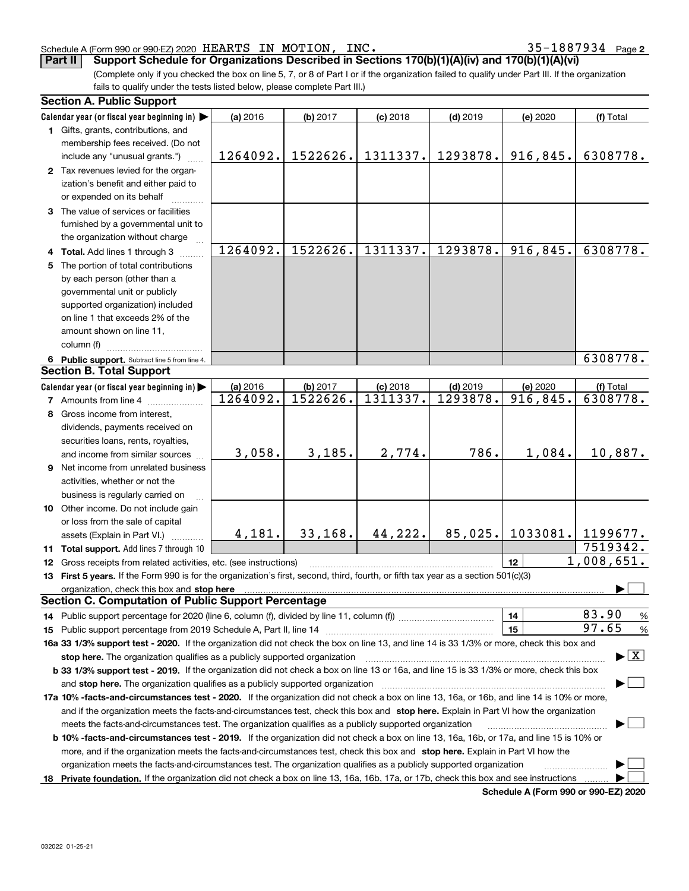#### Schedule A (Form 990 or 990-EZ) 2020 HEARTS IN MOTION,INC。 3 5-I 8 8 7 9 3 4 Page HEARTS IN MOTION, INC. 35-1887934

**Part II Support Schedule for Organizations Described in Sections 170(b)(1)(A)(iv) and 170(b)(1)(A)(vi)**

(Complete only if you checked the box on line 5, 7, or 8 of Part I or if the organization failed to qualify under Part III. If the organization fails to qualify under the tests listed below, please complete Part III.)

| <b>Section A. Public Support</b>                                                                                                               |          |          |            |            |           |                                 |
|------------------------------------------------------------------------------------------------------------------------------------------------|----------|----------|------------|------------|-----------|---------------------------------|
| Calendar year (or fiscal year beginning in)                                                                                                    | (a) 2016 | (b) 2017 | $(c)$ 2018 | $(d)$ 2019 | (e) 2020  | (f) Total                       |
| 1 Gifts, grants, contributions, and                                                                                                            |          |          |            |            |           |                                 |
| membership fees received. (Do not                                                                                                              |          |          |            |            |           |                                 |
| include any "unusual grants.")                                                                                                                 | 1264092. | 1522626. | 1311337.   | 1293878.   | 916,845.  | 6308778.                        |
| 2 Tax revenues levied for the organ-                                                                                                           |          |          |            |            |           |                                 |
| ization's benefit and either paid to                                                                                                           |          |          |            |            |           |                                 |
| or expended on its behalf                                                                                                                      |          |          |            |            |           |                                 |
| 3 The value of services or facilities                                                                                                          |          |          |            |            |           |                                 |
| furnished by a governmental unit to                                                                                                            |          |          |            |            |           |                                 |
| the organization without charge                                                                                                                |          |          |            |            |           |                                 |
| 4 Total. Add lines 1 through 3                                                                                                                 | 1264092. | 1522626. | 1311337.   | 1293878.   | 916,845.  | 6308778.                        |
| 5 The portion of total contributions                                                                                                           |          |          |            |            |           |                                 |
| by each person (other than a                                                                                                                   |          |          |            |            |           |                                 |
| governmental unit or publicly                                                                                                                  |          |          |            |            |           |                                 |
| supported organization) included                                                                                                               |          |          |            |            |           |                                 |
| on line 1 that exceeds 2% of the                                                                                                               |          |          |            |            |           |                                 |
| amount shown on line 11,                                                                                                                       |          |          |            |            |           |                                 |
| column (f)                                                                                                                                     |          |          |            |            |           |                                 |
| 6 Public support. Subtract line 5 from line 4.                                                                                                 |          |          |            |            |           | 6308778.                        |
| <b>Section B. Total Support</b>                                                                                                                |          |          |            |            |           |                                 |
| Calendar year (or fiscal year beginning in)                                                                                                    | (a) 2016 | (b) 2017 | $(c)$ 2018 | $(d)$ 2019 | (e) 2020  | (f) Total                       |
| <b>7</b> Amounts from line 4                                                                                                                   | 1264092. | 1522626. | 1311337.   | 1293878.   | 916, 845. | 6308778.                        |
| 8 Gross income from interest,                                                                                                                  |          |          |            |            |           |                                 |
| dividends, payments received on                                                                                                                |          |          |            |            |           |                                 |
| securities loans, rents, royalties,                                                                                                            |          |          |            |            |           |                                 |
| and income from similar sources                                                                                                                | 3,058.   | 3,185.   | 2,774.     | 786.       | 1,084.    | 10,887.                         |
| 9 Net income from unrelated business                                                                                                           |          |          |            |            |           |                                 |
| activities, whether or not the                                                                                                                 |          |          |            |            |           |                                 |
| business is regularly carried on                                                                                                               |          |          |            |            |           |                                 |
| 10 Other income. Do not include gain                                                                                                           |          |          |            |            |           |                                 |
| or loss from the sale of capital                                                                                                               |          |          |            |            |           |                                 |
|                                                                                                                                                | 4,181.   | 33,168.  | 44,222.    | 85,025.    | 1033081.  | 1199677.                        |
| assets (Explain in Part VI.)<br>11 Total support. Add lines 7 through 10                                                                       |          |          |            |            |           | $\overline{75}19342.$           |
|                                                                                                                                                |          |          |            |            | 12        | 1,008,651.                      |
| <b>12</b> Gross receipts from related activities, etc. (see instructions)                                                                      |          |          |            |            |           |                                 |
| 13 First 5 years. If the Form 990 is for the organization's first, second, third, fourth, or fifth tax year as a section 501(c)(3)             |          |          |            |            |           |                                 |
| organization, check this box and stop here<br><b>Section C. Computation of Public Support Percentage</b>                                       |          |          |            |            |           |                                 |
| 14 Public support percentage for 2020 (line 6, column (f), divided by line 11, column (f) <i>manumumumumum</i>                                 |          |          |            |            | 14        | 83.90<br>$\frac{9}{6}$          |
|                                                                                                                                                |          |          |            |            | 15        | 97.65<br>%                      |
| 16a 33 1/3% support test - 2020. If the organization did not check the box on line 13, and line 14 is 33 1/3% or more, check this box and      |          |          |            |            |           |                                 |
| stop here. The organization qualifies as a publicly supported organization                                                                     |          |          |            |            |           | $\blacktriangleright$ $\vert$ X |
| b 33 1/3% support test - 2019. If the organization did not check a box on line 13 or 16a, and line 15 is 33 1/3% or more, check this box       |          |          |            |            |           |                                 |
|                                                                                                                                                |          |          |            |            |           |                                 |
| and stop here. The organization qualifies as a publicly supported organization                                                                 |          |          |            |            |           |                                 |
| 17a 10% -facts-and-circumstances test - 2020. If the organization did not check a box on line 13, 16a, or 16b, and line 14 is 10% or more,     |          |          |            |            |           |                                 |
| and if the organization meets the facts-and-circumstances test, check this box and stop here. Explain in Part VI how the organization          |          |          |            |            |           |                                 |
| meets the facts-and-circumstances test. The organization qualifies as a publicly supported organization                                        |          |          |            |            |           |                                 |
| <b>b 10% -facts-and-circumstances test - 2019.</b> If the organization did not check a box on line 13, 16a, 16b, or 17a, and line 15 is 10% or |          |          |            |            |           |                                 |
| more, and if the organization meets the facts-and-circumstances test, check this box and stop here. Explain in Part VI how the                 |          |          |            |            |           |                                 |
| organization meets the facts-and-circumstances test. The organization qualifies as a publicly supported organization                           |          |          |            |            |           |                                 |
| 18 Private foundation. If the organization did not check a box on line 13, 16a, 16b, 17a, or 17b, check this box and see instructions          |          |          |            |            |           |                                 |

**Schedule A (Form 990 or 990-EZ) 2020**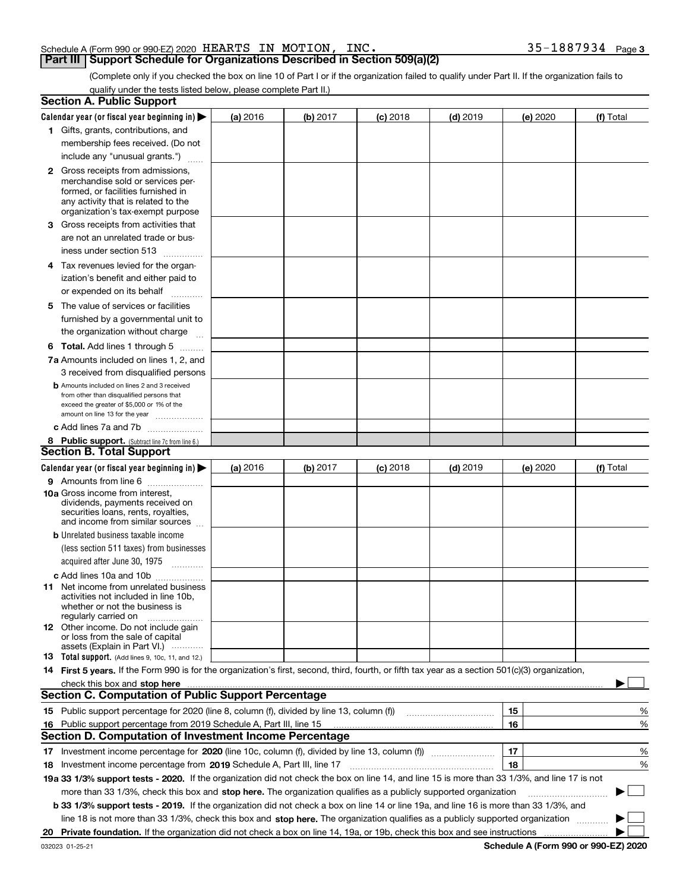#### Schedule A (Form 990 or 990-EZ) 2020  $\rm{HERRTS}$  IN  $\rm{MOTION}$ , INC  $\rm{.}$   $\rm{35-1887934}$   $\rm{Page}$

#### **Part III Support Schedule for Organizations Described in Section 509(a)(2)**

**3**

(Complete only if you checked the box on line 10 of Part I or if the organization failed to qualify under Part II. If the organization fails to qualify under the tests listed below, please complete Part II.)

|     | <b>Section A. Public Support</b>                                                                                                                                                                                               |          |          |            |            |          |             |
|-----|--------------------------------------------------------------------------------------------------------------------------------------------------------------------------------------------------------------------------------|----------|----------|------------|------------|----------|-------------|
|     | Calendar year (or fiscal year beginning in) $\blacktriangleright$                                                                                                                                                              | (a) 2016 | (b) 2017 | $(c)$ 2018 | $(d)$ 2019 | (e) 2020 | (f) Total   |
|     | 1 Gifts, grants, contributions, and                                                                                                                                                                                            |          |          |            |            |          |             |
|     | membership fees received. (Do not                                                                                                                                                                                              |          |          |            |            |          |             |
|     | include any "unusual grants.")                                                                                                                                                                                                 |          |          |            |            |          |             |
|     | <b>2</b> Gross receipts from admissions,                                                                                                                                                                                       |          |          |            |            |          |             |
|     | merchandise sold or services per-                                                                                                                                                                                              |          |          |            |            |          |             |
|     | formed, or facilities furnished in                                                                                                                                                                                             |          |          |            |            |          |             |
|     | any activity that is related to the<br>organization's tax-exempt purpose                                                                                                                                                       |          |          |            |            |          |             |
|     | 3 Gross receipts from activities that                                                                                                                                                                                          |          |          |            |            |          |             |
|     | are not an unrelated trade or bus-                                                                                                                                                                                             |          |          |            |            |          |             |
|     | iness under section 513                                                                                                                                                                                                        |          |          |            |            |          |             |
|     |                                                                                                                                                                                                                                |          |          |            |            |          |             |
|     | 4 Tax revenues levied for the organ-                                                                                                                                                                                           |          |          |            |            |          |             |
|     | ization's benefit and either paid to                                                                                                                                                                                           |          |          |            |            |          |             |
|     | or expended on its behalf<br>.                                                                                                                                                                                                 |          |          |            |            |          |             |
|     | 5 The value of services or facilities                                                                                                                                                                                          |          |          |            |            |          |             |
|     | furnished by a governmental unit to                                                                                                                                                                                            |          |          |            |            |          |             |
|     | the organization without charge                                                                                                                                                                                                |          |          |            |            |          |             |
|     | <b>6 Total.</b> Add lines 1 through 5                                                                                                                                                                                          |          |          |            |            |          |             |
|     | 7a Amounts included on lines 1, 2, and                                                                                                                                                                                         |          |          |            |            |          |             |
|     | 3 received from disqualified persons                                                                                                                                                                                           |          |          |            |            |          |             |
|     | <b>b</b> Amounts included on lines 2 and 3 received                                                                                                                                                                            |          |          |            |            |          |             |
|     | from other than disqualified persons that<br>exceed the greater of \$5,000 or 1% of the                                                                                                                                        |          |          |            |            |          |             |
|     | amount on line 13 for the year                                                                                                                                                                                                 |          |          |            |            |          |             |
|     | c Add lines 7a and 7b                                                                                                                                                                                                          |          |          |            |            |          |             |
|     | 8 Public support. (Subtract line 7c from line 6.)                                                                                                                                                                              |          |          |            |            |          |             |
|     | <b>Section B. Total Support</b>                                                                                                                                                                                                |          |          |            |            |          |             |
|     | Calendar year (or fiscal year beginning in) $\blacktriangleright$                                                                                                                                                              | (a) 2016 | (b) 2017 | $(c)$ 2018 | $(d)$ 2019 | (e) 2020 | (f) Total   |
|     | 9 Amounts from line 6                                                                                                                                                                                                          |          |          |            |            |          |             |
|     | <b>10a</b> Gross income from interest,                                                                                                                                                                                         |          |          |            |            |          |             |
|     | dividends, payments received on                                                                                                                                                                                                |          |          |            |            |          |             |
|     | securities loans, rents, royalties,<br>and income from similar sources                                                                                                                                                         |          |          |            |            |          |             |
|     | <b>b</b> Unrelated business taxable income                                                                                                                                                                                     |          |          |            |            |          |             |
|     | (less section 511 taxes) from businesses                                                                                                                                                                                       |          |          |            |            |          |             |
|     | acquired after June 30, 1975                                                                                                                                                                                                   |          |          |            |            |          |             |
|     | c Add lines 10a and 10b                                                                                                                                                                                                        |          |          |            |            |          |             |
|     | 11 Net income from unrelated business                                                                                                                                                                                          |          |          |            |            |          |             |
|     | activities not included in line 10b,                                                                                                                                                                                           |          |          |            |            |          |             |
|     | whether or not the business is                                                                                                                                                                                                 |          |          |            |            |          |             |
|     | regularly carried on<br><b>12</b> Other income. Do not include gain                                                                                                                                                            |          |          |            |            |          |             |
|     | or loss from the sale of capital                                                                                                                                                                                               |          |          |            |            |          |             |
|     | assets (Explain in Part VI.)                                                                                                                                                                                                   |          |          |            |            |          |             |
|     | 13 Total support. (Add lines 9, 10c, 11, and 12.)                                                                                                                                                                              |          |          |            |            |          |             |
|     | 14 First 5 years. If the Form 990 is for the organization's first, second, third, fourth, or fifth tax year as a section 501(c)(3) organization,                                                                               |          |          |            |            |          |             |
|     | check this box and stop here measurements and contain the state of the state of the state of the state of the state of the state of the state of the state of the state of the state of the state of the state of the state of |          |          |            |            |          |             |
|     | <b>Section C. Computation of Public Support Percentage</b>                                                                                                                                                                     |          |          |            |            |          |             |
|     |                                                                                                                                                                                                                                |          |          |            |            | 15       | %           |
| 16. | Public support percentage from 2019 Schedule A, Part III, line 15<br><b>Section D. Computation of Investment Income Percentage</b>                                                                                             |          |          |            |            | 16       | %           |
|     |                                                                                                                                                                                                                                |          |          |            |            |          |             |
|     | 17 Investment income percentage for 2020 (line 10c, column (f), divided by line 13, column (f))                                                                                                                                |          |          |            |            | 17       | %           |
|     | 18 Investment income percentage from 2019 Schedule A, Part III, line 17                                                                                                                                                        |          |          |            |            | 18       | %           |
|     | 19a 33 1/3% support tests - 2020. If the organization did not check the box on line 14, and line 15 is more than 33 1/3%, and line 17 is not                                                                                   |          |          |            |            |          |             |
|     | more than 33 1/3%, check this box and stop here. The organization qualifies as a publicly supported organization                                                                                                               |          |          |            |            |          | $\sim$<br>▶ |
|     | b 33 1/3% support tests - 2019. If the organization did not check a box on line 14 or line 19a, and line 16 is more than 33 1/3%, and                                                                                          |          |          |            |            |          |             |
|     | line 18 is not more than 33 1/3%, check this box and stop here. The organization qualifies as a publicly supported organization                                                                                                |          |          |            |            |          |             |
| 20  |                                                                                                                                                                                                                                |          |          |            |            |          |             |

**Schedule A (Form 990 or 990-EZ) 2020**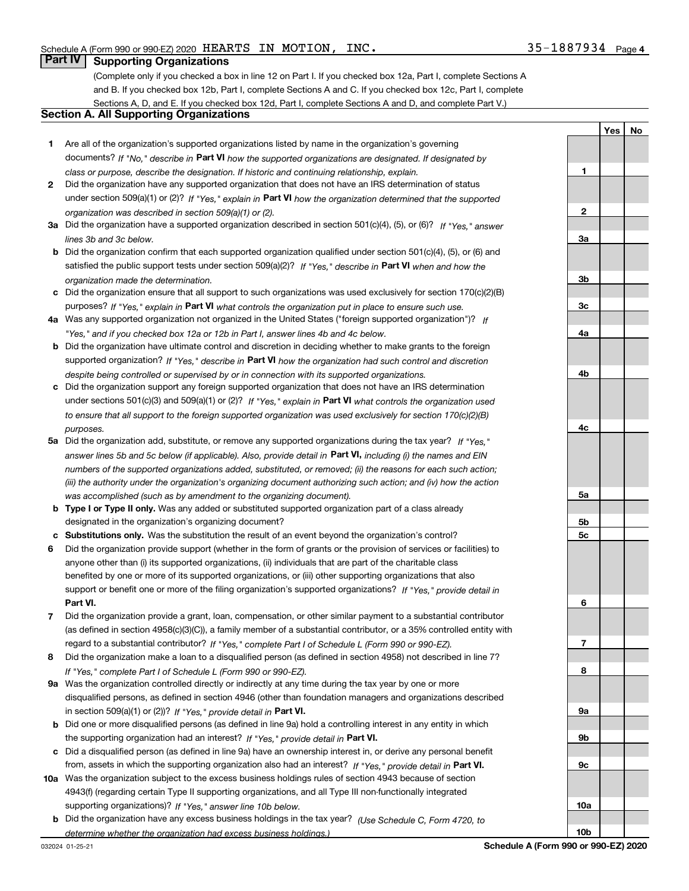**1**

**YesNo**

### **Part IV Supporting Organizations**

(Complete only if you checked a box in line 12 on Part I. If you checked box 12a, Part I, complete Sections A and B. If you checked box 12b, Part I, complete Sections A and C. If you checked box 12c, Part I, complete Sections A, D, and E. If you checked box 12d, Part I, complete Sections A and D, and complete Part V.)

#### **Section A. All Supporting Organizations**

- **1** Are all of the organization's supported organizations listed by name in the organization's governing documents? If "No," describe in **Part VI** how the supported organizations are designated. If designated by *class or purpose, describe the designation. If historic and continuing relationship, explain.*
- **2** Did the organization have any supported organization that does not have an IRS determination of status under section 509(a)(1) or (2)? If "Yes," explain in Part VI how the organization determined that the supported *organization was described in section 509(a)(1) or (2).*
- **3a** Did the organization have a supported organization described in section 501(c)(4), (5), or (6)? If "Yes," answer *lines 3b and 3c below.*
- **b** Did the organization confirm that each supported organization qualified under section 501(c)(4), (5), or (6) and satisfied the public support tests under section 509(a)(2)? If "Yes," describe in **Part VI** when and how the *organization made the determination.*
- **c**Did the organization ensure that all support to such organizations was used exclusively for section 170(c)(2)(B) purposes? If "Yes," explain in **Part VI** what controls the organization put in place to ensure such use.
- **4a***If* Was any supported organization not organized in the United States ("foreign supported organization")? *"Yes," and if you checked box 12a or 12b in Part I, answer lines 4b and 4c below.*
- **b** Did the organization have ultimate control and discretion in deciding whether to make grants to the foreign supported organization? If "Yes," describe in **Part VI** how the organization had such control and discretion *despite being controlled or supervised by or in connection with its supported organizations.*
- **c** Did the organization support any foreign supported organization that does not have an IRS determination under sections 501(c)(3) and 509(a)(1) or (2)? If "Yes," explain in **Part VI** what controls the organization used *to ensure that all support to the foreign supported organization was used exclusively for section 170(c)(2)(B) purposes.*
- **5a***If "Yes,"* Did the organization add, substitute, or remove any supported organizations during the tax year? answer lines 5b and 5c below (if applicable). Also, provide detail in **Part VI,** including (i) the names and EIN *numbers of the supported organizations added, substituted, or removed; (ii) the reasons for each such action; (iii) the authority under the organization's organizing document authorizing such action; and (iv) how the action was accomplished (such as by amendment to the organizing document).*
- **b** Type I or Type II only. Was any added or substituted supported organization part of a class already designated in the organization's organizing document?
- **cSubstitutions only.**  Was the substitution the result of an event beyond the organization's control?
- **6** Did the organization provide support (whether in the form of grants or the provision of services or facilities) to **Part VI.** *If "Yes," provide detail in* support or benefit one or more of the filing organization's supported organizations? anyone other than (i) its supported organizations, (ii) individuals that are part of the charitable class benefited by one or more of its supported organizations, or (iii) other supporting organizations that also
- **7**Did the organization provide a grant, loan, compensation, or other similar payment to a substantial contributor *If "Yes," complete Part I of Schedule L (Form 990 or 990-EZ).* regard to a substantial contributor? (as defined in section 4958(c)(3)(C)), a family member of a substantial contributor, or a 35% controlled entity with
- **8** Did the organization make a loan to a disqualified person (as defined in section 4958) not described in line 7? *If "Yes," complete Part I of Schedule L (Form 990 or 990-EZ).*
- **9a** Was the organization controlled directly or indirectly at any time during the tax year by one or more in section 509(a)(1) or (2))? If "Yes," *provide detail in* <code>Part VI.</code> disqualified persons, as defined in section 4946 (other than foundation managers and organizations described
- **b** Did one or more disqualified persons (as defined in line 9a) hold a controlling interest in any entity in which the supporting organization had an interest? If "Yes," provide detail in P**art VI**.
- **c**Did a disqualified person (as defined in line 9a) have an ownership interest in, or derive any personal benefit from, assets in which the supporting organization also had an interest? If "Yes," provide detail in P**art VI.**
- **10a** Was the organization subject to the excess business holdings rules of section 4943 because of section supporting organizations)? If "Yes," answer line 10b below. 4943(f) (regarding certain Type II supporting organizations, and all Type III non-functionally integrated
- **b** Did the organization have any excess business holdings in the tax year? (Use Schedule C, Form 4720, to *determine whether the organization had excess business holdings.)*

**23a3b3c4a4b4c5a5b5c6789a 9b9c10a**

**10b**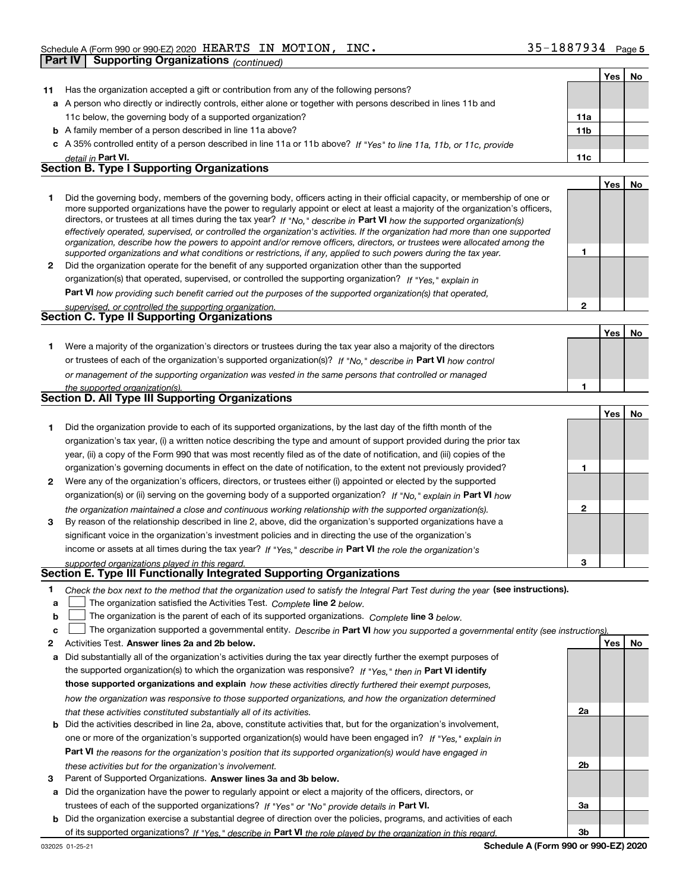|              | <b>Supporting Organizations (continued)</b><br><b>Part IV</b>                                                                                                                                                                                                                                                                                                                                                                                                                                                                                                                                                                                                                                                                                                            |                 |     |    |
|--------------|--------------------------------------------------------------------------------------------------------------------------------------------------------------------------------------------------------------------------------------------------------------------------------------------------------------------------------------------------------------------------------------------------------------------------------------------------------------------------------------------------------------------------------------------------------------------------------------------------------------------------------------------------------------------------------------------------------------------------------------------------------------------------|-----------------|-----|----|
|              |                                                                                                                                                                                                                                                                                                                                                                                                                                                                                                                                                                                                                                                                                                                                                                          |                 | Yes | No |
| 11           | Has the organization accepted a gift or contribution from any of the following persons?                                                                                                                                                                                                                                                                                                                                                                                                                                                                                                                                                                                                                                                                                  |                 |     |    |
|              | a A person who directly or indirectly controls, either alone or together with persons described in lines 11b and                                                                                                                                                                                                                                                                                                                                                                                                                                                                                                                                                                                                                                                         |                 |     |    |
|              | 11c below, the governing body of a supported organization?                                                                                                                                                                                                                                                                                                                                                                                                                                                                                                                                                                                                                                                                                                               | 11a             |     |    |
|              | <b>b</b> A family member of a person described in line 11a above?                                                                                                                                                                                                                                                                                                                                                                                                                                                                                                                                                                                                                                                                                                        | 11 <sub>b</sub> |     |    |
|              | c A 35% controlled entity of a person described in line 11a or 11b above? If "Yes" to line 11a, 11b, or 11c, provide                                                                                                                                                                                                                                                                                                                                                                                                                                                                                                                                                                                                                                                     |                 |     |    |
|              | detail in Part VI.                                                                                                                                                                                                                                                                                                                                                                                                                                                                                                                                                                                                                                                                                                                                                       | 11c             |     |    |
|              | Section B. Type I Supporting Organizations                                                                                                                                                                                                                                                                                                                                                                                                                                                                                                                                                                                                                                                                                                                               |                 |     |    |
|              |                                                                                                                                                                                                                                                                                                                                                                                                                                                                                                                                                                                                                                                                                                                                                                          |                 | Yes | No |
| 1            | Did the governing body, members of the governing body, officers acting in their official capacity, or membership of one or<br>more supported organizations have the power to regularly appoint or elect at least a majority of the organization's officers,<br>directors, or trustees at all times during the tax year? If "No," describe in Part VI how the supported organization(s)<br>effectively operated, supervised, or controlled the organization's activities. If the organization had more than one supported<br>organization, describe how the powers to appoint and/or remove officers, directors, or trustees were allocated among the<br>supported organizations and what conditions or restrictions, if any, applied to such powers during the tax year. | 1               |     |    |
| $\mathbf{2}$ | Did the organization operate for the benefit of any supported organization other than the supported                                                                                                                                                                                                                                                                                                                                                                                                                                                                                                                                                                                                                                                                      |                 |     |    |
|              | organization(s) that operated, supervised, or controlled the supporting organization? If "Yes," explain in                                                                                                                                                                                                                                                                                                                                                                                                                                                                                                                                                                                                                                                               |                 |     |    |
|              | Part VI how providing such benefit carried out the purposes of the supported organization(s) that operated,                                                                                                                                                                                                                                                                                                                                                                                                                                                                                                                                                                                                                                                              |                 |     |    |
|              | supervised, or controlled the supporting organization.                                                                                                                                                                                                                                                                                                                                                                                                                                                                                                                                                                                                                                                                                                                   | $\overline{2}$  |     |    |
|              | Section C. Type II Supporting Organizations                                                                                                                                                                                                                                                                                                                                                                                                                                                                                                                                                                                                                                                                                                                              |                 |     |    |
|              |                                                                                                                                                                                                                                                                                                                                                                                                                                                                                                                                                                                                                                                                                                                                                                          |                 | Yes | No |
| 1.           | Were a majority of the organization's directors or trustees during the tax year also a majority of the directors                                                                                                                                                                                                                                                                                                                                                                                                                                                                                                                                                                                                                                                         |                 |     |    |
|              | or trustees of each of the organization's supported organization(s)? If "No," describe in Part VI how control                                                                                                                                                                                                                                                                                                                                                                                                                                                                                                                                                                                                                                                            |                 |     |    |
|              | or management of the supporting organization was vested in the same persons that controlled or managed                                                                                                                                                                                                                                                                                                                                                                                                                                                                                                                                                                                                                                                                   |                 |     |    |
|              | the supported organization(s).                                                                                                                                                                                                                                                                                                                                                                                                                                                                                                                                                                                                                                                                                                                                           | 1               |     |    |
|              | Section D. All Type III Supporting Organizations                                                                                                                                                                                                                                                                                                                                                                                                                                                                                                                                                                                                                                                                                                                         |                 |     |    |
|              |                                                                                                                                                                                                                                                                                                                                                                                                                                                                                                                                                                                                                                                                                                                                                                          |                 | Yes | No |
| 1            | Did the organization provide to each of its supported organizations, by the last day of the fifth month of the<br>organization's tax year, (i) a written notice describing the type and amount of support provided during the prior tax<br>year, (ii) a copy of the Form 990 that was most recently filed as of the date of notification, and (iii) copies of the                                                                                                                                                                                                                                                                                                                                                                                                        |                 |     |    |
|              | organization's governing documents in effect on the date of notification, to the extent not previously provided?                                                                                                                                                                                                                                                                                                                                                                                                                                                                                                                                                                                                                                                         | 1               |     |    |
| $\mathbf{2}$ | Were any of the organization's officers, directors, or trustees either (i) appointed or elected by the supported                                                                                                                                                                                                                                                                                                                                                                                                                                                                                                                                                                                                                                                         |                 |     |    |
|              | organization(s) or (ii) serving on the governing body of a supported organization? If "No," explain in Part VI how                                                                                                                                                                                                                                                                                                                                                                                                                                                                                                                                                                                                                                                       |                 |     |    |
|              | the organization maintained a close and continuous working relationship with the supported organization(s).                                                                                                                                                                                                                                                                                                                                                                                                                                                                                                                                                                                                                                                              | 2               |     |    |
| 3            | By reason of the relationship described in line 2, above, did the organization's supported organizations have a                                                                                                                                                                                                                                                                                                                                                                                                                                                                                                                                                                                                                                                          |                 |     |    |
|              | significant voice in the organization's investment policies and in directing the use of the organization's                                                                                                                                                                                                                                                                                                                                                                                                                                                                                                                                                                                                                                                               |                 |     |    |
|              | income or assets at all times during the tax year? If "Yes," describe in Part VI the role the organization's                                                                                                                                                                                                                                                                                                                                                                                                                                                                                                                                                                                                                                                             |                 |     |    |
|              | supported organizations played in this regard.                                                                                                                                                                                                                                                                                                                                                                                                                                                                                                                                                                                                                                                                                                                           | 3               |     |    |

- **1**Check the box next to the method that the organization used to satisfy the Integral Part Test during the year (see instructions).
- **alinupy** The organization satisfied the Activities Test. Complete line 2 below.
- **bThe organization is the parent of each of its supported organizations. Complete line 3 below.**

|  |  |  | $\mathsf{c}$ The organization supported a governmental entity. Describe in Part VI how you supported a governmental entity (see instructions) |  |
|--|--|--|-----------------------------------------------------------------------------------------------------------------------------------------------|--|
|--|--|--|-----------------------------------------------------------------------------------------------------------------------------------------------|--|

- **2Answer lines 2a and 2b below. Yes No** Activities Test.
- **a** Did substantially all of the organization's activities during the tax year directly further the exempt purposes of the supported organization(s) to which the organization was responsive? If "Yes," then in **Part VI identify those supported organizations and explain**  *how these activities directly furthered their exempt purposes, how the organization was responsive to those supported organizations, and how the organization determined that these activities constituted substantially all of its activities.*
- **b** Did the activities described in line 2a, above, constitute activities that, but for the organization's involvement, **Part VI**  *the reasons for the organization's position that its supported organization(s) would have engaged in* one or more of the organization's supported organization(s) would have been engaged in? If "Yes," e*xplain in these activities but for the organization's involvement.*
- **3** Parent of Supported Organizations. Answer lines 3a and 3b below.
- **a** Did the organization have the power to regularly appoint or elect a majority of the officers, directors, or trustees of each of the supported organizations? If "Yes" or "No" provide details in **Part VI.**
- **b** Did the organization exercise a substantial degree of direction over the policies, programs, and activities of each of its supported organizations? If "Yes," describe in Part VI the role played by the organization in this regard.

**2a**

**2b**

**3a**

**3b**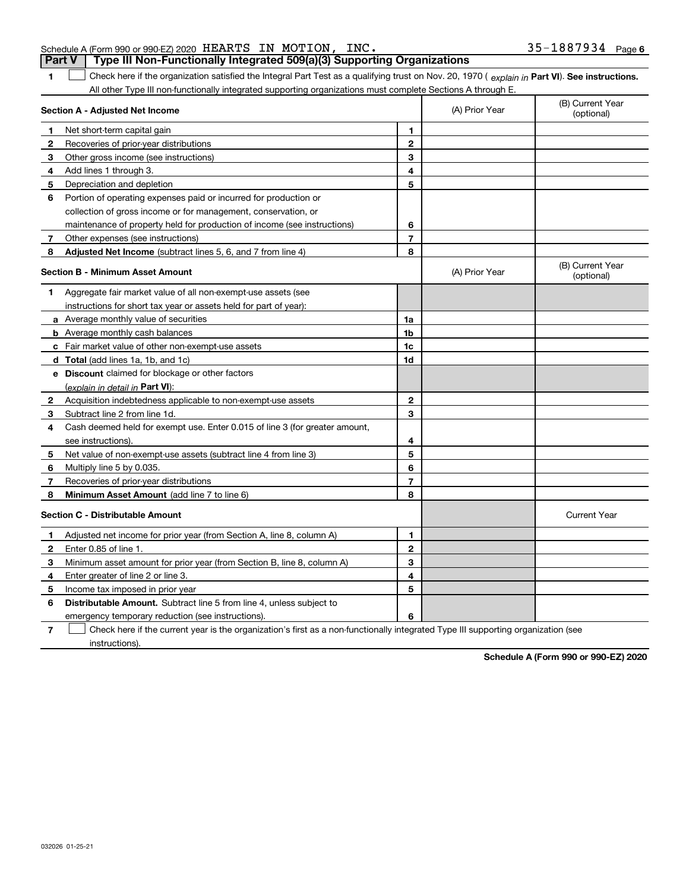032026 01-25-21

#### Schedule A (Form 990 or 990-EZ) 2020  $\rm{HERRTS}$  IN  $\rm{MOTION}$ , INC  $\rm{.}$   $\rm{35-1887934}$   $\rm{Page}$ **Part V Type III Non-Functionally Integrated 509(a)(3) Supporting Organizations**

**1**

1 Check here if the organization satisfied the Integral Part Test as a qualifying trust on Nov. 20, 1970 (explain in Part VI). See instructions. All other Type III non-functionally integrated supporting organizations must complete Sections A through E.

|              | Section A - Adjusted Net Income                                             | (A) Prior Year           | (B) Current Year<br>(optional) |                                |
|--------------|-----------------------------------------------------------------------------|--------------------------|--------------------------------|--------------------------------|
| 1            | Net short-term capital gain                                                 | 1                        |                                |                                |
| $\mathbf{2}$ | Recoveries of prior-year distributions                                      | $\mathbf{2}$             |                                |                                |
| 3            | Other gross income (see instructions)                                       | 3                        |                                |                                |
| 4            | Add lines 1 through 3.                                                      | 4                        |                                |                                |
| 5            | Depreciation and depletion                                                  | 5                        |                                |                                |
| 6            | Portion of operating expenses paid or incurred for production or            |                          |                                |                                |
|              | collection of gross income or for management, conservation, or              |                          |                                |                                |
|              | maintenance of property held for production of income (see instructions)    | 6                        |                                |                                |
| 7            | Other expenses (see instructions)                                           | $\overline{\phantom{a}}$ |                                |                                |
| 8            | Adjusted Net Income (subtract lines 5, 6, and 7 from line 4)                | 8                        |                                |                                |
|              | <b>Section B - Minimum Asset Amount</b>                                     |                          | (A) Prior Year                 | (B) Current Year<br>(optional) |
| 1            | Aggregate fair market value of all non-exempt-use assets (see               |                          |                                |                                |
|              | instructions for short tax year or assets held for part of year):           |                          |                                |                                |
|              | <b>a</b> Average monthly value of securities                                | 1a                       |                                |                                |
|              | <b>b</b> Average monthly cash balances                                      | 1b                       |                                |                                |
|              | <b>c</b> Fair market value of other non-exempt-use assets                   | 1c                       |                                |                                |
|              | <b>d</b> Total (add lines 1a, 1b, and 1c)                                   | 1d                       |                                |                                |
|              | e Discount claimed for blockage or other factors                            |                          |                                |                                |
|              | (explain in detail in Part VI):                                             |                          |                                |                                |
| 2            | Acquisition indebtedness applicable to non-exempt-use assets                | $\mathbf{2}$             |                                |                                |
| 3            | Subtract line 2 from line 1d.                                               | 3                        |                                |                                |
| 4            | Cash deemed held for exempt use. Enter 0.015 of line 3 (for greater amount, |                          |                                |                                |
|              | see instructions).                                                          | 4                        |                                |                                |
| 5            | Net value of non-exempt-use assets (subtract line 4 from line 3)            | 5                        |                                |                                |
| 6            | Multiply line 5 by 0.035.                                                   | 6                        |                                |                                |
| 7            | Recoveries of prior-year distributions                                      | $\overline{7}$           |                                |                                |
| 8            | Minimum Asset Amount (add line 7 to line 6)                                 | 8                        |                                |                                |
|              | <b>Section C - Distributable Amount</b>                                     |                          |                                | <b>Current Year</b>            |
| 1            | Adjusted net income for prior year (from Section A, line 8, column A)       | 1                        |                                |                                |
| $\mathbf{2}$ | Enter 0.85 of line 1                                                        | $\overline{2}$           |                                |                                |
| 3            | Minimum asset amount for prior year (from Section B, line 8, column A)      | 3                        |                                |                                |
| 4            | Enter greater of line 2 or line 3.                                          | 4                        |                                |                                |
| 5            | Income tax imposed in prior year                                            | 5                        |                                |                                |
| 6            | <b>Distributable Amount.</b> Subtract line 5 from line 4, unless subject to |                          |                                |                                |
|              | emergency temporary reduction (see instructions).                           | 6                        |                                |                                |
|              |                                                                             |                          |                                |                                |

**7**Check here if the current year is the organization's first as a non-functionally integrated Type III supporting organization (see instructions).

**Schedule A (Form 990 or 990-EZ) 2020**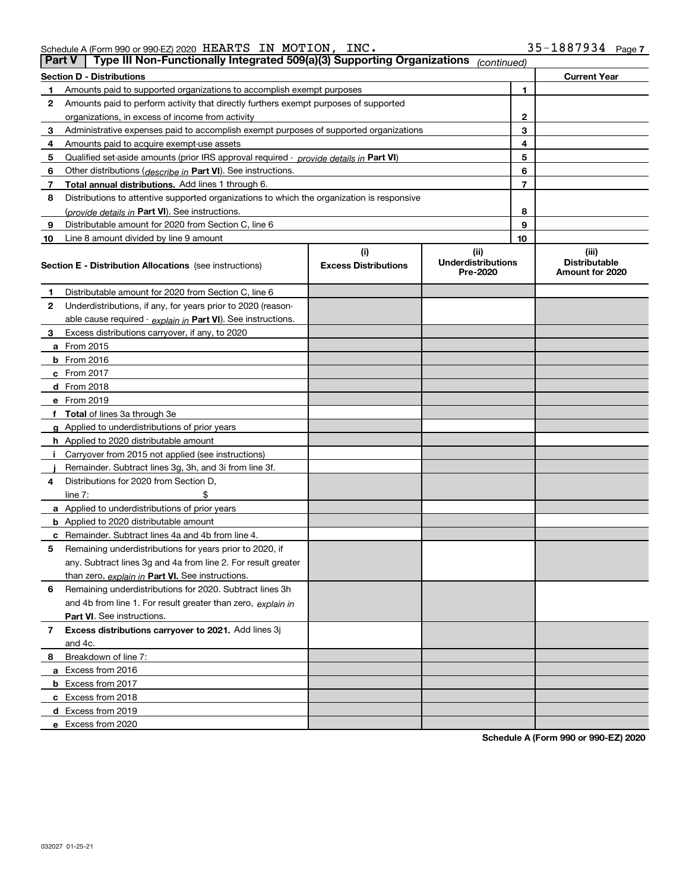| Schedule A (Form 990 or 990-EZ) 2020 $\rm~HEARTS~~\rm~IN~~MOTION$ , |  | INC. | 35-1887934 | Page, |
|---------------------------------------------------------------------|--|------|------------|-------|
|                                                                     |  |      |            |       |

| <b>Part V</b> | Type III Non-Functionally Integrated 509(a)(3) Supporting Organizations                    |                             | (continued)                           |    |                                         |
|---------------|--------------------------------------------------------------------------------------------|-----------------------------|---------------------------------------|----|-----------------------------------------|
|               | <b>Section D - Distributions</b>                                                           |                             |                                       |    | <b>Current Year</b>                     |
| 1             | Amounts paid to supported organizations to accomplish exempt purposes                      |                             |                                       | 1  |                                         |
| 2             | Amounts paid to perform activity that directly furthers exempt purposes of supported       |                             |                                       |    |                                         |
|               | organizations, in excess of income from activity                                           |                             | $\mathbf{2}$                          |    |                                         |
| 3             | Administrative expenses paid to accomplish exempt purposes of supported organizations      |                             | 3                                     |    |                                         |
| 4             | Amounts paid to acquire exempt-use assets                                                  |                             |                                       | 4  |                                         |
| 5             | Qualified set-aside amounts (prior IRS approval required - provide details in Part VI)     |                             |                                       | 5  |                                         |
| 6             | Other distributions ( <i>describe in</i> Part VI). See instructions.                       |                             |                                       | 6  |                                         |
| 7             | Total annual distributions. Add lines 1 through 6.                                         |                             |                                       | 7  |                                         |
| 8             | Distributions to attentive supported organizations to which the organization is responsive |                             |                                       |    |                                         |
|               | (provide details in Part VI). See instructions.                                            |                             |                                       | 8  |                                         |
| 9             | Distributable amount for 2020 from Section C, line 6                                       |                             |                                       | 9  |                                         |
| 10            | Line 8 amount divided by line 9 amount                                                     |                             |                                       | 10 |                                         |
|               |                                                                                            | (i)                         | (ii)                                  |    | (iii)                                   |
|               | Section E - Distribution Allocations (see instructions)                                    | <b>Excess Distributions</b> | <b>Underdistributions</b><br>Pre-2020 |    | <b>Distributable</b><br>Amount for 2020 |
| 1             | Distributable amount for 2020 from Section C, line 6                                       |                             |                                       |    |                                         |
| 2             | Underdistributions, if any, for years prior to 2020 (reason-                               |                             |                                       |    |                                         |
|               | able cause required - explain in Part VI). See instructions.                               |                             |                                       |    |                                         |
| 3             | Excess distributions carryover, if any, to 2020                                            |                             |                                       |    |                                         |
|               | <b>a</b> From 2015                                                                         |                             |                                       |    |                                         |
|               | <b>b</b> From 2016                                                                         |                             |                                       |    |                                         |
|               | c From 2017                                                                                |                             |                                       |    |                                         |
|               | <b>d</b> From 2018                                                                         |                             |                                       |    |                                         |
|               | e From 2019                                                                                |                             |                                       |    |                                         |
|               | f Total of lines 3a through 3e                                                             |                             |                                       |    |                                         |
|               | g Applied to underdistributions of prior years                                             |                             |                                       |    |                                         |
|               | <b>h</b> Applied to 2020 distributable amount                                              |                             |                                       |    |                                         |
|               | Carryover from 2015 not applied (see instructions)                                         |                             |                                       |    |                                         |
|               | Remainder. Subtract lines 3g, 3h, and 3i from line 3f.                                     |                             |                                       |    |                                         |
| 4             | Distributions for 2020 from Section D,                                                     |                             |                                       |    |                                         |
|               | line $7:$                                                                                  |                             |                                       |    |                                         |
|               | a Applied to underdistributions of prior years                                             |                             |                                       |    |                                         |
|               | <b>b</b> Applied to 2020 distributable amount                                              |                             |                                       |    |                                         |
|               | c Remainder. Subtract lines 4a and 4b from line 4.                                         |                             |                                       |    |                                         |
| 5             | Remaining underdistributions for years prior to 2020, if                                   |                             |                                       |    |                                         |
|               | any. Subtract lines 3g and 4a from line 2. For result greater                              |                             |                                       |    |                                         |
|               | than zero, explain in Part VI. See instructions.                                           |                             |                                       |    |                                         |
| 6             | Remaining underdistributions for 2020. Subtract lines 3h                                   |                             |                                       |    |                                         |
|               | and 4b from line 1. For result greater than zero, explain in                               |                             |                                       |    |                                         |
|               | Part VI. See instructions.                                                                 |                             |                                       |    |                                         |
| 7             | Excess distributions carryover to 2021. Add lines 3j                                       |                             |                                       |    |                                         |
|               | and 4c.                                                                                    |                             |                                       |    |                                         |
| 8             | Breakdown of line 7:                                                                       |                             |                                       |    |                                         |
|               | a Excess from 2016                                                                         |                             |                                       |    |                                         |
|               | <b>b</b> Excess from 2017                                                                  |                             |                                       |    |                                         |
|               | c Excess from 2018                                                                         |                             |                                       |    |                                         |
|               | d Excess from 2019                                                                         |                             |                                       |    |                                         |
|               | e Excess from 2020                                                                         |                             |                                       |    |                                         |

**Schedule A (Form 990 or 990-EZ) 2020**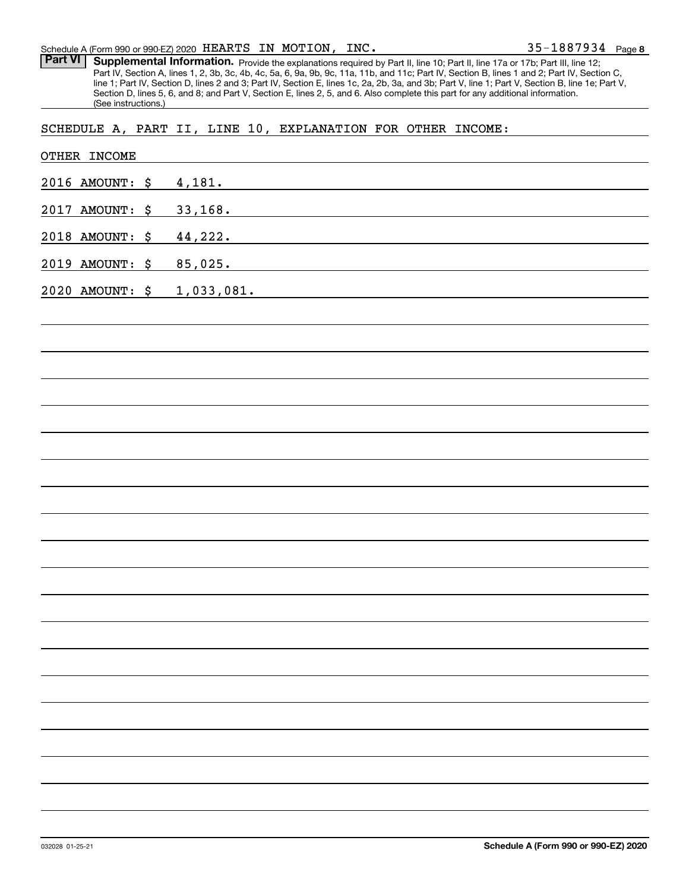**8** 35-1887934

Part VI | Supplemental Information. Provide the explanations required by Part II, line 10; Part II, line 17a or 17b; Part III, line 12; Part IV, Section A, lines 1, 2, 3b, 3c, 4b, 4c, 5a, 6, 9a, 9b, 9c, 11a, 11b, and 11c; Part IV, Section B, lines 1 and 2; Part IV, Section C, line 1; Part IV, Section D, lines 2 and 3; Part IV, Section E, lines 1c, 2a, 2b, 3a, and 3b; Part V, line 1; Part V, Section B, line 1e; Part V, Section D, lines 5, 6, and 8; and Part V, Section E, lines 2, 5, and 6. Also complete this part for any additional information. (See instructions.)

SCHEDULE A, PART II, LINE 10, EXPLANATION FOR OTHER INCOME:

| OTHER INCOME    |                                                                                                                                    |
|-----------------|------------------------------------------------------------------------------------------------------------------------------------|
| 2016 AMOUNT: \$ | 4,181.                                                                                                                             |
| 2017 AMOUNT: \$ | 33,168.                                                                                                                            |
| 2018 AMOUNT: \$ | 44, 222.<br><u> 1989 - Johann Stoff, deutscher Stoffen und der Stoffen und der Stoffen und der Stoffen und der Stoffen und der</u> |
| 2019 AMOUNT: \$ | 85,025.<br><u> 1989 - Johann Barn, amerikansk politiker (d. 1989)</u>                                                              |
| 2020 AMOUNT: \$ | 1,033,081.                                                                                                                         |
|                 |                                                                                                                                    |
|                 |                                                                                                                                    |
|                 |                                                                                                                                    |
|                 |                                                                                                                                    |
|                 |                                                                                                                                    |
|                 |                                                                                                                                    |
|                 |                                                                                                                                    |
|                 |                                                                                                                                    |
|                 |                                                                                                                                    |
|                 |                                                                                                                                    |
|                 |                                                                                                                                    |
|                 |                                                                                                                                    |
|                 |                                                                                                                                    |
|                 |                                                                                                                                    |
|                 |                                                                                                                                    |
|                 |                                                                                                                                    |
|                 |                                                                                                                                    |
|                 |                                                                                                                                    |
|                 |                                                                                                                                    |
|                 |                                                                                                                                    |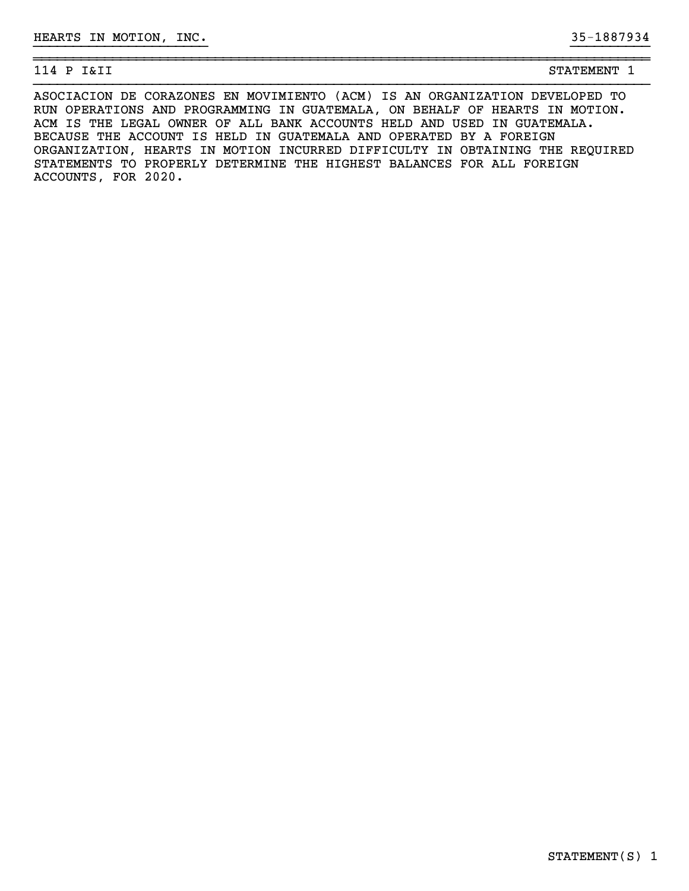| . .<br>$\sqrt{ }$<br>-<br>$\sim$<br>_<br>---<br>--<br>. .<br>$\overline{\phantom{0}}$ | m<br>חזרי<br>. G.M.H.<br>- - | - |
|---------------------------------------------------------------------------------------|------------------------------|---|

ASOCIACION DE CORAZONES EN MOVIMIENTO (ACM) IS AN ORGANIZATION DEVELOPED TO RUN OPERATIONS AND PROGRAMMING IN GUATEMALA, ON BEHALF OF HEARTS IN MOTION. ACM IS THE LEGAL OWNER OF ALL BANK ACCOUNTS HELD AND USED IN GUATEMALA. BECAUSE THE ACCOUNT IS HELD IN GUATEMALA AND OPERATED BY A FOREIGN ORGANIZATION, HEARTS IN MOTION INCURRED DIFFICULTY IN OBTAINING THE REQUIRED STATEMENTS TO PROPERLY DETERMINE THE HIGHEST BALANCES FOR ALL FOREIGN ACCOUNTS, FOR 2020.

}}}}}}}}}}}}}}}}}}}}}} }}}}}}}}}}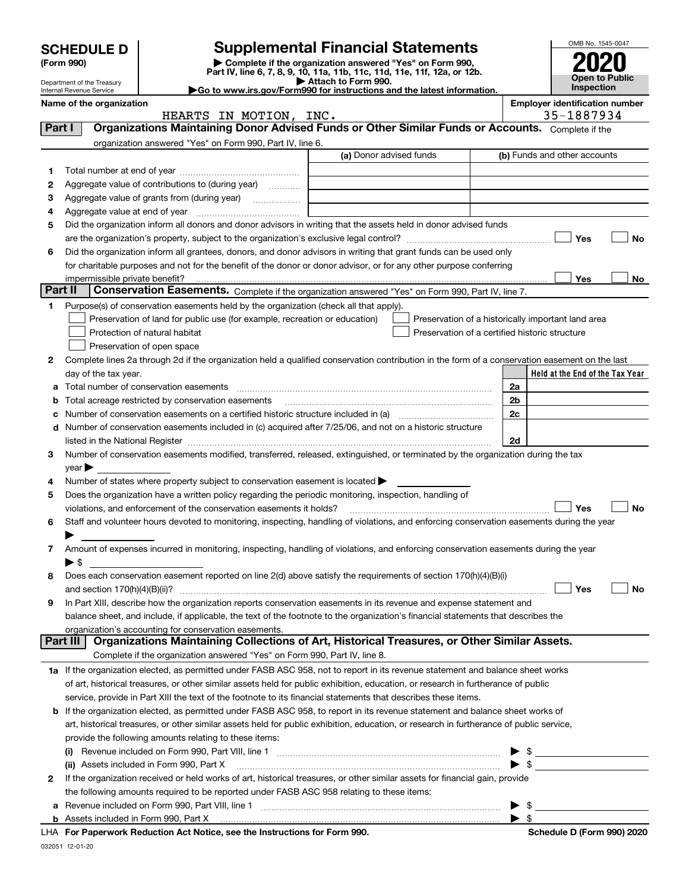|         |                                                        |                                                                                                        |                                                                                                                                                                                                                                                                        |                          | OMB No. 1545-0047                     |
|---------|--------------------------------------------------------|--------------------------------------------------------------------------------------------------------|------------------------------------------------------------------------------------------------------------------------------------------------------------------------------------------------------------------------------------------------------------------------|--------------------------|---------------------------------------|
|         | <b>SCHEDULE D</b><br>(Form 990)                        |                                                                                                        | <b>Supplemental Financial Statements</b><br>Complete if the organization answered "Yes" on Form 990,                                                                                                                                                                   |                          |                                       |
|         |                                                        |                                                                                                        | Part IV, line 6, 7, 8, 9, 10, 11a, 11b, 11c, 11d, 11e, 11f, 12a, or 12b.                                                                                                                                                                                               |                          | Open to Public                        |
|         | Department of the Treasury<br>Internal Revenue Service |                                                                                                        | Attach to Form 990.<br>Go to www.irs.gov/Form990 for instructions and the latest information.                                                                                                                                                                          |                          | <b>Inspection</b>                     |
|         | Name of the organization                               |                                                                                                        |                                                                                                                                                                                                                                                                        |                          | <b>Employer identification number</b> |
|         |                                                        | HEARTS IN MOTION, INC.                                                                                 |                                                                                                                                                                                                                                                                        |                          | 35-1887934                            |
| Part I  |                                                        |                                                                                                        | Organizations Maintaining Donor Advised Funds or Other Similar Funds or Accounts. Complete if the                                                                                                                                                                      |                          |                                       |
|         |                                                        | organization answered "Yes" on Form 990, Part IV, line 6.                                              |                                                                                                                                                                                                                                                                        |                          |                                       |
|         |                                                        |                                                                                                        | (a) Donor advised funds                                                                                                                                                                                                                                                |                          | (b) Funds and other accounts          |
| 1       |                                                        |                                                                                                        |                                                                                                                                                                                                                                                                        |                          |                                       |
| 2       |                                                        | Aggregate value of contributions to (during year)                                                      |                                                                                                                                                                                                                                                                        |                          |                                       |
| 3<br>4  |                                                        |                                                                                                        |                                                                                                                                                                                                                                                                        |                          |                                       |
| 5       |                                                        |                                                                                                        | Did the organization inform all donors and donor advisors in writing that the assets held in donor advised funds                                                                                                                                                       |                          |                                       |
|         |                                                        |                                                                                                        |                                                                                                                                                                                                                                                                        |                          | Yes<br>No                             |
| 6       |                                                        |                                                                                                        | Did the organization inform all grantees, donors, and donor advisors in writing that grant funds can be used only                                                                                                                                                      |                          |                                       |
|         |                                                        |                                                                                                        | for charitable purposes and not for the benefit of the donor or donor advisor, or for any other purpose conferring                                                                                                                                                     |                          |                                       |
|         | impermissible private benefit?                         |                                                                                                        |                                                                                                                                                                                                                                                                        |                          | Yes<br>No.                            |
| Part II |                                                        |                                                                                                        | Conservation Easements. Complete if the organization answered "Yes" on Form 990, Part IV, line 7.                                                                                                                                                                      |                          |                                       |
| 1       |                                                        | Purpose(s) of conservation easements held by the organization (check all that apply).                  |                                                                                                                                                                                                                                                                        |                          |                                       |
|         |                                                        | Preservation of land for public use (for example, recreation or education)                             | Preservation of a historically important land area                                                                                                                                                                                                                     |                          |                                       |
|         |                                                        | Protection of natural habitat                                                                          | Preservation of a certified historic structure                                                                                                                                                                                                                         |                          |                                       |
|         |                                                        | Preservation of open space                                                                             |                                                                                                                                                                                                                                                                        |                          |                                       |
| 2       |                                                        |                                                                                                        | Complete lines 2a through 2d if the organization held a qualified conservation contribution in the form of a conservation easement on the last                                                                                                                         |                          |                                       |
|         | day of the tax year.                                   |                                                                                                        |                                                                                                                                                                                                                                                                        |                          | Held at the End of the Tax Year       |
| а       |                                                        |                                                                                                        |                                                                                                                                                                                                                                                                        | 2a                       |                                       |
| b       |                                                        | Total acreage restricted by conservation easements                                                     |                                                                                                                                                                                                                                                                        | 2b                       |                                       |
|         |                                                        |                                                                                                        |                                                                                                                                                                                                                                                                        | 2c                       |                                       |
| d       |                                                        |                                                                                                        | Number of conservation easements included in (c) acquired after 7/25/06, and not on a historic structure                                                                                                                                                               |                          |                                       |
|         |                                                        |                                                                                                        |                                                                                                                                                                                                                                                                        | 2d                       |                                       |
| з       |                                                        |                                                                                                        | Number of conservation easements modified, transferred, released, extinguished, or terminated by the organization during the tax                                                                                                                                       |                          |                                       |
| 4       | $\vee$ ear                                             | Number of states where property subject to conservation easement is located $\blacktriangleright$      |                                                                                                                                                                                                                                                                        |                          |                                       |
| 5       |                                                        | Does the organization have a written policy regarding the periodic monitoring, inspection, handling of |                                                                                                                                                                                                                                                                        |                          |                                       |
|         |                                                        | violations, and enforcement of the conservation easements it holds?                                    |                                                                                                                                                                                                                                                                        |                          | Yes<br>No                             |
| 6       |                                                        |                                                                                                        | Staff and volunteer hours devoted to monitoring, inspecting, handling of violations, and enforcing conservation easements during the year                                                                                                                              |                          |                                       |
|         |                                                        |                                                                                                        |                                                                                                                                                                                                                                                                        |                          |                                       |
| 7       |                                                        |                                                                                                        | Amount of expenses incurred in monitoring, inspecting, handling of violations, and enforcing conservation easements during the year                                                                                                                                    |                          |                                       |
|         | $\blacktriangleright$ \$                               |                                                                                                        |                                                                                                                                                                                                                                                                        |                          |                                       |
| 8       |                                                        |                                                                                                        | Does each conservation easement reported on line 2(d) above satisfy the requirements of section 170(h)(4)(B)(i)                                                                                                                                                        |                          |                                       |
|         | and section $170(h)(4)(B)(ii)?$                        |                                                                                                        |                                                                                                                                                                                                                                                                        |                          | Yes<br>No                             |
| 9       |                                                        |                                                                                                        | In Part XIII, describe how the organization reports conservation easements in its revenue and expense statement and                                                                                                                                                    |                          |                                       |
|         |                                                        |                                                                                                        | balance sheet, and include, if applicable, the text of the footnote to the organization's financial statements that describes the                                                                                                                                      |                          |                                       |
|         |                                                        | organization's accounting for conservation easements.                                                  |                                                                                                                                                                                                                                                                        |                          |                                       |
|         | Part III                                               |                                                                                                        | Organizations Maintaining Collections of Art, Historical Treasures, or Other Similar Assets.                                                                                                                                                                           |                          |                                       |
|         |                                                        | Complete if the organization answered "Yes" on Form 990, Part IV, line 8.                              |                                                                                                                                                                                                                                                                        |                          |                                       |
|         |                                                        |                                                                                                        | 1a If the organization elected, as permitted under FASB ASC 958, not to report in its revenue statement and balance sheet works                                                                                                                                        |                          |                                       |
|         |                                                        |                                                                                                        | of art, historical treasures, or other similar assets held for public exhibition, education, or research in furtherance of public                                                                                                                                      |                          |                                       |
|         |                                                        |                                                                                                        | service, provide in Part XIII the text of the footnote to its financial statements that describes these items.                                                                                                                                                         |                          |                                       |
| b       |                                                        |                                                                                                        | If the organization elected, as permitted under FASB ASC 958, to report in its revenue statement and balance sheet works of<br>art, historical treasures, or other similar assets held for public exhibition, education, or research in furtherance of public service, |                          |                                       |
|         |                                                        | provide the following amounts relating to these items:                                                 |                                                                                                                                                                                                                                                                        |                          |                                       |
|         | $\left( 1\right)$                                      |                                                                                                        |                                                                                                                                                                                                                                                                        |                          |                                       |
|         |                                                        | (ii) Assets included in Form 990, Part X                                                               |                                                                                                                                                                                                                                                                        | $\blacktriangleright$ \$ |                                       |
| 2       |                                                        |                                                                                                        | If the organization received or held works of art, historical treasures, or other similar assets for financial gain, provide                                                                                                                                           |                          |                                       |
|         |                                                        | the following amounts required to be reported under FASB ASC 958 relating to these items:              |                                                                                                                                                                                                                                                                        |                          |                                       |
| а       |                                                        |                                                                                                        | Revenue included on Form 990, Part VIII, line 1 [2000] [2000] [2000] [2000] [3000] [3000] [3000] [3000] [3000                                                                                                                                                          | -\$                      |                                       |
|         |                                                        |                                                                                                        |                                                                                                                                                                                                                                                                        | $\blacktriangleright$ s  |                                       |

| LHA For Paperwork Reduction Act Notice, see the Instructions for Form 990. | Schedule D (Form 990) 2020 |
|----------------------------------------------------------------------------|----------------------------|
|----------------------------------------------------------------------------|----------------------------|

032051 12-01-20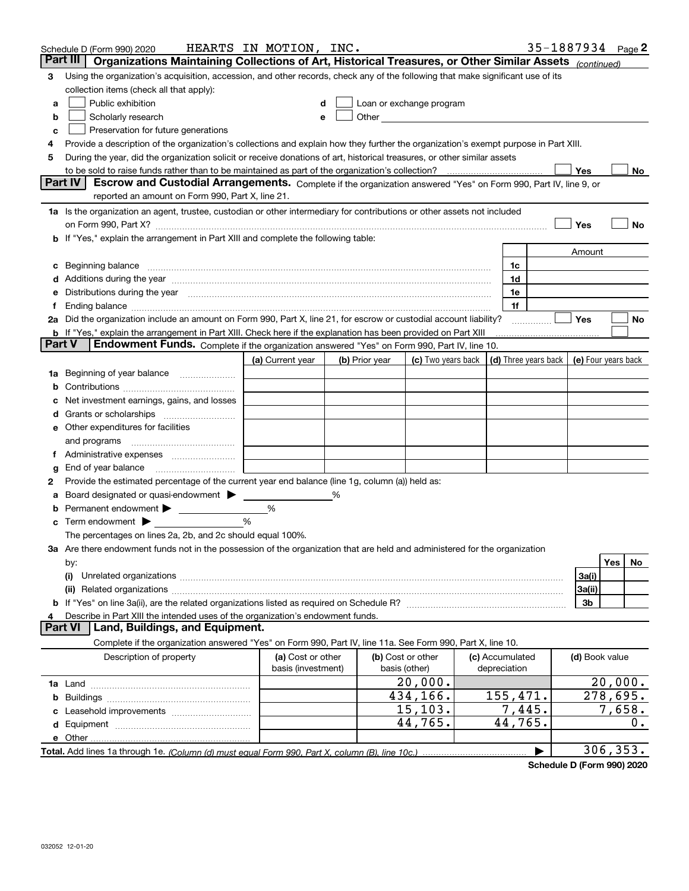|   | Schedule D (Form 990) 2020                                                                                                                                                                                                     | HEARTS IN MOTION, INC. |   |                |                                                                                                                                                                                                                               |                 |                | 35-1887934 Page 2       |
|---|--------------------------------------------------------------------------------------------------------------------------------------------------------------------------------------------------------------------------------|------------------------|---|----------------|-------------------------------------------------------------------------------------------------------------------------------------------------------------------------------------------------------------------------------|-----------------|----------------|-------------------------|
|   | Part III   Organizations Maintaining Collections of Art, Historical Treasures, or Other Similar Assets (continued)                                                                                                             |                        |   |                |                                                                                                                                                                                                                               |                 |                |                         |
| 3 | Using the organization's acquisition, accession, and other records, check any of the following that make significant use of its                                                                                                |                        |   |                |                                                                                                                                                                                                                               |                 |                |                         |
|   | collection items (check all that apply):                                                                                                                                                                                       |                        |   |                |                                                                                                                                                                                                                               |                 |                |                         |
| a | Public exhibition                                                                                                                                                                                                              |                        |   |                | Loan or exchange program                                                                                                                                                                                                      |                 |                |                         |
| b | Scholarly research                                                                                                                                                                                                             |                        |   |                | Other and the contract of the contract of the contract of the contract of the contract of the contract of the contract of the contract of the contract of the contract of the contract of the contract of the contract of the |                 |                |                         |
| с | Preservation for future generations                                                                                                                                                                                            |                        |   |                |                                                                                                                                                                                                                               |                 |                |                         |
| 4 | Provide a description of the organization's collections and explain how they further the organization's exempt purpose in Part XIII.                                                                                           |                        |   |                |                                                                                                                                                                                                                               |                 |                |                         |
| 5 | During the year, did the organization solicit or receive donations of art, historical treasures, or other similar assets                                                                                                       |                        |   |                |                                                                                                                                                                                                                               |                 |                |                         |
|   |                                                                                                                                                                                                                                |                        |   |                |                                                                                                                                                                                                                               |                 | <b>Yes</b>     | No                      |
|   | <b>Part IV</b><br>Escrow and Custodial Arrangements. Complete if the organization answered "Yes" on Form 990, Part IV, line 9, or                                                                                              |                        |   |                |                                                                                                                                                                                                                               |                 |                |                         |
|   | reported an amount on Form 990, Part X, line 21.                                                                                                                                                                               |                        |   |                |                                                                                                                                                                                                                               |                 |                |                         |
|   | 1a Is the organization an agent, trustee, custodian or other intermediary for contributions or other assets not included                                                                                                       |                        |   |                |                                                                                                                                                                                                                               |                 |                |                         |
|   | on Form 990, Part X? [11] matter and the contract of the contract of the contract of the contract of the contract of the contract of the contract of the contract of the contract of the contract of the contract of the contr |                        |   |                |                                                                                                                                                                                                                               |                 | Yes            | No                      |
|   | b If "Yes," explain the arrangement in Part XIII and complete the following table:                                                                                                                                             |                        |   |                |                                                                                                                                                                                                                               |                 |                |                         |
|   |                                                                                                                                                                                                                                |                        |   |                |                                                                                                                                                                                                                               |                 | Amount         |                         |
|   | c Beginning balance measurements and the contract of the contract of the contract of the contract of the contract of the contract of the contract of the contract of the contract of the contract of the contract of the contr |                        |   |                |                                                                                                                                                                                                                               | 1c              |                |                         |
|   | d Additions during the year manufactured and an account of the state of a distribution of Additions during the year                                                                                                            |                        |   |                |                                                                                                                                                                                                                               | 1d              |                |                         |
|   | e Distributions during the year manufactured and continuum and contained and the year manufactured and contained and the year manufactured and contained and contained and contained and contained and contained and contained |                        |   |                |                                                                                                                                                                                                                               | 1e              |                |                         |
|   |                                                                                                                                                                                                                                |                        |   |                |                                                                                                                                                                                                                               | 1f              |                |                         |
|   | 2a Did the organization include an amount on Form 990, Part X, line 21, for escrow or custodial account liability?                                                                                                             |                        |   |                |                                                                                                                                                                                                                               |                 | Yes            | No                      |
|   | <b>b</b> If "Yes," explain the arrangement in Part XIII. Check here if the explanation has been provided on Part XIII<br><b>Part V</b>                                                                                         |                        |   |                |                                                                                                                                                                                                                               |                 |                |                         |
|   | Endowment Funds. Complete if the organization answered "Yes" on Form 990, Part IV, line 10.                                                                                                                                    |                        |   |                |                                                                                                                                                                                                                               |                 |                |                         |
|   |                                                                                                                                                                                                                                | (a) Current year       |   | (b) Prior year | (c) Two years back $\vert$ (d) Three years back $\vert$ (e) Four years back                                                                                                                                                   |                 |                |                         |
|   | 1a Beginning of year balance                                                                                                                                                                                                   |                        |   |                |                                                                                                                                                                                                                               |                 |                |                         |
| b |                                                                                                                                                                                                                                |                        |   |                |                                                                                                                                                                                                                               |                 |                |                         |
|   | Net investment earnings, gains, and losses                                                                                                                                                                                     |                        |   |                |                                                                                                                                                                                                                               |                 |                |                         |
|   |                                                                                                                                                                                                                                |                        |   |                |                                                                                                                                                                                                                               |                 |                |                         |
|   | e Other expenditures for facilities                                                                                                                                                                                            |                        |   |                |                                                                                                                                                                                                                               |                 |                |                         |
|   |                                                                                                                                                                                                                                |                        |   |                |                                                                                                                                                                                                                               |                 |                |                         |
|   | f Administrative expenses <i>manually community</i>                                                                                                                                                                            |                        |   |                |                                                                                                                                                                                                                               |                 |                |                         |
| g | End of year balance <i>manually contained</i>                                                                                                                                                                                  |                        |   |                |                                                                                                                                                                                                                               |                 |                |                         |
| 2 | Provide the estimated percentage of the current year end balance (line 1g, column (a)) held as:                                                                                                                                |                        |   |                |                                                                                                                                                                                                                               |                 |                |                         |
| а | Board designated or quasi-endowment<br><b>b</b> Permanent endowment >                                                                                                                                                          | %                      | % |                |                                                                                                                                                                                                                               |                 |                |                         |
|   | $\mathbf c$ Term endowment $\blacktriangleright$                                                                                                                                                                               | %                      |   |                |                                                                                                                                                                                                                               |                 |                |                         |
|   | The percentages on lines 2a, 2b, and 2c should equal 100%.                                                                                                                                                                     |                        |   |                |                                                                                                                                                                                                                               |                 |                |                         |
|   | 3a Are there endowment funds not in the possession of the organization that are held and administered for the organization                                                                                                     |                        |   |                |                                                                                                                                                                                                                               |                 |                |                         |
|   | by:                                                                                                                                                                                                                            |                        |   |                |                                                                                                                                                                                                                               |                 |                | Yes<br>No.              |
|   | (i)                                                                                                                                                                                                                            |                        |   |                |                                                                                                                                                                                                                               |                 | 3a(i)          |                         |
|   |                                                                                                                                                                                                                                |                        |   |                |                                                                                                                                                                                                                               |                 | 3a(ii)         |                         |
|   |                                                                                                                                                                                                                                |                        |   |                |                                                                                                                                                                                                                               |                 | 3b             |                         |
|   | Describe in Part XIII the intended uses of the organization's endowment funds.                                                                                                                                                 |                        |   |                |                                                                                                                                                                                                                               |                 |                |                         |
|   | <b>Part VI</b><br>Land, Buildings, and Equipment.                                                                                                                                                                              |                        |   |                |                                                                                                                                                                                                                               |                 |                |                         |
|   | Complete if the organization answered "Yes" on Form 990, Part IV, line 11a. See Form 990, Part X, line 10.                                                                                                                     |                        |   |                |                                                                                                                                                                                                                               |                 |                |                         |
|   | Description of property                                                                                                                                                                                                        | (a) Cost or other      |   |                | (b) Cost or other                                                                                                                                                                                                             | (c) Accumulated | (d) Book value |                         |
|   |                                                                                                                                                                                                                                | basis (investment)     |   |                | basis (other)                                                                                                                                                                                                                 | depreciation    |                |                         |
|   |                                                                                                                                                                                                                                |                        |   |                | 20,000.                                                                                                                                                                                                                       |                 |                | 20,000.                 |
|   |                                                                                                                                                                                                                                |                        |   |                | 434,166.                                                                                                                                                                                                                      | 155,471.        |                | $\overline{278}$ , 695. |
|   |                                                                                                                                                                                                                                |                        |   |                | 15, 103.                                                                                                                                                                                                                      | 7,445.          |                | 7,658.                  |
|   |                                                                                                                                                                                                                                |                        |   |                | 44,765.                                                                                                                                                                                                                       | 44,765.         |                | 0.                      |
|   |                                                                                                                                                                                                                                |                        |   |                |                                                                                                                                                                                                                               |                 |                |                         |
|   | Total. Add lines 1a through 1e. (Column (d) must equal Form 990. Part X. column (B). line 10c.)                                                                                                                                |                        |   |                |                                                                                                                                                                                                                               |                 |                | 306, 353.               |

**Schedule D (Form 990) 2020**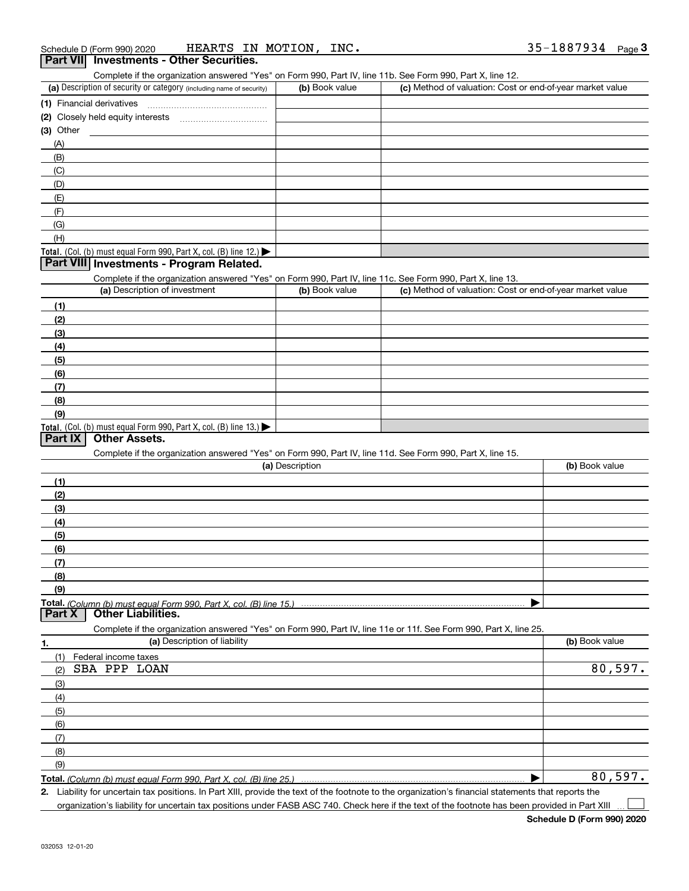#### (a) Description of security or category (including name of security)  $\vert$  (b) Book value  $\vert$  (c) **(1)** Financial derivatives ~~~~~~~~~~~~~~~ **(2)** Closely held equity interests ~~~~~~~~~~~ **(3)** Other Complete if the organization answered "Yes" on Form 990, Part IV, line 11b. See Form 990, Part X, line 12. (b) Book value | (c) Method of valuation: Cost or end-of-year market value (A)(B)(C)(D)(E)(F)(G)

#### Total. (Col. (b) must equal Form 990, Part X, col. (B) line 12.) **Part VIII Investments - Program Related.**

Complete if the organization answered "Yes" on Form 990, Part IV, line 11c. See Form 990, Part X, line 13.

| (a) Description of investment                                    | (b) Book value | (c) Method of valuation: Cost or end-of-year market value |
|------------------------------------------------------------------|----------------|-----------------------------------------------------------|
| (1)                                                              |                |                                                           |
| (2)                                                              |                |                                                           |
| $\frac{1}{2}$                                                    |                |                                                           |
| (4)                                                              |                |                                                           |
| $\left(5\right)$                                                 |                |                                                           |
| (6)                                                              |                |                                                           |
| (7)                                                              |                |                                                           |
| (8)                                                              |                |                                                           |
| (9)                                                              |                |                                                           |
| Total. (Col. (b) must equal Form 990, Part X, col. (B) line 13.) |                |                                                           |

#### **Part IX Other Assets.**

(H)

Complete if the organization answered "Yes" on Form 990, Part IV, line 11d. See Form 990, Part X, line 15.

| (a) Description                                                                                                   | (b) Book value |
|-------------------------------------------------------------------------------------------------------------------|----------------|
| (1)                                                                                                               |                |
| (2)                                                                                                               |                |
| (3)                                                                                                               |                |
| (4)                                                                                                               |                |
| (5)                                                                                                               |                |
| (6)                                                                                                               |                |
| (7)                                                                                                               |                |
| (8)                                                                                                               |                |
| (9)                                                                                                               |                |
|                                                                                                                   |                |
| <b>Part X</b> Other Liabilities.                                                                                  |                |
| Complete if the organization answered "Yes" on Form 990, Part IV, line 11e or 11f. See Form 990, Part X, line 25. |                |

| 1.            | (a) Description of liability | (b) Book value |
|---------------|------------------------------|----------------|
| (1)           | Federal income taxes         |                |
| (2)           | SBA PPP LOAN                 | 80,597.        |
| $\frac{1}{2}$ |                              |                |
| (4)           |                              |                |
| (5)           |                              |                |
| (6)           |                              |                |
| (7)           |                              |                |
| (8)           |                              |                |
| (9)           |                              |                |
|               |                              | 80,597.        |

**Total.**  *(Column (b) must equal Form 990, Part X, col. (B) line 25.)* 

**2.** Liability for uncertain tax positions. In Part XIII, provide the text of the footnote to the organization's financial statements that reports the organization's liability for uncertain tax positions under FASB ASC 740. Check here if the text of the footnote has been provided in Part XIII  $\mathcal{L}^{\text{max}}$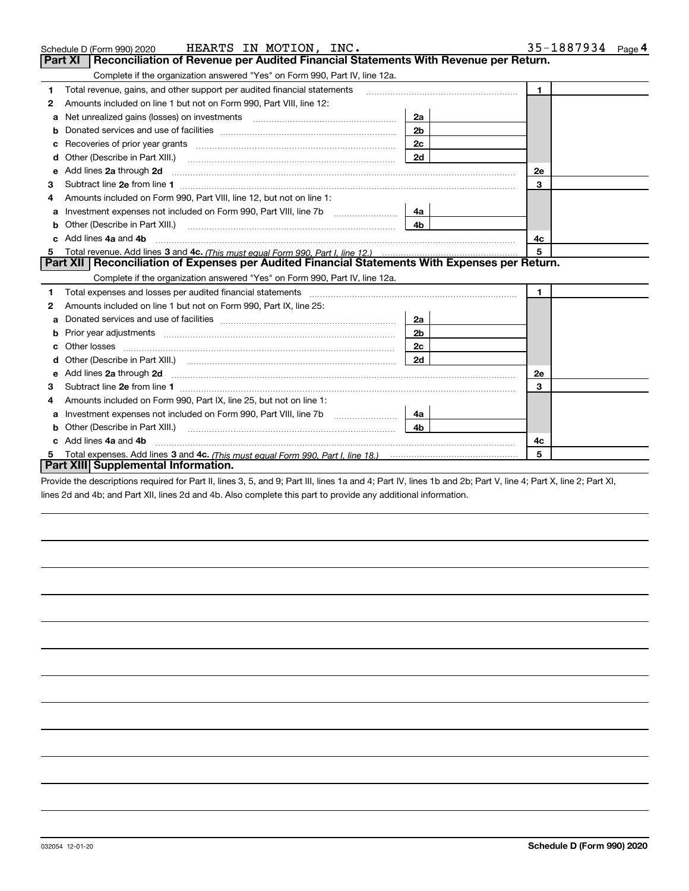|   | HEARTS IN MOTION, INC.<br>Schedule D (Form 990) 2020                                                                                                                                                                               |                | 35-1887934 $_{Page 4}$ |
|---|------------------------------------------------------------------------------------------------------------------------------------------------------------------------------------------------------------------------------------|----------------|------------------------|
|   | Reconciliation of Revenue per Audited Financial Statements With Revenue per Return.<br>Part XI                                                                                                                                     |                |                        |
|   | Complete if the organization answered "Yes" on Form 990, Part IV, line 12a.                                                                                                                                                        |                |                        |
| 1 | Total revenue, gains, and other support per audited financial statements                                                                                                                                                           |                | $\mathbf{1}$           |
| 2 | Amounts included on line 1 but not on Form 990, Part VIII, line 12:                                                                                                                                                                |                |                        |
| a |                                                                                                                                                                                                                                    | 2a             |                        |
|   |                                                                                                                                                                                                                                    | 2 <sub>b</sub> |                        |
| c |                                                                                                                                                                                                                                    | 2c             |                        |
| d |                                                                                                                                                                                                                                    | 2d             |                        |
| е | Add lines 2a through 2d                                                                                                                                                                                                            |                | <b>2e</b>              |
| 3 |                                                                                                                                                                                                                                    |                | 3                      |
| 4 | Amounts included on Form 990, Part VIII, line 12, but not on line 1:                                                                                                                                                               |                |                        |
|   |                                                                                                                                                                                                                                    | 4a             |                        |
| b | Other (Describe in Part XIII.) <b>Construction Contract Construction</b> Chemistry Chemistry Chemistry Chemistry Chemistry                                                                                                         | 4 <sub>b</sub> |                        |
| c | Add lines 4a and 4b                                                                                                                                                                                                                |                | 4с                     |
| 5 |                                                                                                                                                                                                                                    |                | 5                      |
|   | Part XII   Reconciliation of Expenses per Audited Financial Statements With Expenses per Return.                                                                                                                                   |                |                        |
|   | Complete if the organization answered "Yes" on Form 990, Part IV, line 12a.                                                                                                                                                        |                |                        |
| 1 | Total expenses and losses per audited financial statements [11] [12] manuscription control expenses and losses per audited financial statements [12] manuscription of the statements [12] manuscription of the statements [12]     |                | $\mathbf{1}$           |
| 2 | Amounts included on line 1 but not on Form 990, Part IX, line 25:                                                                                                                                                                  |                |                        |
| a |                                                                                                                                                                                                                                    | 2a             |                        |
| b |                                                                                                                                                                                                                                    | 2 <sub>b</sub> |                        |
| c |                                                                                                                                                                                                                                    | 2c             |                        |
|   |                                                                                                                                                                                                                                    | 2d             |                        |
| е | Add lines 2a through 2d <b>must be a constructed as the constant of the construction</b> and the state of the state of the state of the state of the state of the state of the state of the state of the state of the state of the |                | 2e                     |
| 3 |                                                                                                                                                                                                                                    |                | 3                      |
| 4 | Amounts included on Form 990, Part IX, line 25, but not on line 1:                                                                                                                                                                 |                |                        |
| a |                                                                                                                                                                                                                                    | 4а             |                        |
| b |                                                                                                                                                                                                                                    | 4 <sub>b</sub> |                        |
|   | Add lines 4a and 4b                                                                                                                                                                                                                |                | 4c                     |
| 5 |                                                                                                                                                                                                                                    |                | 5                      |
|   | Part XIII Supplemental Information.                                                                                                                                                                                                |                |                        |

Provide the descriptions required for Part II, lines 3, 5, and 9; Part III, lines 1a and 4; Part IV, lines 1b and 2b; Part V, line 4; Part X, line 2; Part XI, lines 2d and 4b; and Part XII, lines 2d and 4b. Also complete this part to provide any additional information.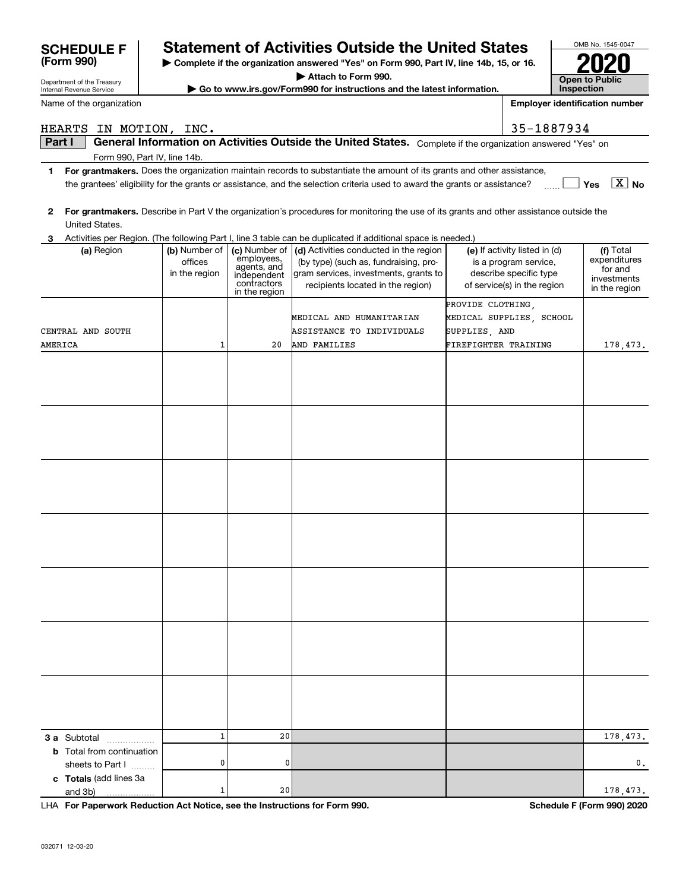| Department or the ricasury<br>Internal Revenue Service |               |                              | Go to www.irs.gov/Form990 for instructions and the latest information.                                                                                 |                      |                                       | Inspection                   |
|--------------------------------------------------------|---------------|------------------------------|--------------------------------------------------------------------------------------------------------------------------------------------------------|----------------------|---------------------------------------|------------------------------|
| Name of the organization                               |               |                              |                                                                                                                                                        |                      | <b>Employer identification number</b> |                              |
|                                                        |               |                              |                                                                                                                                                        |                      |                                       |                              |
| HEARTS IN MOTION, INC.<br>Part I                       |               |                              | General Information on Activities Outside the United States. Complete if the organization answered "Yes" on                                            |                      | 35-1887934                            |                              |
| Form 990, Part IV, line 14b.                           |               |                              |                                                                                                                                                        |                      |                                       |                              |
| 1                                                      |               |                              | For grantmakers. Does the organization maintain records to substantiate the amount of its grants and other assistance,                                 |                      |                                       |                              |
|                                                        |               |                              | the grantees' eligibility for the grants or assistance, and the selection criteria used to award the grants or assistance?                             |                      |                                       | $\boxed{\text{X}}$ No<br>Yes |
|                                                        |               |                              |                                                                                                                                                        |                      |                                       |                              |
| $\mathbf{2}$                                           |               |                              | For grantmakers. Describe in Part V the organization's procedures for monitoring the use of its grants and other assistance outside the                |                      |                                       |                              |
| United States.                                         |               |                              |                                                                                                                                                        |                      |                                       |                              |
| З.<br>(a) Region                                       | (b) Number of | (c) Number of                | Activities per Region. (The following Part I, line 3 table can be duplicated if additional space is needed.)<br>(d) Activities conducted in the region |                      | (e) If activity listed in (d)         | (f) Total                    |
|                                                        | offices       | employees,<br>agents, and    | (by type) (such as, fundraising, pro-                                                                                                                  |                      | is a program service,                 | expenditures                 |
|                                                        | in the region | independent                  | gram services, investments, grants to                                                                                                                  |                      | describe specific type                | for and<br>investments       |
|                                                        |               | contractors<br>in the region | recipients located in the region)                                                                                                                      |                      | of service(s) in the region           | in the region                |
|                                                        |               |                              |                                                                                                                                                        | PROVIDE CLOTHING,    |                                       |                              |
|                                                        |               |                              | MEDICAL AND HUMANITARIAN                                                                                                                               |                      | MEDICAL SUPPLIES, SCHOOL              |                              |
| CENTRAL AND SOUTH                                      |               |                              | ASSISTANCE TO INDIVIDUALS                                                                                                                              | SUPPLIES, AND        |                                       |                              |
| AMERICA                                                | 1             | 20                           | AND FAMILIES                                                                                                                                           | FIREFIGHTER TRAINING |                                       | 178,473.                     |
|                                                        |               |                              |                                                                                                                                                        |                      |                                       |                              |
|                                                        |               |                              |                                                                                                                                                        |                      |                                       |                              |
|                                                        |               |                              |                                                                                                                                                        |                      |                                       |                              |
|                                                        |               |                              |                                                                                                                                                        |                      |                                       |                              |
|                                                        |               |                              |                                                                                                                                                        |                      |                                       |                              |
|                                                        |               |                              |                                                                                                                                                        |                      |                                       |                              |
|                                                        |               |                              |                                                                                                                                                        |                      |                                       |                              |
|                                                        |               |                              |                                                                                                                                                        |                      |                                       |                              |
|                                                        |               |                              |                                                                                                                                                        |                      |                                       |                              |
|                                                        |               |                              |                                                                                                                                                        |                      |                                       |                              |
|                                                        |               |                              |                                                                                                                                                        |                      |                                       |                              |
|                                                        |               |                              |                                                                                                                                                        |                      |                                       |                              |
|                                                        |               |                              |                                                                                                                                                        |                      |                                       |                              |
|                                                        |               |                              |                                                                                                                                                        |                      |                                       |                              |
|                                                        |               |                              |                                                                                                                                                        |                      |                                       |                              |
|                                                        |               |                              |                                                                                                                                                        |                      |                                       |                              |
|                                                        |               |                              |                                                                                                                                                        |                      |                                       |                              |
|                                                        |               |                              |                                                                                                                                                        |                      |                                       |                              |
|                                                        |               |                              |                                                                                                                                                        |                      |                                       |                              |
|                                                        |               |                              |                                                                                                                                                        |                      |                                       |                              |
|                                                        |               |                              |                                                                                                                                                        |                      |                                       |                              |
|                                                        |               |                              |                                                                                                                                                        |                      |                                       |                              |
|                                                        |               |                              |                                                                                                                                                        |                      |                                       |                              |
|                                                        |               |                              |                                                                                                                                                        |                      |                                       |                              |
| 3 a Subtotal                                           | $\mathbf{1}$  | 20                           |                                                                                                                                                        |                      |                                       | 178,473.                     |
| <b>b</b> Total from continuation                       | 0             | 0                            |                                                                                                                                                        |                      |                                       | 0.                           |
| sheets to Part I<br>c Totals (add lines 3a             |               |                              |                                                                                                                                                        |                      |                                       |                              |
| and 3b)                                                | 1             | 20                           |                                                                                                                                                        |                      |                                       | 178,473.                     |

**| Complete if the organization answered "Yes" on Form 990, Part IV, line 14b, 15, or 16. | Attach to Form 990.**

**Statement of Activities Outside the United States** 

**For Paperwork Reduction Act Notice, see the Instructions for Form 990. Schedule F (Form 990) 2020** LHA

OMB No. 1545-0047

**2020**

**Open to Public Inspection**

Department of the Treasury

**(Form 990)**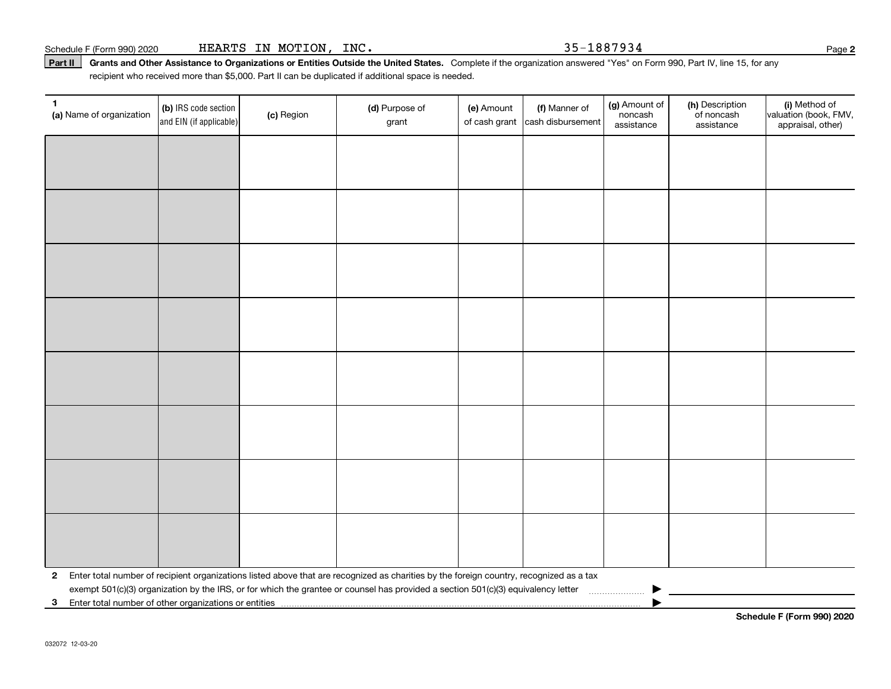Part II | Grants and Other Assistance to Organizations or Entities Outside the United States. Complete if the organization answered "Yes" on Form 990, Part IV, line 15, for any recipient who received more than \$5,000. Part II can be duplicated if additional space is needed.

| 1<br>(a) Name of organization                           | (b) IRS code section<br>and EIN (if applicable) | (c) Region | (d) Purpose of<br>grant                                                                                                                 | (e) Amount<br>of cash grant | (f) Manner of<br>cash disbursement | (g) Amount of<br>noncash<br>assistance      | (h) Description<br>of noncash<br>assistance | (i) Method of<br>valuation (book, FMV,<br>appraisal, other) |
|---------------------------------------------------------|-------------------------------------------------|------------|-----------------------------------------------------------------------------------------------------------------------------------------|-----------------------------|------------------------------------|---------------------------------------------|---------------------------------------------|-------------------------------------------------------------|
|                                                         |                                                 |            |                                                                                                                                         |                             |                                    |                                             |                                             |                                                             |
|                                                         |                                                 |            |                                                                                                                                         |                             |                                    |                                             |                                             |                                                             |
|                                                         |                                                 |            |                                                                                                                                         |                             |                                    |                                             |                                             |                                                             |
|                                                         |                                                 |            |                                                                                                                                         |                             |                                    |                                             |                                             |                                                             |
|                                                         |                                                 |            |                                                                                                                                         |                             |                                    |                                             |                                             |                                                             |
|                                                         |                                                 |            |                                                                                                                                         |                             |                                    |                                             |                                             |                                                             |
|                                                         |                                                 |            |                                                                                                                                         |                             |                                    |                                             |                                             |                                                             |
|                                                         |                                                 |            |                                                                                                                                         |                             |                                    |                                             |                                             |                                                             |
|                                                         |                                                 |            |                                                                                                                                         |                             |                                    |                                             |                                             |                                                             |
|                                                         |                                                 |            |                                                                                                                                         |                             |                                    |                                             |                                             |                                                             |
|                                                         |                                                 |            |                                                                                                                                         |                             |                                    |                                             |                                             |                                                             |
|                                                         |                                                 |            |                                                                                                                                         |                             |                                    |                                             |                                             |                                                             |
|                                                         |                                                 |            |                                                                                                                                         |                             |                                    |                                             |                                             |                                                             |
|                                                         |                                                 |            |                                                                                                                                         |                             |                                    |                                             |                                             |                                                             |
|                                                         |                                                 |            |                                                                                                                                         |                             |                                    |                                             |                                             |                                                             |
| $\mathbf{2}$                                            |                                                 |            | Enter total number of recipient organizations listed above that are recognized as charities by the foreign country, recognized as a tax |                             |                                    |                                             |                                             |                                                             |
| 3 Enter total number of other organizations or entities |                                                 |            | exempt 501(c)(3) organization by the IRS, or for which the grantee or counsel has provided a section 501(c)(3) equivalency letter       |                             |                                    | $\ldots \ldots \ldots \ldots \ldots \ldots$ |                                             |                                                             |

**Schedule F (Form 990) 2020**

**2**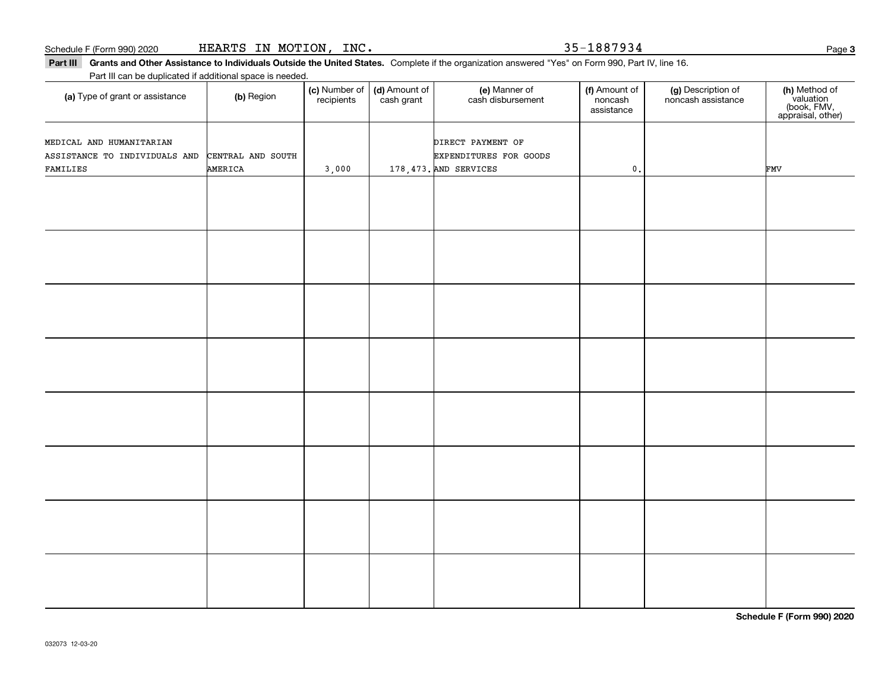Schedule F (Form 990) 2020 **HEARTS IN MOTION, INC.** 35-1887934 Page

Part III Grants and Other Assistance to Individuals Outside the United States. Complete if the organization answered "Yes" on Form 990, Part IV, line 16. Part III can be duplicated if additional space is needed.

**(c)** Number of **| (d)** Amount of **| (e)** Manner of **| (f)** Amount of **| (g)** Description of **| (h) (a)** Type of grant or assistance  $\qquad$  **(b)** Region (c) Number of recipients(d) Amount of cash grant (e) Manner of cash disbursement (f) Amount of noncash assistancenoncash assistance **(h)** Method of<br>valuation<br>(book, FMV,<br>appraisal, other) AMERICA3,000 | 178,473. AND SERVICES | 0. FMV CENTRAL AND SOUTH | THE RESOLUTION BY RESOLUTIONS FOR GOODS DIRECT PAYMENT OF ASSISTANCE TO INDIVIDUALS AND FAMILIES MEDICAL AND HUMANITARIAN

**Schedule F (Form 990) 2020**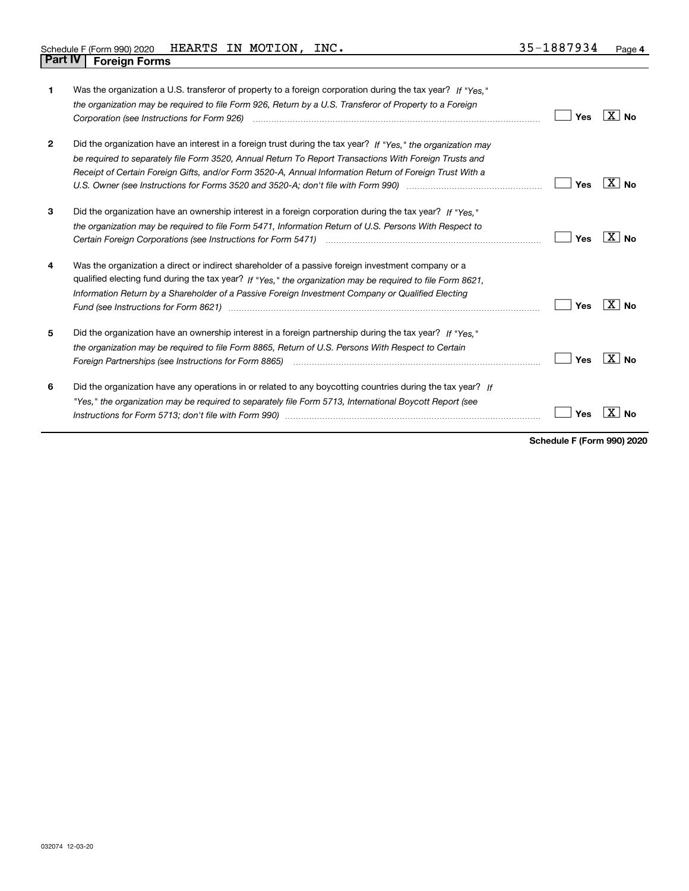| 1              | Was the organization a U.S. transferor of property to a foreign corporation during the tax year? If "Yes."<br>the organization may be required to file Form 926, Return by a U.S. Transferor of Property to a Foreign                                                                                                                                                                                                                   | Yes | $X _{N_Q}$      |
|----------------|-----------------------------------------------------------------------------------------------------------------------------------------------------------------------------------------------------------------------------------------------------------------------------------------------------------------------------------------------------------------------------------------------------------------------------------------|-----|-----------------|
| $\overline{2}$ | Did the organization have an interest in a foreign trust during the tax year? If "Yes." the organization may<br>be required to separately file Form 3520, Annual Return To Report Transactions With Foreign Trusts and<br>Receipt of Certain Foreign Gifts, and/or Form 3520-A, Annual Information Return of Foreign Trust With a                                                                                                       | Yes | X I<br>No       |
| 3              | Did the organization have an ownership interest in a foreign corporation during the tax year? If "Yes."<br>the organization may be required to file Form 5471, Information Return of U.S. Persons With Respect to                                                                                                                                                                                                                       | Yes | ΧI<br><b>No</b> |
| 4              | Was the organization a direct or indirect shareholder of a passive foreign investment company or a<br>qualified electing fund during the tax year? If "Yes," the organization may be required to file Form 8621.<br>Information Return by a Shareholder of a Passive Foreign Investment Company or Qualified Electing<br>Fund (see Instructions for Form 8621) manufactured control to the control of the control of the control of the | Yes | X<br>Nο         |
| 5              | Did the organization have an ownership interest in a foreign partnership during the tax year? If "Yes."<br>the organization may be required to file Form 8865. Return of U.S. Persons With Respect to Certain<br>Foreign Partnerships (see Instructions for Form 8865) manufactured content content content of the content of the                                                                                                       | Yes | ΧI<br><b>No</b> |
| 6              | Did the organization have any operations in or related to any boycotting countries during the tax year? If<br>"Yes," the organization may be required to separately file Form 5713, International Boycott Report (see                                                                                                                                                                                                                   | Yes |                 |

**Schedule F (Form 990) 2020**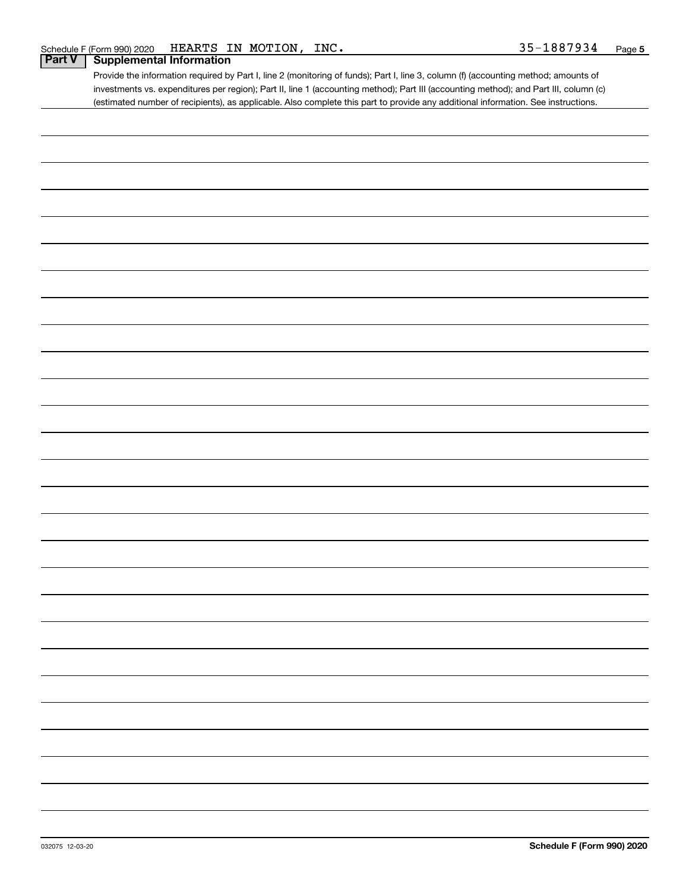### **Part V Supplemental Information**

Provide the information required by Part I, line 2 (monitoring of funds); Part I, line 3, column (f) (accounting method; amounts of investments vs. expenditures per region); Part II, line 1 (accounting method); Part III (accounting method); and Part III, column (c) (estimated number of recipients), as applicable. Also complete this part to provide any additional information. See instructions.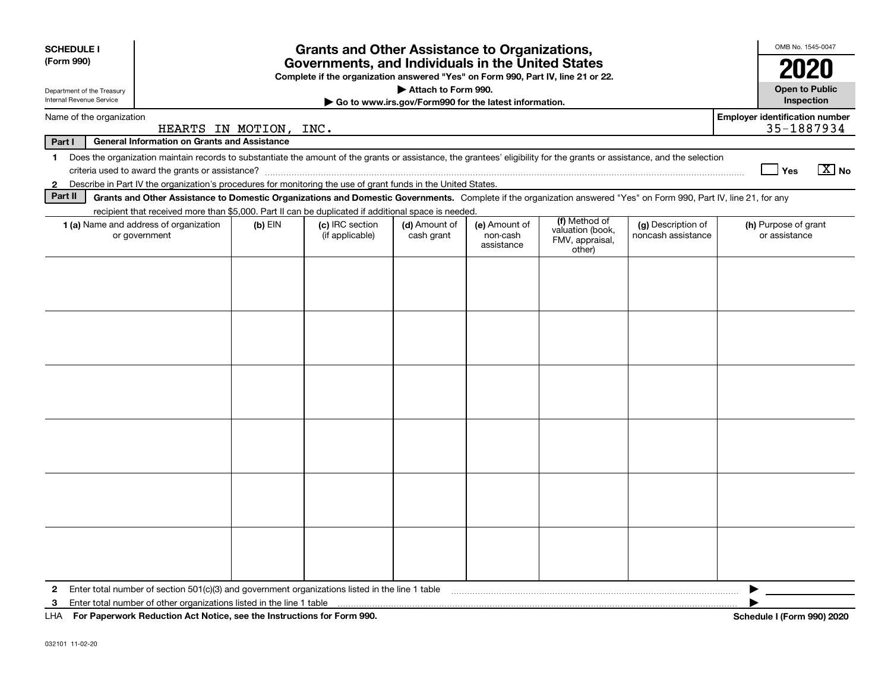| <b>SCHEDULE I</b>                                                                                                                                   |                                                                                                                                                                          |           | <b>Grants and Other Assistance to Organizations,</b> |                                                       |                                         |                                               |                                          |                                       | OMB No. 1545-0047                     |
|-----------------------------------------------------------------------------------------------------------------------------------------------------|--------------------------------------------------------------------------------------------------------------------------------------------------------------------------|-----------|------------------------------------------------------|-------------------------------------------------------|-----------------------------------------|-----------------------------------------------|------------------------------------------|---------------------------------------|---------------------------------------|
| (Form 990)<br>Governments, and Individuals in the United States<br>Complete if the organization answered "Yes" on Form 990, Part IV, line 21 or 22. |                                                                                                                                                                          |           |                                                      |                                                       |                                         |                                               |                                          |                                       | 2020                                  |
| Department of the Treasury                                                                                                                          |                                                                                                                                                                          |           |                                                      | Attach to Form 990.                                   |                                         |                                               |                                          |                                       | <b>Open to Public</b>                 |
| Internal Revenue Service                                                                                                                            |                                                                                                                                                                          |           |                                                      | Go to www.irs.gov/Form990 for the latest information. |                                         |                                               |                                          |                                       | Inspection                            |
| Name of the organization                                                                                                                            | HEARTS IN MOTION, INC.                                                                                                                                                   |           |                                                      |                                                       |                                         |                                               |                                          | <b>Employer identification number</b> | 35-1887934                            |
| Part I                                                                                                                                              | <b>General Information on Grants and Assistance</b>                                                                                                                      |           |                                                      |                                                       |                                         |                                               |                                          |                                       |                                       |
| $\mathbf{1}$                                                                                                                                        | Does the organization maintain records to substantiate the amount of the grants or assistance, the grantees' eligibility for the grants or assistance, and the selection |           |                                                      |                                                       |                                         |                                               |                                          |                                       | $X$ No<br>Yes                         |
| $\mathbf{2}$                                                                                                                                        | Describe in Part IV the organization's procedures for monitoring the use of grant funds in the United States.                                                            |           |                                                      |                                                       |                                         |                                               |                                          |                                       |                                       |
| Part II                                                                                                                                             | Grants and Other Assistance to Domestic Organizations and Domestic Governments. Complete if the organization answered "Yes" on Form 990, Part IV, line 21, for any       |           |                                                      |                                                       |                                         |                                               |                                          |                                       |                                       |
|                                                                                                                                                     | recipient that received more than \$5,000. Part II can be duplicated if additional space is needed.                                                                      |           |                                                      |                                                       |                                         | (f) Method of                                 |                                          |                                       |                                       |
|                                                                                                                                                     | 1 (a) Name and address of organization<br>or government                                                                                                                  | $(b)$ EIN | (c) IRC section<br>(if applicable)                   | (d) Amount of<br>cash grant                           | (e) Amount of<br>non-cash<br>assistance | valuation (book,<br>FMV, appraisal,<br>other) | (g) Description of<br>noncash assistance |                                       | (h) Purpose of grant<br>or assistance |
|                                                                                                                                                     |                                                                                                                                                                          |           |                                                      |                                                       |                                         |                                               |                                          |                                       |                                       |
|                                                                                                                                                     |                                                                                                                                                                          |           |                                                      |                                                       |                                         |                                               |                                          |                                       |                                       |
|                                                                                                                                                     |                                                                                                                                                                          |           |                                                      |                                                       |                                         |                                               |                                          |                                       |                                       |
|                                                                                                                                                     |                                                                                                                                                                          |           |                                                      |                                                       |                                         |                                               |                                          |                                       |                                       |
|                                                                                                                                                     |                                                                                                                                                                          |           |                                                      |                                                       |                                         |                                               |                                          |                                       |                                       |
|                                                                                                                                                     |                                                                                                                                                                          |           |                                                      |                                                       |                                         |                                               |                                          |                                       |                                       |
|                                                                                                                                                     |                                                                                                                                                                          |           |                                                      |                                                       |                                         |                                               |                                          |                                       |                                       |
|                                                                                                                                                     |                                                                                                                                                                          |           |                                                      |                                                       |                                         |                                               |                                          |                                       |                                       |
|                                                                                                                                                     |                                                                                                                                                                          |           |                                                      |                                                       |                                         |                                               |                                          |                                       |                                       |
|                                                                                                                                                     |                                                                                                                                                                          |           |                                                      |                                                       |                                         |                                               |                                          |                                       |                                       |
|                                                                                                                                                     |                                                                                                                                                                          |           |                                                      |                                                       |                                         |                                               |                                          |                                       |                                       |
|                                                                                                                                                     |                                                                                                                                                                          |           |                                                      |                                                       |                                         |                                               |                                          |                                       |                                       |
|                                                                                                                                                     |                                                                                                                                                                          |           |                                                      |                                                       |                                         |                                               |                                          |                                       |                                       |
|                                                                                                                                                     |                                                                                                                                                                          |           |                                                      |                                                       |                                         |                                               |                                          |                                       |                                       |
|                                                                                                                                                     |                                                                                                                                                                          |           |                                                      |                                                       |                                         |                                               |                                          |                                       |                                       |
|                                                                                                                                                     |                                                                                                                                                                          |           |                                                      |                                                       |                                         |                                               |                                          |                                       |                                       |
|                                                                                                                                                     |                                                                                                                                                                          |           |                                                      |                                                       |                                         |                                               |                                          |                                       |                                       |
|                                                                                                                                                     |                                                                                                                                                                          |           |                                                      |                                                       |                                         |                                               |                                          |                                       |                                       |
| $\mathbf{2}$                                                                                                                                        | Enter total number of section $501(c)(3)$ and government organizations listed in the line 1 table                                                                        |           |                                                      |                                                       |                                         |                                               |                                          |                                       |                                       |
| 3                                                                                                                                                   | Enter total number of other organizations listed in the line 1 table                                                                                                     |           |                                                      |                                                       |                                         |                                               |                                          |                                       |                                       |
|                                                                                                                                                     | LHA For Paperwork Reduction Act Notice, see the Instructions for Form 990.                                                                                               |           |                                                      |                                                       |                                         |                                               |                                          |                                       | <b>Schedule I (Form 990) 2020</b>     |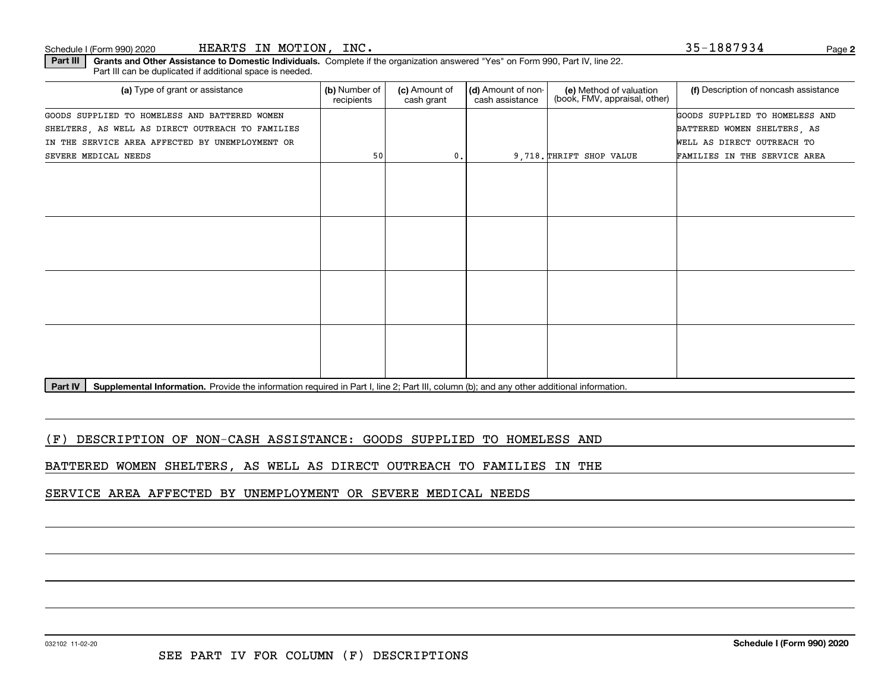Schedule I (Form 990) 2020 Page HEARTS IN MOTION, INC. 35-1887934

| Part III   Grants and Other Assistance to Domestic Individuals. Complete if the organization answered "Yes" on Form 990, Part IV, line 22 |  |
|-------------------------------------------------------------------------------------------------------------------------------------------|--|
| Part III can be duplicated if additional space is needed.                                                                                 |  |

| (a) Type of grant or assistance                  | (b) Number of<br>recipients | (c) Amount of<br>cash grant | (d) Amount of non-<br>cash assistance | (e) Method of valuation<br>(book, FMV, appraisal, other) | (f) Description of noncash assistance |
|--------------------------------------------------|-----------------------------|-----------------------------|---------------------------------------|----------------------------------------------------------|---------------------------------------|
| GOODS SUPPLIED TO HOMELESS AND BATTERED WOMEN    |                             |                             |                                       |                                                          | GOODS SUPPLIED TO HOMELESS AND        |
| SHELTERS, AS WELL AS DIRECT OUTREACH TO FAMILIES |                             |                             |                                       |                                                          | BATTERED WOMEN SHELTERS, AS           |
| IN THE SERVICE AREA AFFECTED BY UNEMPLOYMENT OR  |                             |                             |                                       |                                                          | WELL AS DIRECT OUTREACH TO            |
| SEVERE MEDICAL NEEDS                             | 50                          | 0.                          |                                       | 9,718. THRIFT SHOP VALUE                                 | FAMILIES IN THE SERVICE AREA          |
|                                                  |                             |                             |                                       |                                                          |                                       |
|                                                  |                             |                             |                                       |                                                          |                                       |
|                                                  |                             |                             |                                       |                                                          |                                       |
|                                                  |                             |                             |                                       |                                                          |                                       |
|                                                  |                             |                             |                                       |                                                          |                                       |
|                                                  |                             |                             |                                       |                                                          |                                       |
|                                                  |                             |                             |                                       |                                                          |                                       |
|                                                  |                             |                             |                                       |                                                          |                                       |
|                                                  |                             |                             |                                       |                                                          |                                       |
|                                                  |                             |                             |                                       |                                                          |                                       |
|                                                  |                             |                             |                                       |                                                          |                                       |
|                                                  |                             |                             |                                       |                                                          |                                       |
| .<br><b>Service</b> Service                      |                             |                             |                                       |                                                          |                                       |

Part IV | Supplemental Information. Provide the information required in Part I, line 2; Part III, column (b); and any other additional information.

(F) DESCRIPTION OF NON-CASH ASSISTANCE: GOODS SUPPLIED TO HOMELESS AND

BATTERED WOMEN SHELTERS, AS WELL AS DIRECT OUTREACH TO FAMILIES IN THE

SERVICE AREA AFFECTED BY UNEMPLOYMENT OR SEVERE MEDICAL NEEDS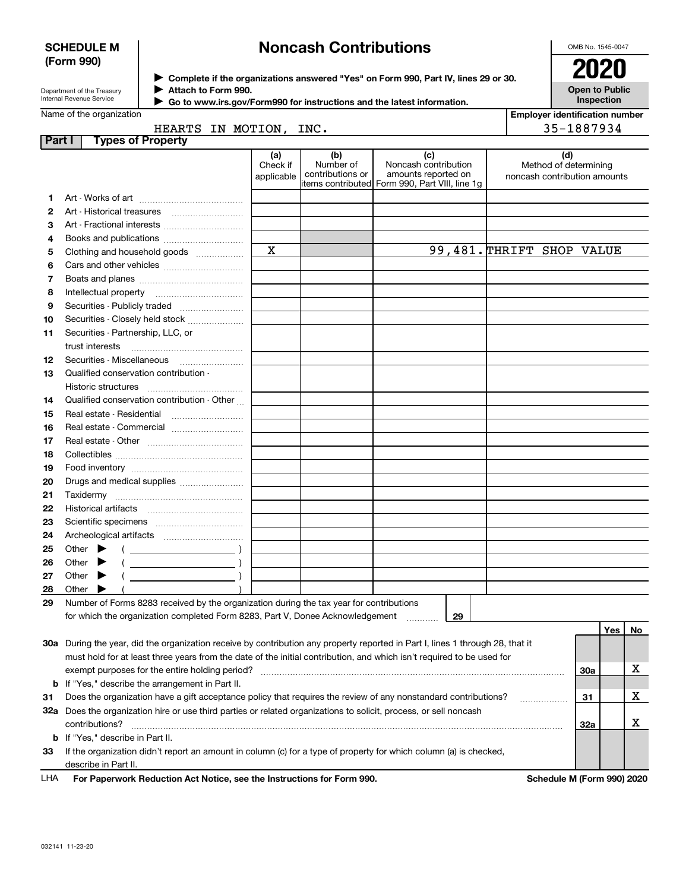#### **SCHEDULE M (Form 990)**

# **Noncash Contributions**

OMB No. 1545-0047

| Department of the Treasury |  |
|----------------------------|--|

**Complete if the organizations answered "Yes" on Form 990, Part IV, lines 29 or 30.** <sup>J</sup>**2020**

|        | Attach to Form 990.<br>Department of the Treasury<br>Internal Revenue Service |                               |                                      | Go to www.irs.gov/Form990 for instructions and the latest information.                                | <b>Open to Public</b><br>Inspection                          |
|--------|-------------------------------------------------------------------------------|-------------------------------|--------------------------------------|-------------------------------------------------------------------------------------------------------|--------------------------------------------------------------|
|        | Name of the organization                                                      |                               |                                      |                                                                                                       | <b>Employer identification number</b>                        |
|        | HEARTS IN MOTION, INC.                                                        |                               |                                      |                                                                                                       | 35-1887934                                                   |
| Part I | <b>Types of Property</b>                                                      |                               |                                      |                                                                                                       |                                                              |
|        |                                                                               | (a)<br>Check if<br>applicable | (b)<br>Number of<br>contributions or | (c)<br>Noncash contribution<br>amounts reported on<br>litems contributed Form 990, Part VIII, line 1q | (d)<br>Method of determining<br>noncash contribution amounts |
|        |                                                                               |                               |                                      |                                                                                                       |                                                              |
| 2      |                                                                               |                               |                                      |                                                                                                       |                                                              |
| 3      |                                                                               |                               |                                      |                                                                                                       |                                                              |
| 4      |                                                                               |                               |                                      |                                                                                                       |                                                              |
| 5      | Clothing and household goods                                                  | X                             |                                      |                                                                                                       | 99,481. THRIFT SHOP VALUE                                    |
| 6      |                                                                               |                               |                                      |                                                                                                       |                                                              |
| 7      |                                                                               |                               |                                      |                                                                                                       |                                                              |
| 8      |                                                                               |                               |                                      |                                                                                                       |                                                              |
| 9      |                                                                               |                               |                                      |                                                                                                       |                                                              |
| 10     | Securities - Closely held stock                                               |                               |                                      |                                                                                                       |                                                              |
| 11     | Securities - Partnership, LLC, or<br>trust interests                          |                               |                                      |                                                                                                       |                                                              |
| 12     | Securities - Miscellaneous                                                    |                               |                                      |                                                                                                       |                                                              |
| 13     | Qualified conservation contribution -                                         |                               |                                      |                                                                                                       |                                                              |
|        | Historic structures                                                           |                               |                                      |                                                                                                       |                                                              |
| 14     | Qualified conservation contribution - Other                                   |                               |                                      |                                                                                                       |                                                              |
| 15     |                                                                               |                               |                                      |                                                                                                       |                                                              |
| 16     |                                                                               |                               |                                      |                                                                                                       |                                                              |
| 17     |                                                                               |                               |                                      |                                                                                                       |                                                              |
| 18     | Collectibles                                                                  |                               |                                      |                                                                                                       |                                                              |

| 21 | Taxidermy                                                                                                                  |  |    |     |    |
|----|----------------------------------------------------------------------------------------------------------------------------|--|----|-----|----|
| 22 | <b>Historical artifacts</b>                                                                                                |  |    |     |    |
| 23 | Scientific specimens                                                                                                       |  |    |     |    |
| 24 | Archeological artifacts                                                                                                    |  |    |     |    |
|    | 25 Other $\blacktriangleright$                                                                                             |  |    |     |    |
|    | 26 Other $\blacktriangleright$                                                                                             |  |    |     |    |
| 27 | Other                                                                                                                      |  |    |     |    |
| 28 | Other $\blacktriangleright$                                                                                                |  |    |     |    |
| 29 | Number of Forms 8283 received by the organization during the tax year for contributions                                    |  |    |     |    |
|    | for which the organization completed Form 8283, Part V, Donee Acknowledgement                                              |  | 29 |     |    |
|    |                                                                                                                            |  |    | Yes | No |
|    | 20g Durian the veer did the ergenization resolve by contribution any proporty reported in Dert Llines 1 through 28 that it |  |    |     |    |

| LHA | For Paperwork Reduction Act Notice, see the Instructions for Form 990.                                                     | Schedule M (Form 990) 2020 |  |
|-----|----------------------------------------------------------------------------------------------------------------------------|----------------------------|--|
|     | describe in Part II.                                                                                                       |                            |  |
| 33  | If the organization didn't report an amount in column (c) for a type of property for which column (a) is checked,          |                            |  |
|     | <b>b</b> If "Yes," describe in Part II.                                                                                    |                            |  |
|     | contributions?                                                                                                             | 32a                        |  |
| 32a | Does the organization hire or use third parties or related organizations to solicit, process, or sell noncash              |                            |  |
| 31  | Does the organization have a gift acceptance policy that requires the review of any nonstandard contributions?             | 31                         |  |
|     | <b>b</b> If "Yes," describe the arrangement in Part II.                                                                    |                            |  |
|     | exempt purposes for the entire holding period?                                                                             | <b>30a</b>                 |  |
|     | must hold for at least three years from the date of the initial contribution, and which isn't required to be used for      |                            |  |
| 30a | During the year, did the organization receive by contribution any property reported in Part I, lines 1 through 28, that it |                            |  |

**19 20** Food inventory ~~~~~~~~~~~~~~ Drugs and medical supplies  $_{\ldots\ldots\ldots\ldots\ldots\ldots\ldots\ldots}$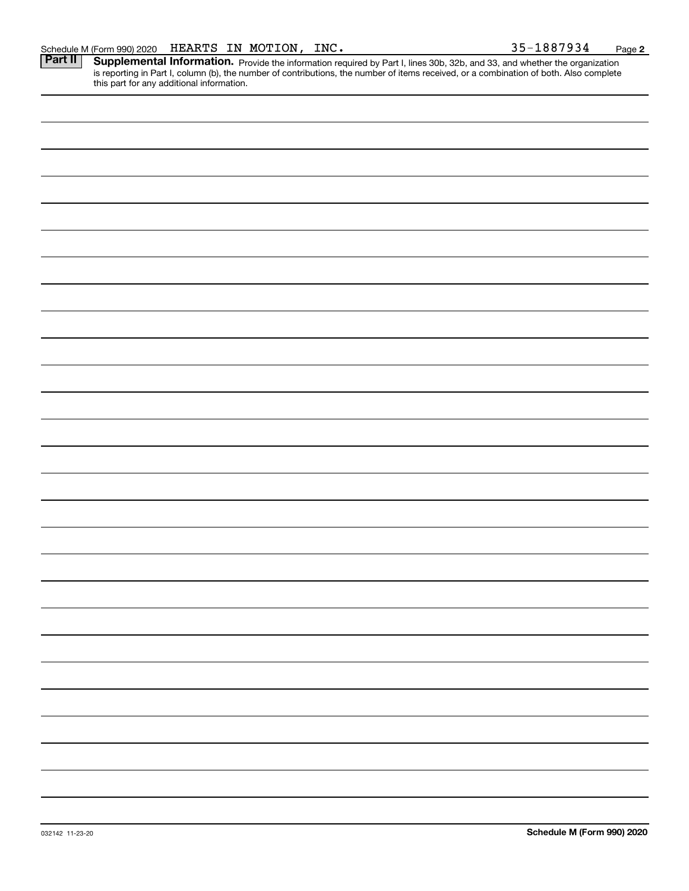Part II | Supplemental Information. Provide the information required by Part I, lines 30b, 32b, and 33, and whether the organization is reporting in Part I, column (b), the number of contributions, the number of items received, or a combination of both. Also complete this part for any additional information.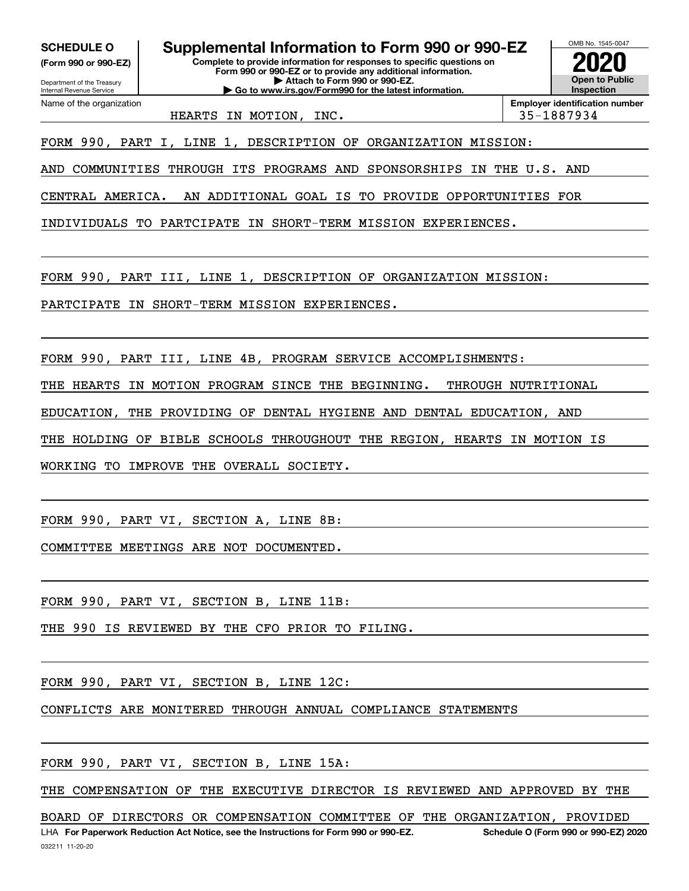**(Form 990 or 990-EZ)**

Department of the Treasury Internal Revenue Service Name of the organization

**Complete to provide information for responses to specific questions on Form 990 or 990-EZ or to provide any additional information. | Attach to Form 990 or 990-EZ. | Go to www.irs.gov/Form990 for the latest information. SCHEDULE O Supplemental Information to Form 990 or 990-EZ**



**Employer identification number** HEARTS IN MOTION, INC. 1992 135-1887934

FORM 990, PART I, LINE 1, DESCRIPTION OF ORGANIZATION MISSION:

AND COMMUNITIES THROUGH ITS PROGRAMS AND SPONSORSHIPS IN THE U.S. AND

CENTRAL AMERICA. AN ADDITIONAL GOAL IS TO PROVIDE OPPORTUNITIES FOR

INDIVIDUALS TO PARTCIPATE IN SHORT-TERM MISSION EXPERIENCES.

FORM 990, PART III, LINE 1, DESCRIPTION OF ORGANIZATION MISSION:

PARTCIPATE IN SHORT-TERM MISSION EXPERIENCES.

FORM 990, PART III, LINE 4B, PROGRAM SERVICE ACCOMPLISHMENTS:

THE HEARTS IN MOTION PROGRAM SINCE THE BEGINNING. THROUGH NUTRITIONAL

EDUCATION, THE PROVIDING OF DENTAL HYGIENE AND DENTAL EDUCATION, AND

THE HOLDING OF BIBLE SCHOOLS THROUGHOUT THE REGION, HEARTS IN MOTION IS

WORKING TO IMPROVE THE OVERALL SOCIETY.

FORM 990, PART VI, SECTION A, LINE 8B:

COMMITTEE MEETINGS ARE NOT DOCUMENTED.

FORM 990, PART VI, SECTION B, LINE 11B:

THE 990 IS REVIEWED BY THE CFO PRIOR TO FILING.

FORM 990, PART VI, SECTION B, LINE 12C:

CONFLICTS ARE MONITERED THROUGH ANNUAL COMPLIANCE STATEMENTS

FORM 990, PART VI, SECTION B, LINE 15A:

THE COMPENSATION OF THE EXECUTIVE DIRECTOR IS REVIEWED AND APPROVED BY THE

LHA For Paperwork Reduction Act Notice, see the Instructions for Form 990 or 990-EZ. Schedule O (Form 990 or 990-EZ) 2020 BOARD OF DIRECTORS OR COMPENSATION COMMITTEE OF THE ORGANIZATION, PROVIDED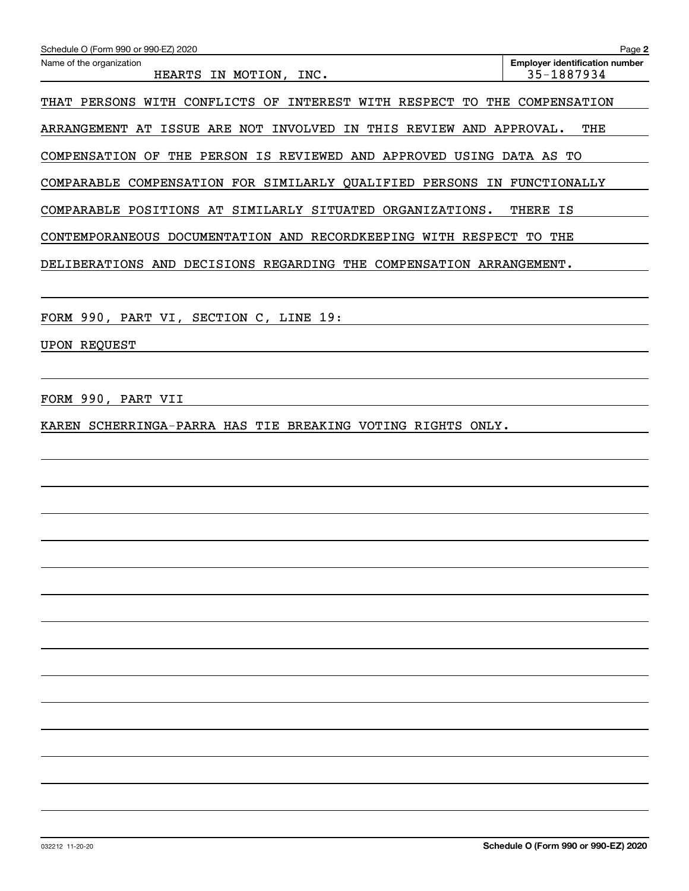| Schedule O (Form 990 or 990-EZ) 2020                                     | Page 2                                              |
|--------------------------------------------------------------------------|-----------------------------------------------------|
| Name of the organization<br>HEARTS IN MOTION, INC.                       | <b>Employer identification number</b><br>35-1887934 |
| THAT PERSONS WITH CONFLICTS OF INTEREST WITH RESPECT TO THE COMPENSATION |                                                     |
| ARRANGEMENT AT ISSUE ARE NOT INVOLVED IN THIS REVIEW AND APPROVAL.       | THE                                                 |
| COMPENSATION OF THE PERSON IS REVIEWED AND APPROVED USING DATA AS TO     |                                                     |
| COMPARABLE COMPENSATION FOR SIMILARLY QUALIFIED PERSONS IN FUNCTIONALLY  |                                                     |
| COMPARABLE POSITIONS AT SIMILARLY SITUATED ORGANIZATIONS.                | THERE IS                                            |
| CONTEMPORANEOUS DOCUMENTATION AND RECORDKEEPING WITH RESPECT TO THE      |                                                     |
| DELIBERATIONS AND DECISIONS REGARDING THE COMPENSATION ARRANGEMENT.      |                                                     |
|                                                                          |                                                     |
| FORM 990, PART VI, SECTION C, LINE 19:                                   |                                                     |
| <b>UPON REQUEST</b>                                                      |                                                     |
|                                                                          |                                                     |
| FORM 990, PART VII                                                       |                                                     |
| KAREN SCHERRINGA-PARRA HAS TIE BREAKING VOTING RIGHTS ONLY.              |                                                     |
|                                                                          |                                                     |
|                                                                          |                                                     |
|                                                                          |                                                     |
|                                                                          |                                                     |
|                                                                          |                                                     |
|                                                                          |                                                     |
|                                                                          |                                                     |
|                                                                          |                                                     |
|                                                                          |                                                     |
|                                                                          |                                                     |
|                                                                          |                                                     |
|                                                                          |                                                     |
|                                                                          |                                                     |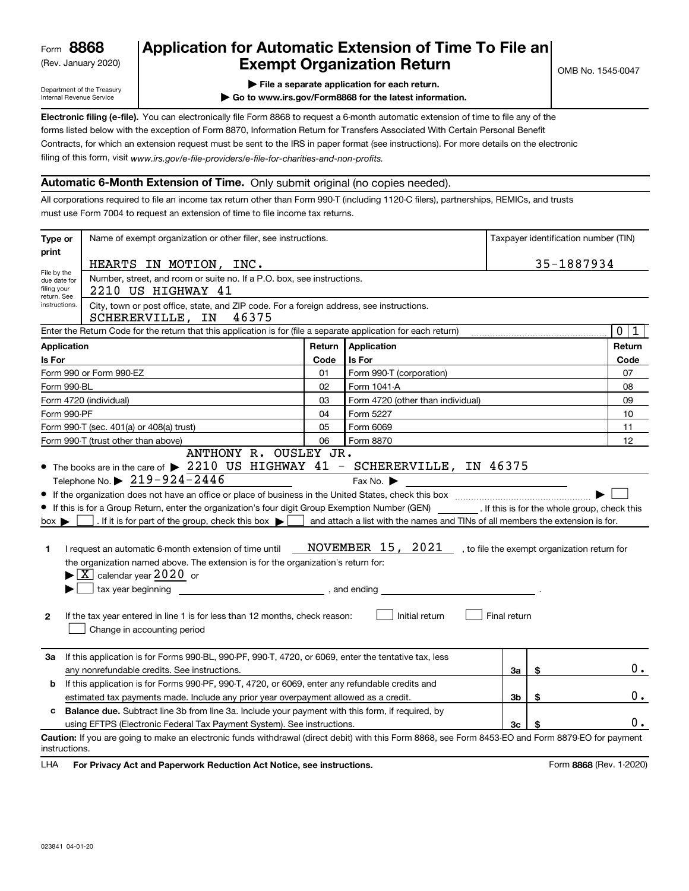(Rev. January 2020)

## **Application for Automatic Extension of Time To File an Exempt Organization Return**

Department of the Treasury Internal Revenue Service

**| File a separate application for each return.**

**| Go to www.irs.gov/Form8868 for the latest information.**

**Electronic filing (e-file).**  You can electronically file Form 8868 to request a 6-month automatic extension of time to file any of the filing of this form, visit www.irs.gov/e-file-providers/e-file-for-charities-and-non-profits. forms listed below with the exception of Form 8870, Information Return for Transfers Associated With Certain Personal Benefit Contracts, for which an extension request must be sent to the IRS in paper format (see instructions). For more details on the electronic

#### **Automatic 6-Month Extension of Time.** Only submit original (no copies needed).

All corporations required to file an income tax return other than Form 990-T (including 1120-C filers), partnerships, REMICs, and trusts must use Form 7004 to request an extension of time to file income tax returns.

| Type or                                                                                                 | Name of exempt organization or other filer, see instructions.                                                                                                                                                                                                                                                                                                                                                                                                                                                                                                                                                                                                                                                                                                                                                                                                                                                                                                                                                                                                                                                                                   |        |                                   | Taxpayer identification number (TIN) |            |                  |
|---------------------------------------------------------------------------------------------------------|-------------------------------------------------------------------------------------------------------------------------------------------------------------------------------------------------------------------------------------------------------------------------------------------------------------------------------------------------------------------------------------------------------------------------------------------------------------------------------------------------------------------------------------------------------------------------------------------------------------------------------------------------------------------------------------------------------------------------------------------------------------------------------------------------------------------------------------------------------------------------------------------------------------------------------------------------------------------------------------------------------------------------------------------------------------------------------------------------------------------------------------------------|--------|-----------------------------------|--------------------------------------|------------|------------------|
| print                                                                                                   | HEARTS IN MOTION, INC.                                                                                                                                                                                                                                                                                                                                                                                                                                                                                                                                                                                                                                                                                                                                                                                                                                                                                                                                                                                                                                                                                                                          |        |                                   |                                      | 35-1887934 |                  |
| File by the<br>filing your                                                                              | Number, street, and room or suite no. If a P.O. box, see instructions.<br>due date for<br>2210 US HIGHWAY 41                                                                                                                                                                                                                                                                                                                                                                                                                                                                                                                                                                                                                                                                                                                                                                                                                                                                                                                                                                                                                                    |        |                                   |                                      |            |                  |
| return. See                                                                                             | City, town or post office, state, and ZIP code. For a foreign address, see instructions.<br>instructions.<br>SCHERERVILLE, IN<br>46375                                                                                                                                                                                                                                                                                                                                                                                                                                                                                                                                                                                                                                                                                                                                                                                                                                                                                                                                                                                                          |        |                                   |                                      |            |                  |
|                                                                                                         | Enter the Return Code for the return that this application is for (file a separate application for each return)                                                                                                                                                                                                                                                                                                                                                                                                                                                                                                                                                                                                                                                                                                                                                                                                                                                                                                                                                                                                                                 |        |                                   |                                      |            | $\mathbf 0$<br>1 |
| <b>Application</b>                                                                                      |                                                                                                                                                                                                                                                                                                                                                                                                                                                                                                                                                                                                                                                                                                                                                                                                                                                                                                                                                                                                                                                                                                                                                 | Return | Application                       |                                      |            | Return           |
| Is For                                                                                                  |                                                                                                                                                                                                                                                                                                                                                                                                                                                                                                                                                                                                                                                                                                                                                                                                                                                                                                                                                                                                                                                                                                                                                 | Code   | <b>Is For</b>                     |                                      |            | Code             |
|                                                                                                         | Form 990 or Form 990-EZ                                                                                                                                                                                                                                                                                                                                                                                                                                                                                                                                                                                                                                                                                                                                                                                                                                                                                                                                                                                                                                                                                                                         | 01     | Form 990-T (corporation)          |                                      |            | 07               |
|                                                                                                         | Form 990-BL                                                                                                                                                                                                                                                                                                                                                                                                                                                                                                                                                                                                                                                                                                                                                                                                                                                                                                                                                                                                                                                                                                                                     | 02     | Form 1041-A                       |                                      |            | 08               |
|                                                                                                         | Form 4720 (individual)                                                                                                                                                                                                                                                                                                                                                                                                                                                                                                                                                                                                                                                                                                                                                                                                                                                                                                                                                                                                                                                                                                                          | 03     | Form 4720 (other than individual) |                                      |            | 09               |
|                                                                                                         | Form 990-PF                                                                                                                                                                                                                                                                                                                                                                                                                                                                                                                                                                                                                                                                                                                                                                                                                                                                                                                                                                                                                                                                                                                                     | 04     | Form 5227                         |                                      |            | 10               |
|                                                                                                         | Form 990-T (sec. 401(a) or 408(a) trust)                                                                                                                                                                                                                                                                                                                                                                                                                                                                                                                                                                                                                                                                                                                                                                                                                                                                                                                                                                                                                                                                                                        | 05     | Form 6069                         |                                      |            | 11               |
|                                                                                                         | Form 990-T (trust other than above)<br>ANTHONY R. OUSLEY JR.                                                                                                                                                                                                                                                                                                                                                                                                                                                                                                                                                                                                                                                                                                                                                                                                                                                                                                                                                                                                                                                                                    | 06     | Form 8870                         |                                      |            | 12               |
| 1.<br>$\mathbf{2}$                                                                                      | • The books are in the care of > 2210 US HIGHWAY 41 - SCHERERVILLE, IN 46375<br>Telephone No. $\triangleright$ 219-924-2446<br>Fax No. $\blacktriangleright$<br><u> 1989 - Johann Barn, mars ann an t-Amhain ann an t-Amhain an t-Amhain an t-Amhain an t-Amhain an t-Amhain an t-</u><br>If this is for a Group Return, enter the organization's four digit Group Exemption Number (GEN) _________. If this is for the whole group, check this<br>. If it is for part of the group, check this box $\blacktriangleright$<br>and attach a list with the names and TINs of all members the extension is for.<br>$box \blacktriangleright$<br>NOVEMBER 15, 2021, to file the exempt organization return for<br>I request an automatic 6-month extension of time until<br>the organization named above. The extension is for the organization's return for:<br>$\blacktriangleright$ $\lfloor$ X $\rfloor$ calendar year 2020 or<br>tax year beginning<br>$\frac{1}{2}$ , and ending $\frac{1}{2}$<br>If the tax year entered in line 1 is for less than 12 months, check reason:<br>Initial return<br>Final return<br>Change in accounting period |        |                                   |                                      |            |                  |
| За                                                                                                      | If this application is for Forms 990-BL, 990-PF, 990-T, 4720, or 6069, enter the tentative tax, less                                                                                                                                                                                                                                                                                                                                                                                                                                                                                                                                                                                                                                                                                                                                                                                                                                                                                                                                                                                                                                            |        |                                   |                                      |            |                  |
|                                                                                                         | any nonrefundable credits. See instructions.<br>За<br>\$                                                                                                                                                                                                                                                                                                                                                                                                                                                                                                                                                                                                                                                                                                                                                                                                                                                                                                                                                                                                                                                                                        |        |                                   |                                      |            | 0.               |
| b                                                                                                       | If this application is for Forms 990-PF, 990-T, 4720, or 6069, enter any refundable credits and                                                                                                                                                                                                                                                                                                                                                                                                                                                                                                                                                                                                                                                                                                                                                                                                                                                                                                                                                                                                                                                 |        |                                   |                                      |            |                  |
| \$<br>estimated tax payments made. Include any prior year overpayment allowed as a credit.<br>3b        |                                                                                                                                                                                                                                                                                                                                                                                                                                                                                                                                                                                                                                                                                                                                                                                                                                                                                                                                                                                                                                                                                                                                                 |        |                                   | 0.                                   |            |                  |
| <b>Balance due.</b> Subtract line 3b from line 3a. Include your payment with this form, if required, by |                                                                                                                                                                                                                                                                                                                                                                                                                                                                                                                                                                                                                                                                                                                                                                                                                                                                                                                                                                                                                                                                                                                                                 |        |                                   |                                      |            |                  |
|                                                                                                         | using EFTPS (Electronic Federal Tax Payment System). See instructions.                                                                                                                                                                                                                                                                                                                                                                                                                                                                                                                                                                                                                                                                                                                                                                                                                                                                                                                                                                                                                                                                          |        |                                   | 3c                                   |            | 0.               |
| instructions.                                                                                           | Caution: If you are going to make an electronic funds withdrawal (direct debit) with this Form 8868, see Form 8453-EO and Form 8879-EO for payment                                                                                                                                                                                                                                                                                                                                                                                                                                                                                                                                                                                                                                                                                                                                                                                                                                                                                                                                                                                              |        |                                   |                                      |            |                  |

**HA** For Privacy Act and Paperwork Reduction Act Notice, see instructions. **But a struction of the Constantion Constant** Form 8868 (Rev. 1-2020) LHA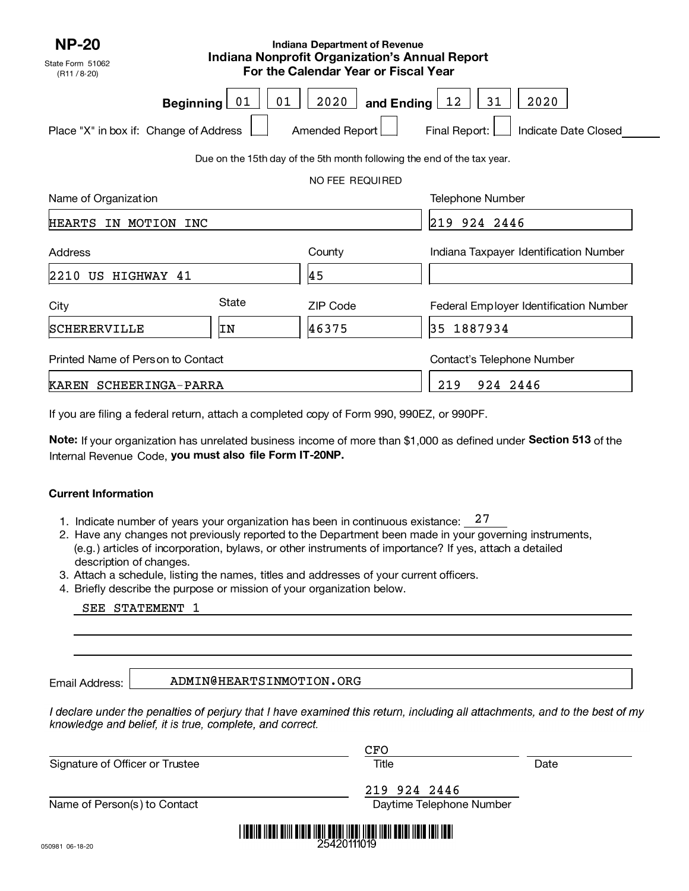| <b>NP-20</b><br>State Form 51062<br>(R11 / 8.20)           |          | <b>Indiana Department of Revenue</b><br><b>Indiana Nonprofit Organization's Annual Report</b><br>For the Calendar Year or Fiscal Year |                                                     |
|------------------------------------------------------------|----------|---------------------------------------------------------------------------------------------------------------------------------------|-----------------------------------------------------|
| <b>Beginning</b><br>Place "X" in box if: Change of Address | 01<br>01 | 2020<br>and Ending $\boxed{12}$<br>Amended Report                                                                                     | 2020<br>31<br>Final Report:<br>Indicate Date Closed |
|                                                            |          | Due on the 15th day of the 5th month following the end of the tax year.<br>NO FEE REQUIRED                                            |                                                     |
| Name of Organization                                       |          |                                                                                                                                       | <b>Telephone Number</b>                             |
| HEARTS<br>IN MOTION INC                                    |          |                                                                                                                                       | 219 924 2446                                        |
| Address                                                    |          | County                                                                                                                                | Indiana Taxpayer Identification Number              |
| 2210<br>US HIGHWAY 41                                      |          | 45                                                                                                                                    |                                                     |
| City                                                       | State    | <b>ZIP Code</b>                                                                                                                       | Federal Employer Identification Number              |
| SCHERERVILLE                                               | IN       | 46375                                                                                                                                 | 1887934<br>35                                       |
| Printed Name of Person to Contact                          |          |                                                                                                                                       | Contact's Telephone Number                          |
| KAREN SCHEERINGA-PARRA                                     |          |                                                                                                                                       | 924 2446<br>219                                     |

If you are filing a federal return, attach <sup>a</sup> completed copy of Form 990, 990EZ, or 990PF.

**Note:** If your organization has unrelated business income of more than \$1,000 as defined under **Section 513** of the Internal Revenue Code, **you must also file Form IT-20NP.** 

#### **Current Information**

- 1. Indicate number of years your organization has been in continuous existance:  $\_{}^{27}$
- 2. Have any changes not previously reported to the Department been made in your governing instruments, (e.g.) articles of incorporation, bylaws, or other instruments of importance? If yes, attach a detailed description of changes.
- 3. Attach a schedule, listing the names, titles and addresses of your current officers.
- 4.Briefly describe the purpose or mission of your organization below.

|  | SEE STATEMENT | 1 |
|--|---------------|---|
|--|---------------|---|

Email Address:

ADMIN@HEARTSINMOTION.ORG

I declare under the penalties of perjury that I have examined this return, including all attachments, and to the best of my knowledge and belief, it is true, complete, and correct.

|                                 | CFO                      |      |
|---------------------------------|--------------------------|------|
| Signature of Officer or Trustee | Title                    | Date |
|                                 | 219 924 2446             |      |
| Name of Person(s) to Contact    | Daytime Telephone Number |      |
| 000102100                       | 25420111019              |      |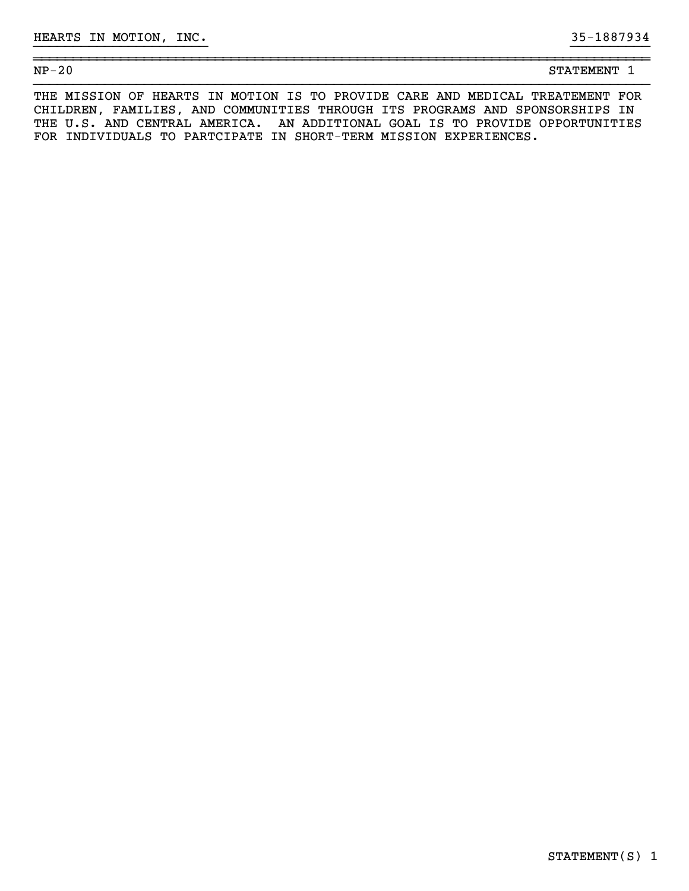| $\mathcal{L}$<br>$NP-2$<br>▵<br>____<br>__ | <b>STATEMENT</b> |  |
|--------------------------------------------|------------------|--|
|                                            |                  |  |

}}}}}}}}}}}}}}}}}}}}}} }}}}}}}}}}

~~~~~~~~~~~~~~~~~~~~~~~~~~~~~~~~~~~~~~~~~~~~~~~~~~~~~~~~~~~~~~~~~~~~~~~~~~~~~~

THE MISSION OF HEARTS IN MOTION IS TO PROVIDE CARE AND MEDICAL TREATEMENT FOR CHILDREN, FAMILIES, AND COMMUNITIES THROUGH ITS PROGRAMS AND SPONSORSHIPS IN THE U.S. AND CENTRAL AMERICA. AN ADDITIONAL GOAL IS TO PROVIDE OPPORTUNITIES FOR INDIVIDUALS TO PARTCIPATE IN SHORT-TERM MISSION EXPERIENCES.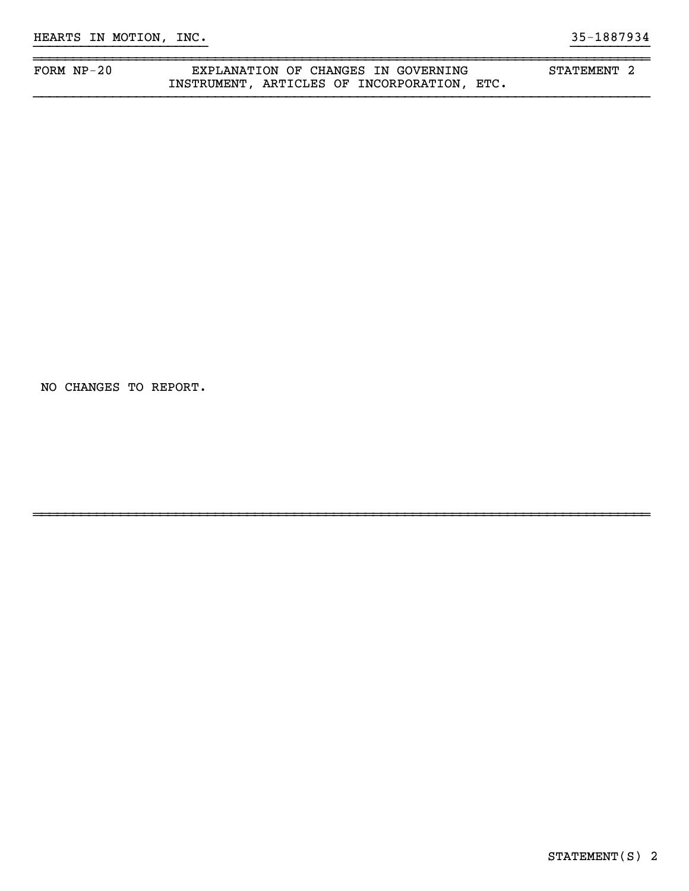## FORM NP-20 **EXPLANATION OF CHANGES IN GOVERNING** STATEMENT 2 INSTRUMENT, ARTICLES OF INCORPORATION, ETC.

}}}}}}}}}}}}}}}}}}}}}} }}}}}}}}}}

~~~~~~~~~~~~~~~~~~~~~~~~~~~~~~~~~~~~~~~~~~~~~~~~~~~~~~~~~~~~~~~~~~~~~~~~~~~~~~

~~~~~~~~~~~~~~~~~~~~~~~~~~~~~~~~~~~~~~~~~~~~~~~~~~~~~~~~~~~~~~~~~~~~~~~~~~~~~~

NO CHANGES TO REPORT.